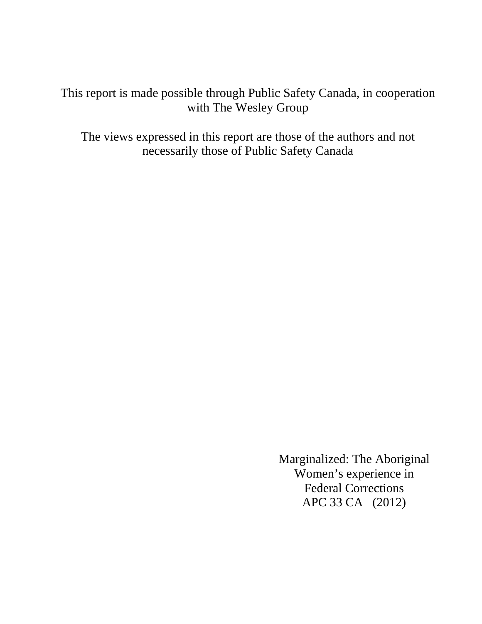This report is made possible through Public Safety Canada, in cooperation with The Wesley Group

The views expressed in this report are those of the authors and not necessarily those of Public Safety Canada

> Marginalized: The Aboriginal Women's experience in Federal Corrections APC 33 CA (2012)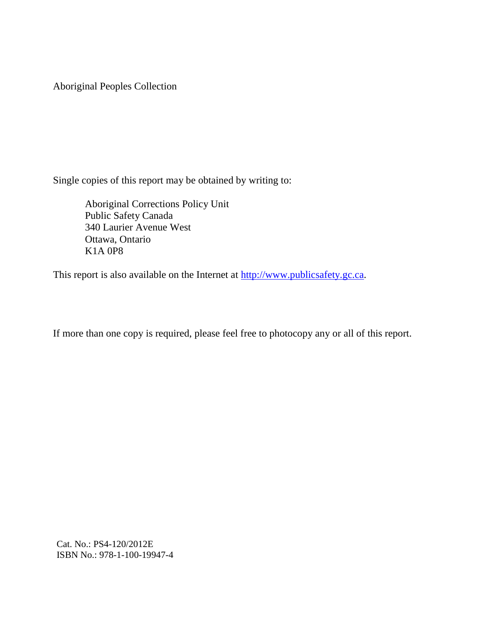Aboriginal Peoples Collection

Single copies of this report may be obtained by writing to:

Aboriginal Corrections Policy Unit Public Safety Canada 340 Laurier Avenue West Ottawa, Ontario K1A 0P8

This report is also available on the Internet at  $\frac{http://www.publicsafety.gc.ca.}$ 

If more than one copy is required, please feel free to photocopy any or all of this report.

Cat. No.: PS4-120/2012E ISBN No.: 978-1-100-19947-4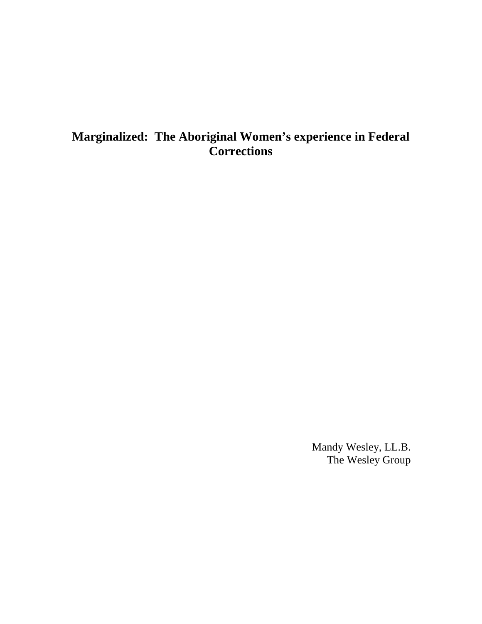# **Marginalized: The Aboriginal Women's experience in Federal Corrections**

Mandy Wesley, LL.B. The Wesley Group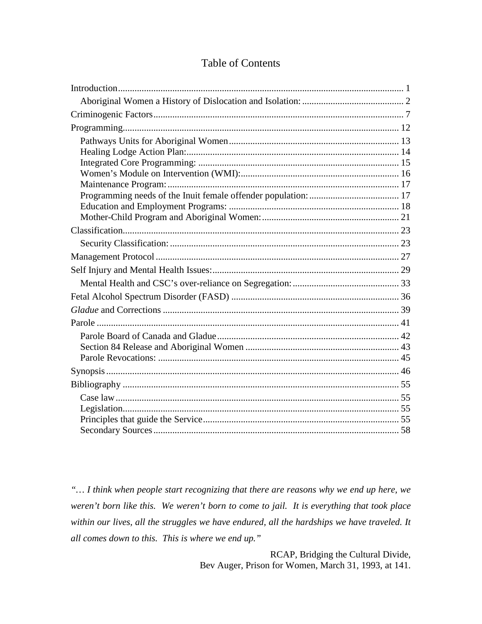# **Table of Contents**

"... I think when people start recognizing that there are reasons why we end up here, we weren't born like this. We weren't born to come to jail. It is everything that took place within our lives, all the struggles we have endured, all the hardships we have traveled. It all comes down to this. This is where we end up."

> RCAP, Bridging the Cultural Divide, Bev Auger, Prison for Women, March 31, 1993, at 141.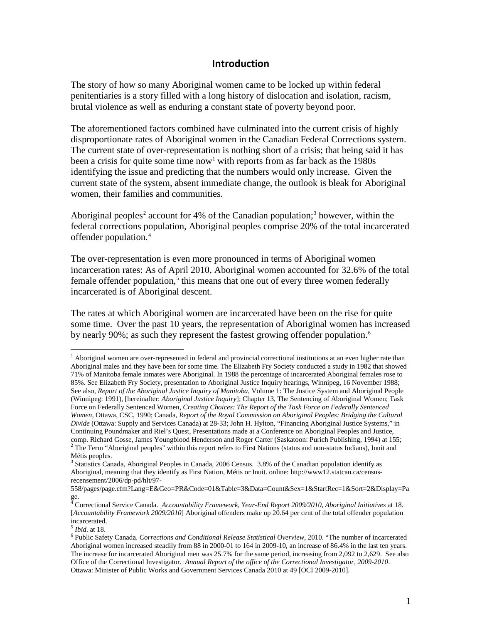### **Introduction**

The story of how so many Aboriginal women came to be locked up within federal penitentiaries is a story filled with a long history of dislocation and isolation, racism, brutal violence as well as enduring a constant state of poverty beyond poor.

The aforementioned factors combined have culminated into the current crisis of highly disproportionate rates of Aboriginal women in the Canadian Federal Corrections system. The current state of over-representation is nothing short of a crisis; that being said it has been a crisis for quite some time now<sup>[1](#page-46-1)</sup> with reports from as far back as the 1980s identifying the issue and predicting that the numbers would only increase. Given the current state of the system, absent immediate change, the outlook is bleak for Aboriginal women, their families and communities.

Aboriginal peoples<sup>[2](#page-6-0)</sup> account for 4% of the Canadian population;<sup>[3](#page-6-1)</sup> however, within the federal corrections population, Aboriginal peoples comprise 20% of the total incarcerated offender population.[4](#page-6-2)

The over-representation is even more pronounced in terms of Aboriginal women incarceration rates: As of April 2010, Aboriginal women accounted for 32.6% of the total female offender population, $<sup>5</sup>$  $<sup>5</sup>$  $<sup>5</sup>$  this means that one out of every three women federally</sup> incarcerated is of Aboriginal descent.

The rates at which Aboriginal women are incarcerated have been on the rise for quite some time. Over the past 10 years, the representation of Aboriginal women has increased by nearly 90%; as such they represent the fastest growing offender population.<sup>[6](#page-6-4)</sup>

 $<sup>1</sup>$  Aboriginal women are over-represented in federal and provincial correctional institutions at an even higher rate than</sup> Aboriginal males and they have been for some time. The Elizabeth Fry Society conducted a study in 1982 that showed 71% of Manitoba female inmates were Aboriginal. In 1988 the percentage of incarcerated Aboriginal females rose to 85%. See Elizabeth Fry Society, presentation to Aboriginal Justice Inquiry hearings, Winnipeg, 16 November 1988; See also, *Report of the Aboriginal Justice Inquiry of Manitoba*, Volume 1: The Justice System and Aboriginal People (Winnipeg: 1991), [hereinafter: *Aboriginal Justice Inquiry*]; Chapter 13, The Sentencing of Aboriginal Women; Task Force on Federally Sentenced Women, *Creating Choices: The Report of the Task Force on Federally Sentenced Women*, Ottawa, CSC, 1990; Canada, *Report of the Royal Commission on Aboriginal Peoples: Bridging the Cultural Divide* (Ottawa: Supply and Services Canada) at 28-33; John H. Hylton, "Financing Aboriginal Justice Systems," in Continuing Poundmaker and Riel's Quest, Presentations made at a Conference on Aboriginal Peoples and Justice, <sup>2</sup> The Term "Aboriginal peoples" within this report refers to First Nations (status and non-status Indians), Inuit and Métis peoples.

<span id="page-6-1"></span><span id="page-6-0"></span><sup>&</sup>lt;sup>3</sup> Statistics Canada, Aboriginal Peoples in Canada, 2006 Census. 3.8% of the Canadian population identify as Aboriginal, meaning that they identify as First Nation, Métis or Inuit. online: http://www12.statcan.ca/censusrecensement/2006/dp-pd/hlt/97-

<span id="page-6-5"></span><sup>558/</sup>pages/page.cfm?Lang=E&Geo=PR&Code=01&Table=3&Data=Count&Sex=1&StartRec=1&Sort=2&Display=Pa ge.

<span id="page-6-2"></span><sup>4</sup> Correctional Service Canada. *Accountability Framework, Year-End Report 2009/2010, Aboriginal Initiatives* at 18. [*Accountability Framework 2009/2010*] Aboriginal offenders make up 20.64 per cent of the total offender population incarcerated.<br><sup>5</sup>*Ibid.* at 18.

<span id="page-6-4"></span><span id="page-6-3"></span><sup>&</sup>lt;sup>6</sup> Public Safety Canada. *Corrections and Conditional Release Statistical Overview*, 2010. "The number of incarcerated Aboriginal women increased steadily from 88 in 2000-01 to 164 in 2009-10, an increase of 86.4% in the last ten years. The increase for incarcerated Aboriginal men was 25.7% for the same period, increasing from 2,092 to 2,629. See also Office of the Correctional Investigator. *Annual Report of the office of the Correctional Investigator, 2009-2010*. Ottawa: Minister of Public Works and Government Services Canada 2010 at 49 [OCI 2009-2010].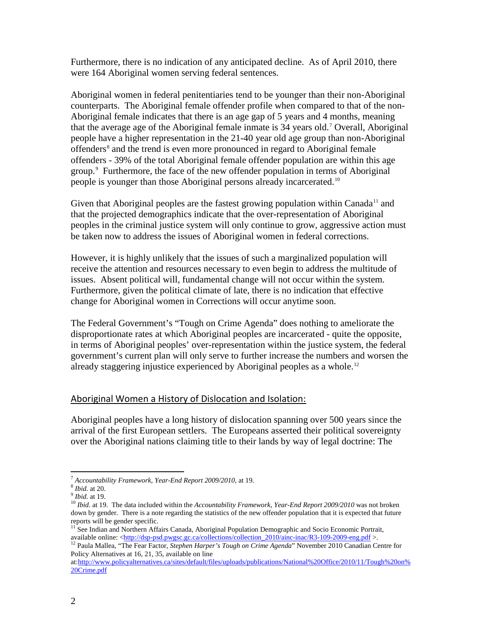Furthermore, there is no indication of any anticipated decline. As of April 2010, there were 164 Aboriginal women serving federal sentences.

Aboriginal women in federal penitentiaries tend to be younger than their non-Aboriginal counterparts. The Aboriginal female offender profile when compared to that of the non-Aboriginal female indicates that there is an age gap of 5 years and 4 months, meaning that the average age of the Aboriginal female inmate is  $34$  years old.<sup>[7](#page-6-5)</sup> Overall, Aboriginal people have a higher representation in the 21-40 year old age group than non-Aboriginal offenders<sup>[8](#page-7-1)</sup> and the trend is even more pronounced in regard to Aboriginal female offenders - 39% of the total Aboriginal female offender population are within this age group.[9](#page-7-2) Furthermore, the face of the new offender population in terms of Aboriginal people is younger than those Aboriginal persons already incarcerated.<sup>10</sup>

Given that Aboriginal peoples are the fastest growing population within Canada<sup>[11](#page-7-4)</sup> and that the projected demographics indicate that the over-representation of Aboriginal peoples in the criminal justice system will only continue to grow, aggressive action must be taken now to address the issues of Aboriginal women in federal corrections.

However, it is highly unlikely that the issues of such a marginalized population will receive the attention and resources necessary to even begin to address the multitude of issues. Absent political will, fundamental change will not occur within the system. Furthermore, given the political climate of late, there is no indication that effective change for Aboriginal women in Corrections will occur anytime soon.

The Federal Government's "Tough on Crime Agenda" does nothing to ameliorate the disproportionate rates at which Aboriginal peoples are incarcerated - quite the opposite, in terms of Aboriginal peoples' over-representation within the justice system, the federal government's current plan will only serve to further increase the numbers and worsen the already staggering injustice experienced by Aboriginal peoples as a whole.<sup>[12](#page-7-5)</sup>

### <span id="page-7-0"></span>Aboriginal Women a History of Dislocation and Isolation:

Aboriginal peoples have a long history of dislocation spanning over 500 years since the arrival of the first European settlers. The Europeans asserted their political sovereignty over the Aboriginal nations claiming title to their lands by way of legal doctrine: The

<span id="page-7-3"></span><span id="page-7-2"></span>

<span id="page-7-6"></span><span id="page-7-1"></span><sup>&</sup>lt;sup>7</sup> Accountability Framework, Year-End Report 2009/2010, at 19.<br><sup>8</sup> Ibid. at 20.<br><sup>9</sup> Ibid. at 19.<br><sup>10</sup> Ibid. at 19. The data included within the Accountability Framework, Year-End Report 2009/2010 was not broken down by gender. There is a note regarding the statistics of the new offender population that it is expected that future reports will be gender specific.

<span id="page-7-4"></span><sup>&</sup>lt;sup>11</sup> See Indian and Northern Affairs Canada, Aboriginal Population Demographic and Socio Economic Portrait, available online: [<http://dsp-psd.pwgsc.gc.ca/collections/collection\\_2010/ainc-inac/R3-109-2009-eng.pdf](http://dsp-psd.pwgsc.gc.ca/collections/collection_2010/ainc-inac/R3-109-2009-eng.pdf) >. <sup>12</sup> Paula Mallea, "The Fear Factor, *Stephen Harper's Tough on Crime Agenda*" November 2010 Canadian Centre for

<span id="page-7-5"></span>Policy Alternatives at 16, 21, 35, available on line

at[:http://www.policyalternatives.ca/sites/default/files/uploads/publications/National%20Office/2010/11/Tough%20on%](http://www.policyalternatives.ca/sites/default/files/uploads/publications/National%20Office/2010/11/Tough%20on%20Crime.pdf) [20Crime.pdf](http://www.policyalternatives.ca/sites/default/files/uploads/publications/National%20Office/2010/11/Tough%20on%20Crime.pdf)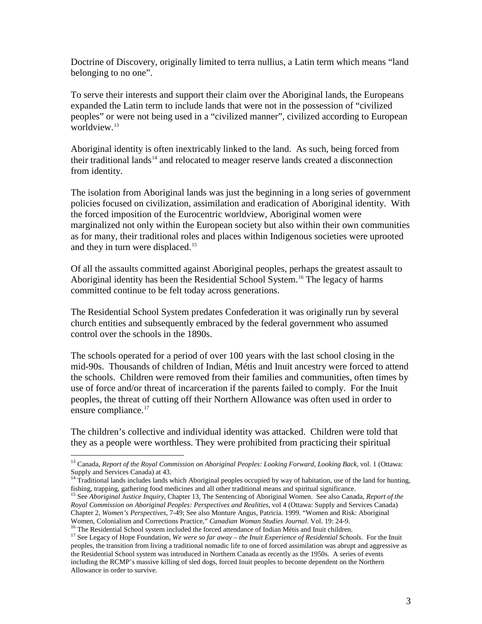Doctrine of Discovery, originally limited to terra nullius, a Latin term which means "land belonging to no one".

To serve their interests and support their claim over the Aboriginal lands, the Europeans expanded the Latin term to include lands that were not in the possession of "civilized peoples" or were not being used in a "civilized manner", civilized according to European worldview.<sup>[13](#page-7-6)</sup>

Aboriginal identity is often inextricably linked to the land. As such, being forced from their traditional lands<sup>[14](#page-8-0)</sup> and relocated to meager reserve lands created a disconnection from identity.

The isolation from Aboriginal lands was just the beginning in a long series of government policies focused on civilization, assimilation and eradication of Aboriginal identity. With the forced imposition of the Eurocentric worldview, Aboriginal women were marginalized not only within the European society but also within their own communities as for many, their traditional roles and places within Indigenous societies were uprooted and they in turn were displaced.<sup>[15](#page-8-1)</sup>

Of all the assaults committed against Aboriginal peoples, perhaps the greatest assault to Aboriginal identity has been the Residential School System.<sup>[16](#page-8-2)</sup> The legacy of harms committed continue to be felt today across generations.

The Residential School System predates Confederation it was originally run by several church entities and subsequently embraced by the federal government who assumed control over the schools in the 1890s.

The schools operated for a period of over 100 years with the last school closing in the mid-90s. Thousands of children of Indian, Métis and Inuit ancestry were forced to attend the schools. Children were removed from their families and communities, often times by use of force and/or threat of incarceration if the parents failed to comply. For the Inuit peoples, the threat of cutting off their Northern Allowance was often used in order to ensure compliance.<sup>[17](#page-8-3)</sup>

The children's collective and individual identity was attacked. Children were told that they as a people were worthless. They were prohibited from practicing their spiritual

<span id="page-8-4"></span> <sup>13</sup> Canada, *Report of the Royal Commission on Aboriginal Peoples: Looking Forward, Looking Back*, vol. 1 (Ottawa: Supply and Services Canada) at 43.<br><sup>14</sup> Traditional lands includes lands which Aboriginal peoples occupied by way of habitation, use of the land for hunting,

<span id="page-8-0"></span>

<span id="page-8-1"></span>fishing, trapping, gathering food medicines and all other traditional means and spiritual significance.<br><sup>15</sup> See *Aboriginal Justice Inquiry*, Chapter 13, The Sentencing of Aboriginal Women. See also Canada, Report of the *Royal Commission on Aboriginal Peoples: Perspectives and Realities*, vol 4 (Ottawa: Supply and Services Canada) Chapter 2, *Women's Perspectives*, 7-49; See also Monture Angus, Patricia. 1999. "Women and Risk: Aboriginal

<span id="page-8-3"></span><span id="page-8-2"></span><sup>&</sup>lt;sup>16</sup> The Residential School system included the forced attendance of Indian Métis and Inuit children.<br><sup>17</sup> See Legacy of Hope Foundation, *We were so far away – the Inuit Experience of Residential Schools*. For the Inuit peoples, the transition from living a traditional nomadic life to one of forced assimilation was abrupt and aggressive as the Residential School system was introduced in Northern Canada as recently as the 1950s. A series of events including the RCMP's massive killing of sled dogs, forced Inuit peoples to become dependent on the Northern Allowance in order to survive.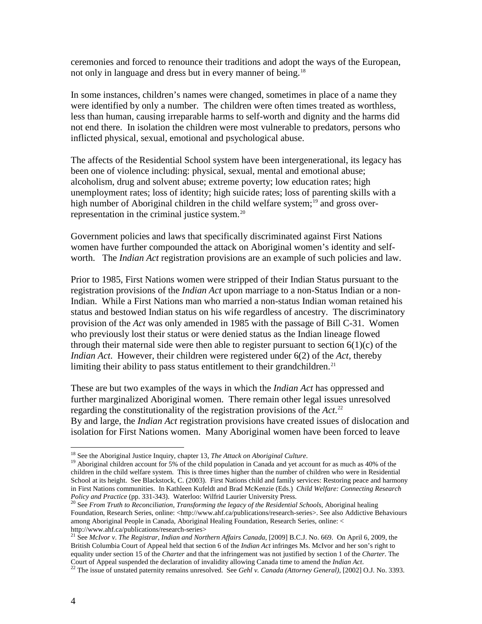ceremonies and forced to renounce their traditions and adopt the ways of the European, not only in language and dress but in every manner of being.<sup>[18](#page-8-4)</sup>

In some instances, children's names were changed, sometimes in place of a name they were identified by only a number. The children were often times treated as worthless, less than human, causing irreparable harms to self-worth and dignity and the harms did not end there. In isolation the children were most vulnerable to predators, persons who inflicted physical, sexual, emotional and psychological abuse.

The affects of the Residential School system have been intergenerational, its legacy has been one of violence including: physical, sexual, mental and emotional abuse; alcoholism, drug and solvent abuse; extreme poverty; low education rates; high unemployment rates; loss of identity; high suicide rates; loss of parenting skills with a high number of Aboriginal children in the child welfare system;<sup>[19](#page-9-0)</sup> and gross over-representation in the criminal justice system.<sup>[20](#page-9-1)</sup>

Government policies and laws that specifically discriminated against First Nations women have further compounded the attack on Aboriginal women's identity and selfworth. The *Indian Act* registration provisions are an example of such policies and law.

Prior to 1985, First Nations women were stripped of their Indian Status pursuant to the registration provisions of the *Indian Act* upon marriage to a non-Status Indian or a non-Indian. While a First Nations man who married a non-status Indian woman retained his status and bestowed Indian status on his wife regardless of ancestry. The discriminatory provision of the *Act* was only amended in 1985 with the passage of Bill C-31. Women who previously lost their status or were denied status as the Indian lineage flowed through their maternal side were then able to register pursuant to section  $6(1)(c)$  of the *Indian Act*. However, their children were registered under 6(2) of the *Act*, thereby limiting their ability to pass status entitlement to their grandchildren.<sup>[21](#page-9-2)</sup>

These are but two examples of the ways in which the *Indian Act* has oppressed and further marginalized Aboriginal women. There remain other legal issues unresolved regarding the constitutionality of the registration provisions of the *Act*. [22](#page-9-3) By and large, the *Indian Act* registration provisions have created issues of dislocation and isolation for First Nations women. Many Aboriginal women have been forced to leave

<span id="page-9-0"></span><sup>&</sup>lt;sup>18</sup> See the Aboriginal Justice Inquiry, chapter 13, *The Attack on Aboriginal Culture*.<br><sup>19</sup> Aboriginal children account for 5% of the child population in Canada and yet account for as much as 40% of the children in the child welfare system. This is three times higher than the number of children who were in Residential School at its height. See Blackstock, C. (2003). First Nations child and family services: Restoring peace and harmony in First Nations communities. In Kathleen Kufeldt and Brad McKenzie (Eds.) *Child Welfare: Connecting Research* 

<span id="page-9-1"></span>*Policy and Practice* (pp. 331-343). Waterloo: Wilfrid Laurier University Press. <sup>20</sup> See *From Truth to Reconciliation, Transforming the legacy of the Residential Schools, Aboriginal healing* Foundation, Research Series, online: <http://www.ahf.ca/publications/research-series>. See also Addictive Behaviours among Aboriginal People in Canada, Aboriginal Healing Foundation, Research Series, online: <

<span id="page-9-2"></span><sup>&</sup>lt;sup>21</sup> See *McIvor v. The Registrar, Indian and Northern Affairs Canada*, [2009] B.C.J. No. 669. On April 6, 2009, the British Columbia Court of Appeal held that section 6 of the *Indian Act* infringes Ms. McIvor and her son's right to equality under section 15 of the *Charter* and that the infringement was not justified by section 1 of the *Charter*. The

<span id="page-9-4"></span><span id="page-9-3"></span><sup>&</sup>lt;sup>22</sup> The issue of unstated paternity remains unresolved. See *Gehl v. Canada (Attorney General)*, [2002] O.J. No. 3393.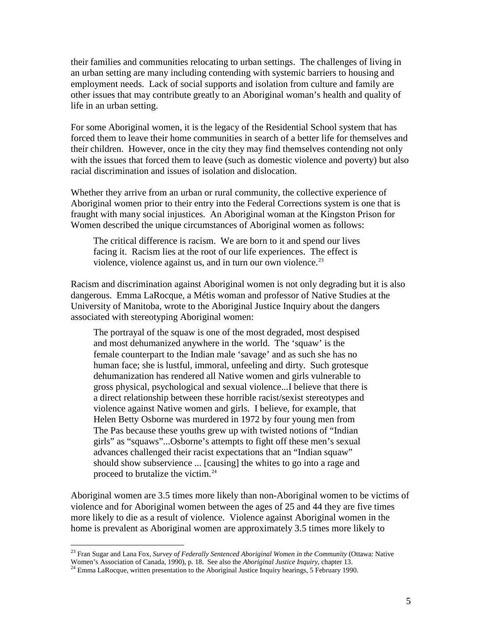their families and communities relocating to urban settings. The challenges of living in an urban setting are many including contending with systemic barriers to housing and employment needs. Lack of social supports and isolation from culture and family are other issues that may contribute greatly to an Aboriginal woman's health and quality of life in an urban setting.

For some Aboriginal women, it is the legacy of the Residential School system that has forced them to leave their home communities in search of a better life for themselves and their children. However, once in the city they may find themselves contending not only with the issues that forced them to leave (such as domestic violence and poverty) but also racial discrimination and issues of isolation and dislocation.

Whether they arrive from an urban or rural community, the collective experience of Aboriginal women prior to their entry into the Federal Corrections system is one that is fraught with many social injustices. An Aboriginal woman at the Kingston Prison for Women described the unique circumstances of Aboriginal women as follows:

The critical difference is racism. We are born to it and spend our lives facing it. Racism lies at the root of our life experiences. The effect is violence, violence against us, and in turn our own violence. $2<sup>3</sup>$ 

Racism and discrimination against Aboriginal women is not only degrading but it is also dangerous. Emma LaRocque, a Métis woman and professor of Native Studies at the University of Manitoba, wrote to the Aboriginal Justice Inquiry about the dangers associated with stereotyping Aboriginal women:

The portrayal of the squaw is one of the most degraded, most despised and most dehumanized anywhere in the world. The 'squaw' is the female counterpart to the Indian male 'savage' and as such she has no human face; she is lustful, immoral, unfeeling and dirty. Such grotesque dehumanization has rendered all Native women and girls vulnerable to gross physical, psychological and sexual violence...I believe that there is a direct relationship between these horrible racist/sexist stereotypes and violence against Native women and girls. I believe, for example, that Helen Betty Osborne was murdered in 1972 by four young men from The Pas because these youths grew up with twisted notions of "Indian girls" as "squaws"...Osborne's attempts to fight off these men's sexual advances challenged their racist expectations that an "Indian squaw" should show subservience ... [causing] the whites to go into a rage and proceed to brutalize the victim.<sup>[24](#page-10-0)</sup>

<span id="page-10-1"></span>Aboriginal women are 3.5 times more likely than non-Aboriginal women to be victims of violence and for Aboriginal women between the ages of 25 and 44 they are five times more likely to die as a result of violence. Violence against Aboriginal women in the home is prevalent as Aboriginal women are approximately 3.5 times more likely to

<sup>&</sup>lt;sup>23</sup> Fran Sugar and Lana Fox, *Survey of Federally Sentenced Aboriginal Women in the Community* (Ottawa: Native Women's Association of Canada, 1990), p. 18. See also the *Aboriginal Justice Inquiry*, chapter 13.

<span id="page-10-0"></span><sup>&</sup>lt;sup>24</sup> Emma LaRocque, written presentation to the Aboriginal Justice Inquiry hearings, 5 February 1990.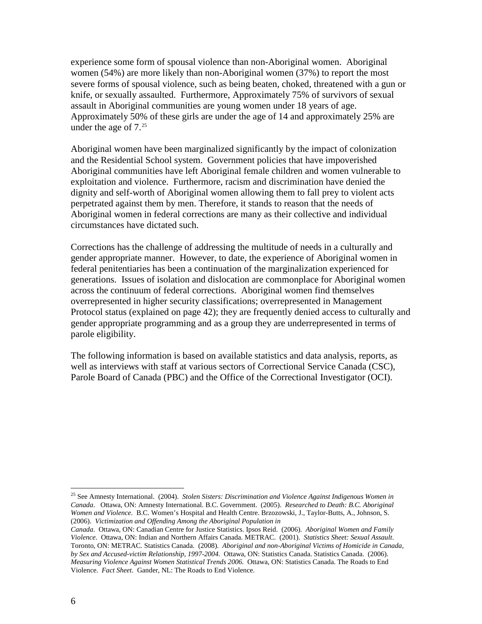experience some form of spousal violence than non-Aboriginal women. Aboriginal women (54%) are more likely than non-Aboriginal women (37%) to report the most severe forms of spousal violence, such as being beaten, choked, threatened with a gun or knife, or sexually assaulted. Furthermore, Approximately 75% of survivors of sexual assault in Aboriginal communities are young women under 18 years of age. Approximately 50% of these girls are under the age of 14 and approximately 25% are under the age of  $7.^25$  $7.^25$ 

Aboriginal women have been marginalized significantly by the impact of colonization and the Residential School system. Government policies that have impoverished Aboriginal communities have left Aboriginal female children and women vulnerable to exploitation and violence. Furthermore, racism and discrimination have denied the dignity and self-worth of Aboriginal women allowing them to fall prey to violent acts perpetrated against them by men. Therefore, it stands to reason that the needs of Aboriginal women in federal corrections are many as their collective and individual circumstances have dictated such.

Corrections has the challenge of addressing the multitude of needs in a culturally and gender appropriate manner. However, to date, the experience of Aboriginal women in federal penitentiaries has been a continuation of the marginalization experienced for generations. Issues of isolation and dislocation are commonplace for Aboriginal women across the continuum of federal corrections. Aboriginal women find themselves overrepresented in higher security classifications; overrepresented in Management Protocol status (explained on page 42); they are frequently denied access to culturally and gender appropriate programming and as a group they are underrepresented in terms of parole eligibility.

The following information is based on available statistics and data analysis, reports, as well as interviews with staff at various sectors of Correctional Service Canada (CSC), Parole Board of Canada (PBC) and the Office of the Correctional Investigator (OCI).

<span id="page-11-0"></span> <sup>25</sup> See Amnesty International. (2004). *Stolen Sisters: Discrimination and Violence Against Indigenous Women in Canada*. Ottawa, ON: Amnesty International. B.C. Government. (2005). *Researched to Death: B.C. Aboriginal Women and Violence*. B.C. Women's Hospital and Health Centre. Brzozowski, J., Taylor-Butts, A., Johnson, S. (2006). *Victimization and Offending Among the Aboriginal Population in* 

*Canada*. Ottawa, ON: Canadian Centre for Justice Statistics. Ipsos Reid. (2006). *Aboriginal Women and Family Violence*. Ottawa, ON: Indian and Northern Affairs Canada. METRAC. (2001). *Statistics Sheet: Sexual Assault*. Toronto, ON: METRAC. Statistics Canada. (2008). *Aboriginal and non-Aboriginal Victims of Homicide in Canada, by Sex and Accused-victim Relationship, 1997-2004*. Ottawa, ON: Statistics Canada. Statistics Canada. (2006). *Measuring Violence Against Women Statistical Trends 2006*. Ottawa, ON: Statistics Canada. The Roads to End Violence. *Fact Sheet*. Gander, NL: The Roads to End Violence.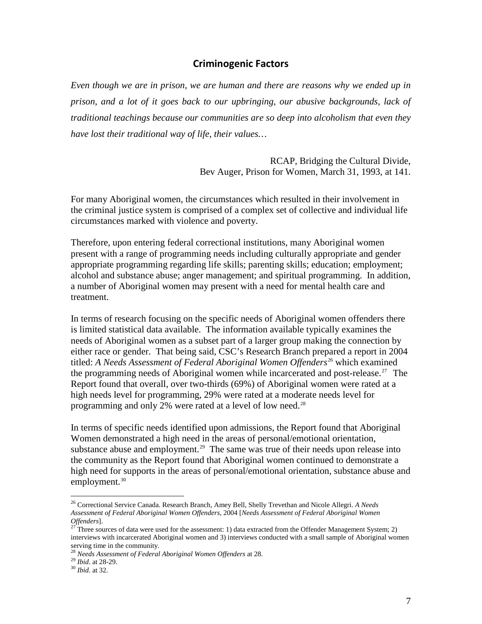### **Criminogenic Factors**

<span id="page-12-0"></span>*Even though we are in prison, we are human and there are reasons why we ended up in prison, and a lot of it goes back to our upbringing, our abusive backgrounds, lack of traditional teachings because our communities are so deep into alcoholism that even they have lost their traditional way of life, their values…*

> RCAP, Bridging the Cultural Divide, Bev Auger, Prison for Women, March 31, 1993, at 141.

For many Aboriginal women, the circumstances which resulted in their involvement in the criminal justice system is comprised of a complex set of collective and individual life circumstances marked with violence and poverty.

Therefore, upon entering federal correctional institutions, many Aboriginal women present with a range of programming needs including culturally appropriate and gender appropriate programming regarding life skills; parenting skills; education; employment; alcohol and substance abuse; anger management; and spiritual programming. In addition, a number of Aboriginal women may present with a need for mental health care and treatment.

In terms of research focusing on the specific needs of Aboriginal women offenders there is limited statistical data available. The information available typically examines the needs of Aboriginal women as a subset part of a larger group making the connection by either race or gender. That being said, CSC's Research Branch prepared a report in 2004 titled: *A Needs Assessment of Federal Aboriginal Women Offenders*<sup>[26](#page-11-0)</sup> which examined the programming needs of Aboriginal women while incarcerated and post-release.<sup>[27](#page-12-1)</sup> The Report found that overall, over two-thirds (69%) of Aboriginal women were rated at a high needs level for programming, 29% were rated at a moderate needs level for programming and only 2% were rated at a level of low need.<sup>[28](#page-12-2)</sup>

<span id="page-12-5"></span>In terms of specific needs identified upon admissions, the Report found that Aboriginal Women demonstrated a high need in the areas of personal/emotional orientation, substance abuse and employment.<sup>[29](#page-12-3)</sup> The same was true of their needs upon release into the community as the Report found that Aboriginal women continued to demonstrate a high need for supports in the areas of personal/emotional orientation, substance abuse and employment. $30$ 

 <sup>26</sup> Correctional Service Canada. Research Branch, Amey Bell, Shelly Trevethan and Nicole Allegri. *A Needs Assessment of Federal Aboriginal Women Offenders,* 2004 [*Needs Assessment of Federal Aboriginal Women* 

<span id="page-12-1"></span><sup>&</sup>lt;sup>27</sup> Three sources of data were used for the assessment: 1) data extracted from the Offender Management System; 2) interviews with incarcerated Aboriginal women and 3) interviews conducted with a small sample of Aboriginal women serving time in the community.

<span id="page-12-3"></span><span id="page-12-2"></span><sup>28</sup> *Needs Assessment of Federal Aboriginal Women Offenders* at 28.<br><sup>29</sup> *Ibid.* at 28-29.<br><sup>30</sup> *Ibid.* at 32.

<span id="page-12-4"></span>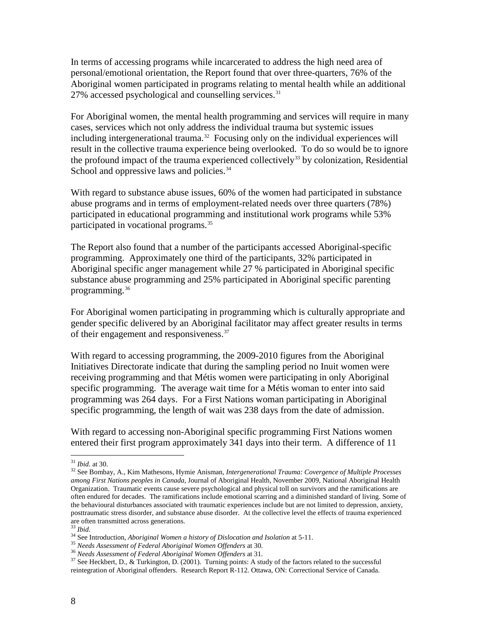In terms of accessing programs while incarcerated to address the high need area of personal/emotional orientation, the Report found that over three-quarters, 76% of the Aboriginal women participated in programs relating to mental health while an additional 27% accessed psychological and counselling services.<sup>[31](#page-12-5)</sup>

For Aboriginal women, the mental health programming and services will require in many cases, services which not only address the individual trauma but systemic issues including intergenerational trauma.<sup>[32](#page-13-0)</sup> Focusing only on the individual experiences will result in the collective trauma experience being overlooked. To do so would be to ignore the profound impact of the trauma experienced collectively<sup>[33](#page-13-1)</sup> by colonization, Residential School and oppressive laws and policies.<sup>34</sup>

With regard to substance abuse issues, 60% of the women had participated in substance abuse programs and in terms of employment-related needs over three quarters (78%) participated in educational programming and institutional work programs while 53% participated in vocational programs.<sup>[35](#page-13-3)</sup>

The Report also found that a number of the participants accessed Aboriginal-specific programming. Approximately one third of the participants, 32% participated in Aboriginal specific anger management while 27 % participated in Aboriginal specific substance abuse programming and 25% participated in Aboriginal specific parenting programming.<sup>[36](#page-13-4)</sup>

For Aboriginal women participating in programming which is culturally appropriate and gender specific delivered by an Aboriginal facilitator may affect greater results in terms of their engagement and responsiveness.<sup>[37](#page-13-5)</sup>

With regard to accessing programming, the 2009-2010 figures from the Aboriginal Initiatives Directorate indicate that during the sampling period no Inuit women were receiving programming and that Métis women were participating in only Aboriginal specific programming. The average wait time for a Métis woman to enter into said programming was 264 days. For a First Nations woman participating in Aboriginal specific programming, the length of wait was 238 days from the date of admission.

With regard to accessing non-Aboriginal specific programming First Nations women entered their first program approximately 341 days into their term. A difference of 11

<span id="page-13-6"></span><span id="page-13-0"></span><sup>&</sup>lt;sup>31</sup> *Ibid.* at 30.<br><sup>32</sup> See Bombay, A., Kim Mathesons, Hymie Anisman, *Intergenerational Trauma: Covergence of Multiple Processes among First Nations peoples in Canada*, Journal of Aboriginal Health, November 2009, National Aboriginal Health Organization. Traumatic events cause severe psychological and physical toll on survivors and the ramifications are often endured for decades. The ramifications include emotional scarring and a diminished standard of living. Some of the behavioural disturbances associated with traumatic experiences include but are not limited to depression, anxiety, posttraumatic stress disorder, and substance abuse disorder. At the collective level the effects of trauma experienced are often transmitted across generations.<br>
<sup>33</sup> *Ibid.*<br>
<sup>34</sup> See Introduction, *Aboriginal Women a history of Dislocation and Isolation* at 5-11.<br>
<sup>35</sup> *Needs Assessment of Federal Aboriginal Women Offenders* at 30.<br>
<sup>36</sup>

<span id="page-13-1"></span>

<span id="page-13-3"></span><span id="page-13-2"></span>

<span id="page-13-5"></span><span id="page-13-4"></span>reintegration of Aboriginal offenders. Research Report R-112. Ottawa, ON: Correctional Service of Canada.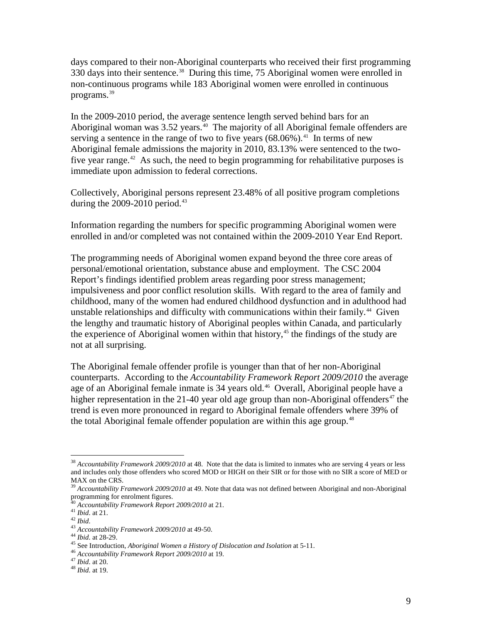days compared to their non-Aboriginal counterparts who received their first programming 330 days into their sentence. [38](#page-13-6) During this time, 75 Aboriginal women were enrolled in non-continuous programs while 183 Aboriginal women were enrolled in continuous programs.[39](#page-14-0)

In the 2009-2010 period, the average sentence length served behind bars for an Aboriginal woman was  $3.52$  years.<sup>[40](#page-14-1)</sup> The majority of all Aboriginal female offenders are serving a sentence in the range of two to five years  $(68.06\%)$ .<sup>41</sup> In terms of new Aboriginal female admissions the majority in 2010, 83.13% were sentenced to the two-five year range.<sup>[42](#page-14-3)</sup> As such, the need to begin programming for rehabilitative purposes is immediate upon admission to federal corrections.

Collectively, Aboriginal persons represent 23.48% of all positive program completions during the 2009-2010 period. [43](#page-14-4) 

Information regarding the numbers for specific programming Aboriginal women were enrolled in and/or completed was not contained within the 2009-2010 Year End Report.

The programming needs of Aboriginal women expand beyond the three core areas of personal/emotional orientation, substance abuse and employment. The CSC 2004 Report's findings identified problem areas regarding poor stress management; impulsiveness and poor conflict resolution skills. With regard to the area of family and childhood, many of the women had endured childhood dysfunction and in adulthood had unstable relationships and difficulty with communications within their family.<sup>[44](#page-14-5)</sup> Given the lengthy and traumatic history of Aboriginal peoples within Canada, and particularly the experience of Aboriginal women within that history, $45$  the findings of the study are not at all surprising.

The Aboriginal female offender profile is younger than that of her non-Aboriginal counterparts. According to the *Accountability Framework Report 2009/2010* the average age of an Aboriginal female inmate is 34 years old.<sup>[46](#page-14-7)</sup> Overall, Aboriginal people have a higher representation in the 21-40 year old age group than non-Aboriginal offenders<sup>[47](#page-14-8)</sup> the trend is even more pronounced in regard to Aboriginal female offenders where 39% of the total Aboriginal female offender population are within this age group.<sup>48</sup>

 <sup>38</sup> *Accountability Framework 2009/2010* at 48. Note that the data is limited to inmates who are serving 4 years or less and includes only those offenders who scored MOD or HIGH on their SIR or for those with no SIR a score of MED or MAX on the CRS.

<span id="page-14-10"></span><span id="page-14-0"></span><sup>39</sup> *Accountability Framework 2009/2010* at 49. Note that data was not defined between Aboriginal and non-Aboriginal programming for enrolment figures.<br><sup>40</sup> Accountability Framework Report 2009/2010 at 21.

<span id="page-14-4"></span>

<span id="page-14-6"></span><span id="page-14-5"></span>

<span id="page-14-3"></span><span id="page-14-2"></span><span id="page-14-1"></span><sup>&</sup>lt;sup>41</sup> *Ibid.* at 21.<br>
<sup>42</sup> *Ibid.*<br>
<sup>43</sup> *Accountability Framework 2009/2010* at 49-50.<br>
<sup>44</sup> *Ibid.* at 28-29.<br>
<sup>45</sup> See Introduction, *Aboriginal Women a History of Dislocation and Isolation* at 5-11.<br>
<sup>46</sup> *Accountabili* 

<span id="page-14-9"></span><span id="page-14-8"></span><span id="page-14-7"></span>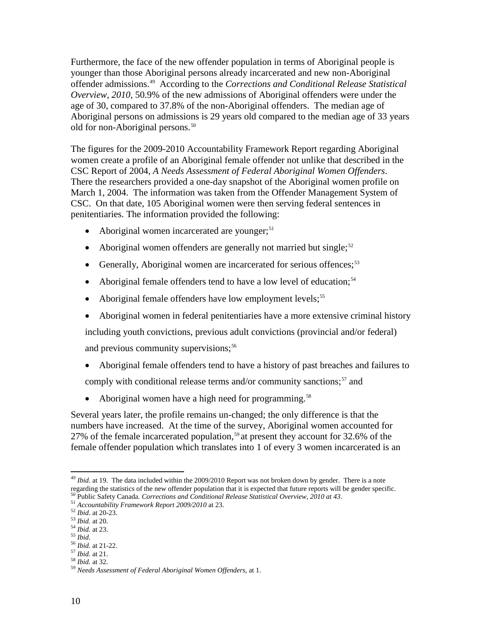Furthermore, the face of the new offender population in terms of Aboriginal people is younger than those Aboriginal persons already incarcerated and new non-Aboriginal offender admissions.[49](#page-14-10) According to the *Corrections and Conditional Release Statistical Overview, 2010*, 50.9% of the new admissions of Aboriginal offenders were under the age of 30, compared to 37.8% of the non-Aboriginal offenders. The median age of Aboriginal persons on admissions is 29 years old compared to the median age of 33 years old for non-Aboriginal persons.<sup>[50](#page-15-0)</sup>

The figures for the 2009-2010 Accountability Framework Report regarding Aboriginal women create a profile of an Aboriginal female offender not unlike that described in the CSC Report of 2004, *A Needs Assessment of Federal Aboriginal Women Offenders*. There the researchers provided a one-day snapshot of the Aboriginal women profile on March 1, 2004. The information was taken from the Offender Management System of CSC. On that date, 105 Aboriginal women were then serving federal sentences in penitentiaries. The information provided the following:

- Aboriginal women incarcerated are younger;<sup>[51](#page-15-1)</sup>
- Aboriginal women offenders are generally not married but single;<sup>[52](#page-15-2)</sup>
- Generally, Aboriginal women are incarcerated for serious offences;<sup>[53](#page-15-3)</sup>
- Aboriginal female offenders tend to have a low level of education;<sup>[54](#page-15-4)</sup>
- Aboriginal female offenders have low employment levels;<sup>[55](#page-15-5)</sup>
- Aboriginal women in federal penitentiaries have a more extensive criminal history

including youth convictions, previous adult convictions (provincial and/or federal) and previous community supervisions;<sup>[56](#page-15-6)</sup>

- Aboriginal female offenders tend to have a history of past breaches and failures to comply with conditional release terms and/or community sanctions;<sup>[57](#page-15-7)</sup> and
- Aboriginal women have a high need for programming.<sup>[58](#page-15-8)</sup>

Several years later, the profile remains un-changed; the only difference is that the numbers have increased. At the time of the survey, Aboriginal women accounted for 27% of the female incarcerated population,<sup>[59](#page-15-9)</sup> at present they account for 32.6% of the female offender population which translates into 1 of every 3 women incarcerated is an

<span id="page-15-8"></span><span id="page-15-7"></span>

<sup>&</sup>lt;sup>49</sup> *Ibid.* at 19. The data included within the 2009/2010 Report was not broken down by gender. There is a note regarding the statistics of the new offender population that it is expected that future reports will be gender specific.<br><sup>50</sup> Public Safety Canada Current of Current of Current in the spected that future reports will be ge

<span id="page-15-0"></span><sup>&</sup>lt;sup>50</sup> Public Safety Canada. Corrections and Conditional Release Statistical Overview, 2010 at 43.<br><sup>51</sup> Accountability Framework Report 2009/2010 at 23.<br><sup>52</sup> Ibid. at 20-23.<br><sup>53</sup> Ibid. at 20.<br><sup>54</sup> Ibid. at 21.<br><sup>55</sup> Ibid. at

<span id="page-15-2"></span><span id="page-15-1"></span>

<span id="page-15-3"></span>

<span id="page-15-4"></span>

<span id="page-15-5"></span>

<span id="page-15-6"></span>

<span id="page-15-9"></span>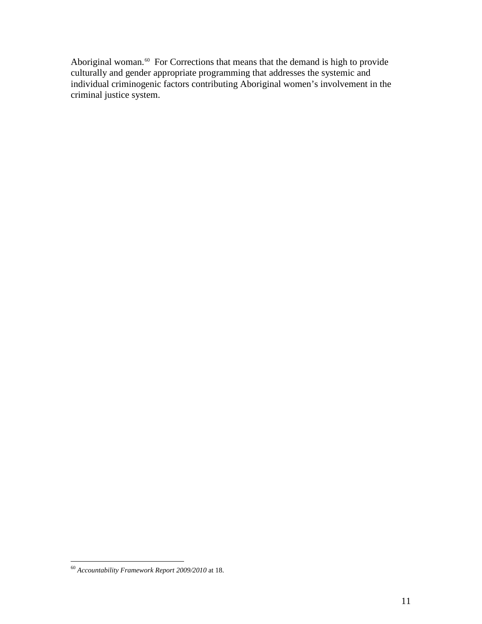Aboriginal woman.<sup>[60](#page-15-9)</sup> For Corrections that means that the demand is high to provide culturally and gender appropriate programming that addresses the systemic and individual criminogenic factors contributing Aboriginal women's involvement in the criminal justice system.

<span id="page-16-0"></span> <sup>60</sup> *Accountability Framework Report 2009/2010* at 18.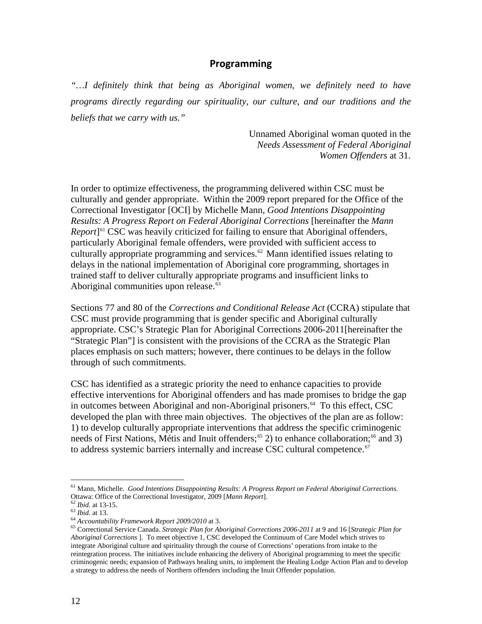### **Programming**

<span id="page-17-0"></span>*"…I definitely think that being as Aboriginal women, we definitely need to have programs directly regarding our spirituality, our culture, and our traditions and the beliefs that we carry with us."*

> Unnamed Aboriginal woman quoted in the *Needs Assessment of Federal Aboriginal Women Offenders* at 31.

In order to optimize effectiveness, the programming delivered within CSC must be culturally and gender appropriate. Within the 2009 report prepared for the Office of the Correctional Investigator [OCI] by Michelle Mann, *Good Intentions Disappointing Results: A Progress Report on Federal Aboriginal Corrections* [hereinafter the *Mann Report*<sup>[[61](#page-16-0)</sup> CSC was heavily criticized for failing to ensure that Aboriginal offenders, particularly Aboriginal female offenders, were provided with sufficient access to culturally appropriate programming and services.<sup>[62](#page-17-1)</sup> Mann identified issues relating to delays in the national implementation of Aboriginal core programming, shortages in trained staff to deliver culturally appropriate programs and insufficient links to Aboriginal communities upon release.<sup>[63](#page-17-2)</sup>

Sections 77 and 80 of the *Corrections and Conditional Release Act* (CCRA) stipulate that CSC must provide programming that is gender specific and Aboriginal culturally appropriate. CSC's Strategic Plan for Aboriginal Corrections 2006-2011[hereinafter the "Strategic Plan"] is consistent with the provisions of the CCRA as the Strategic Plan places emphasis on such matters; however, there continues to be delays in the follow through of such commitments.

CSC has identified as a strategic priority the need to enhance capacities to provide effective interventions for Aboriginal offenders and has made promises to bridge the gap in outcomes between Aboriginal and non-Aboriginal prisoners.<sup>64</sup> To this effect, CSC developed the plan with three main objectives. The objectives of the plan are as follow: 1) to develop culturally appropriate interventions that address the specific criminogenic needs of First Nations, Métis and Inuit offenders;<sup>[65](#page-17-4)</sup> 2) to enhance collaboration;<sup>[66](#page-17-5)</sup> and 3) to address systemic barriers internally and increase CSC cultural competence.<sup>[67](#page-17-6)</sup>

<span id="page-17-6"></span><span id="page-17-5"></span> <sup>61</sup> Mann, Michelle. *Good Intentions Disappointing Results: A Progress Report on Federal Aboriginal Corrections*. Ottawa: Office of the Correctional Investigator, 2009 [*Mann Report*].<br>
<sup>62</sup> *Ibid.* at 13-15.<br>
<sup>63</sup> *Ibid.* at 13.<br>
<sup>64</sup> *Accountability Framework Report 2009/2010* at 3.<br>
<sup>64</sup> *Accountability Framework Report 2009/2010*

<span id="page-17-2"></span><span id="page-17-1"></span>

<span id="page-17-4"></span><span id="page-17-3"></span>*Aboriginal Corrections* ]. To meet objective 1, CSC developed the Continuum of Care Model which strives to integrate Aboriginal culture and spirituality through the course of Corrections' operations from intake to the reintegration process. The initiatives include enhancing the delivery of Aboriginal programming to meet the specific criminogenic needs; expansion of Pathways healing units, to implement the Healing Lodge Action Plan and to develop a strategy to address the needs of Northern offenders including the Inuit Offender population.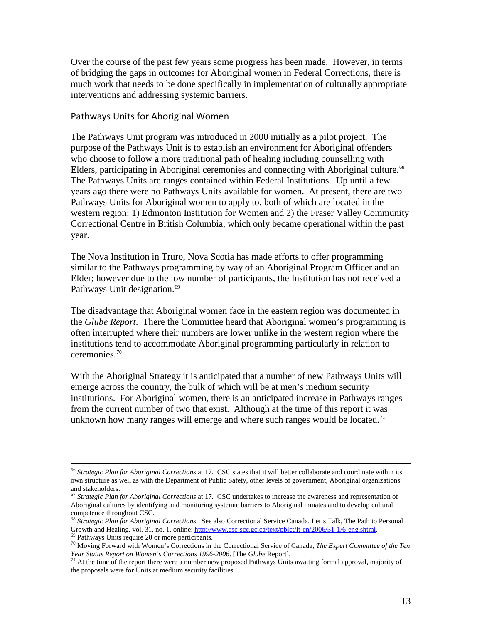Over the course of the past few years some progress has been made. However, in terms of bridging the gaps in outcomes for Aboriginal women in Federal Corrections, there is much work that needs to be done specifically in implementation of culturally appropriate interventions and addressing systemic barriers.

#### <span id="page-18-0"></span>Pathways Units for Aboriginal Women

The Pathways Unit program was introduced in 2000 initially as a pilot project. The purpose of the Pathways Unit is to establish an environment for Aboriginal offenders who choose to follow a more traditional path of healing including counselling with Elders, participating in Aboriginal ceremonies and connecting with Aboriginal culture.<sup>68</sup> The Pathways Units are ranges contained within Federal Institutions. Up until a few years ago there were no Pathways Units available for women. At present, there are two Pathways Units for Aboriginal women to apply to, both of which are located in the western region: 1) Edmonton Institution for Women and 2) the Fraser Valley Community Correctional Centre in British Columbia, which only became operational within the past year.

The Nova Institution in Truro, Nova Scotia has made efforts to offer programming similar to the Pathways programming by way of an Aboriginal Program Officer and an Elder; however due to the low number of participants, the Institution has not received a Pathways Unit designation.<sup>69</sup>

The disadvantage that Aboriginal women face in the eastern region was documented in the *Glube Report*. There the Committee heard that Aboriginal women's programming is often interrupted where their numbers are lower unlike in the western region where the institutions tend to accommodate Aboriginal programming particularly in relation to ceremonies. [70](#page-18-2)

With the Aboriginal Strategy it is anticipated that a number of new Pathways Units will emerge across the country, the bulk of which will be at men's medium security institutions. For Aboriginal women, there is an anticipated increase in Pathways ranges from the current number of two that exist. Although at the time of this report it was unknown how many ranges will emerge and where such ranges would be located.<sup>[71](#page-18-3)</sup>

 <sup>66</sup> *Strategic Plan for Aboriginal Corrections* at 17. CSC states that it will better collaborate and coordinate within its own structure as well as with the Department of Public Safety, other levels of government, Aboriginal organizations and stakeholders.

<sup>67</sup> *Strategic Plan for Aboriginal Corrections* at 17. CSC undertakes to increase the awareness and representation of Aboriginal cultures by identifying and monitoring systemic barriers to Aboriginal inmates and to develop cultural competence throughout CSC.

<sup>&</sup>lt;sup>68</sup> *Strategic Plan for Aboriginal Corrections*. See also Correctional Service Canada. Let's Talk, The Path to Personal Growth and Healing, vol. 31, no. 1, online: http://www.csc-scc.gc.ca/text/pblct/lt-en/2006/31-1/6-eng

<span id="page-18-4"></span><span id="page-18-2"></span><span id="page-18-1"></span><sup>&</sup>lt;sup>69</sup> Pathways Units require 20 or more participants.<br><sup>70</sup> Moving Forward with Women's Corrections in the Correctional Service of Canada, *The Expert Committee of the Ten Year Status Report on Women's Corrections 1996-2006*. [The *Glube* Report].<br><sup>71</sup> At the time of the report there were a number new proposed Pathways Units awaiting formal approval, majority of

<span id="page-18-3"></span>the proposals were for Units at medium security facilities.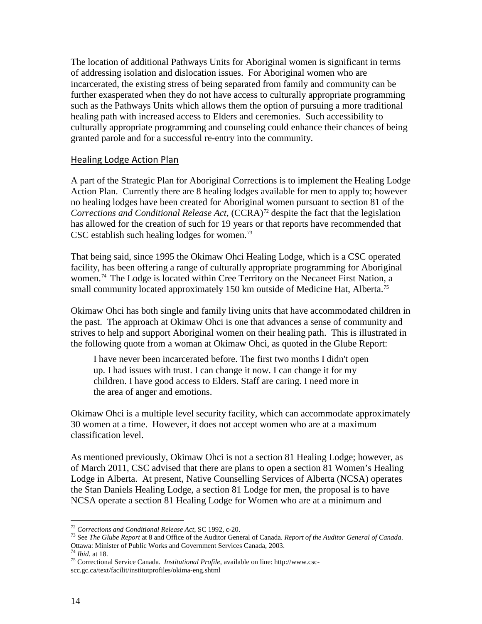The location of additional Pathways Units for Aboriginal women is significant in terms of addressing isolation and dislocation issues. For Aboriginal women who are incarcerated, the existing stress of being separated from family and community can be further exasperated when they do not have access to culturally appropriate programming such as the Pathways Units which allows them the option of pursuing a more traditional healing path with increased access to Elders and ceremonies. Such accessibility to culturally appropriate programming and counseling could enhance their chances of being granted parole and for a successful re-entry into the community.

#### <span id="page-19-0"></span>Healing Lodge Action Plan

A part of the Strategic Plan for Aboriginal Corrections is to implement the Healing Lodge Action Plan. Currently there are 8 healing lodges available for men to apply to; however no healing lodges have been created for Aboriginal women pursuant to section 81 of the *Corrections and Conditional Release Act*, (CCRA)<sup>[72](#page-18-4)</sup> despite the fact that the legislation has allowed for the creation of such for 19 years or that reports have recommended that CSC establish such healing lodges for women.<sup>[73](#page-19-1)</sup>

That being said, since 1995 the Okimaw Ohci Healing Lodge, which is a CSC operated facility, has been offering a range of culturally appropriate programming for Aboriginal women.<sup>[74](#page-19-2)</sup> The Lodge is located within Cree Territory on the Necaneet First Nation, a small community located approximately 150 km outside of Medicine Hat, Alberta.<sup>[75](#page-19-3)</sup>

Okimaw Ohci has both single and family living units that have accommodated children in the past. The approach at Okimaw Ohci is one that advances a sense of community and strives to help and support Aboriginal women on their healing path. This is illustrated in the following quote from a woman at Okimaw Ohci, as quoted in the Glube Report:

I have never been incarcerated before. The first two months I didn't open up. I had issues with trust. I can change it now. I can change it for my children. I have good access to Elders. Staff are caring. I need more in the area of anger and emotions.

Okimaw Ohci is a multiple level security facility, which can accommodate approximately 30 women at a time. However, it does not accept women who are at a maximum classification level.

As mentioned previously, Okimaw Ohci is not a section 81 Healing Lodge; however, as of March 2011, CSC advised that there are plans to open a section 81 Women's Healing Lodge in Alberta. At present, Native Counselling Services of Alberta (NCSA) operates the Stan Daniels Healing Lodge, a section 81 Lodge for men, the proposal is to have NCSA operate a section 81 Healing Lodge for Women who are at a minimum and

<span id="page-19-1"></span><sup>&</sup>lt;sup>72</sup> *Corrections and Conditional Release Act*, SC 1992, c-20.<br><sup>73</sup> See *The Glube Report* at 8 and Office of the Auditor General of Canada. *Report of the Auditor General of Canada*. Ottawa: Minister of Public Works and Government Services Canada, 2003.

<span id="page-19-3"></span><span id="page-19-2"></span><sup>&</sup>lt;sup>75</sup> Correctional Service Canada. *Institutional Profile*, available on line: http://www.cscscc.gc.ca/text/facilit/institutprofiles/okima-eng.shtml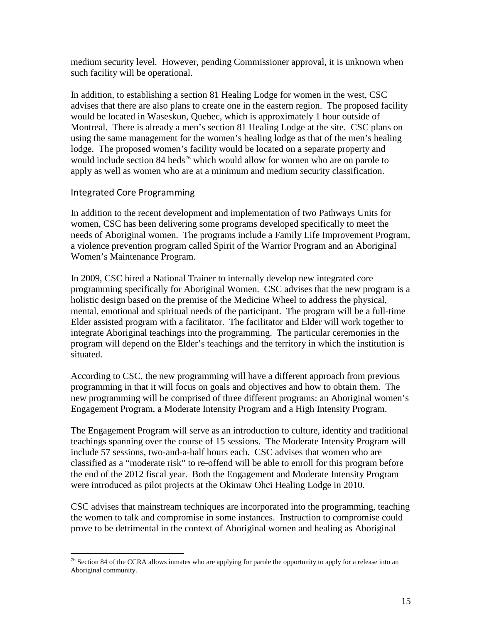medium security level. However, pending Commissioner approval, it is unknown when such facility will be operational.

In addition, to establishing a section 81 Healing Lodge for women in the west, CSC advises that there are also plans to create one in the eastern region. The proposed facility would be located in Waseskun, Quebec, which is approximately 1 hour outside of Montreal. There is already a men's section 81 Healing Lodge at the site. CSC plans on using the same management for the women's healing lodge as that of the men's healing lodge. The proposed women's facility would be located on a separate property and would include section 84 beds<sup>[76](#page-19-3)</sup> which would allow for women who are on parole to apply as well as women who are at a minimum and medium security classification.

### <span id="page-20-0"></span>Integrated Core Programming

In addition to the recent development and implementation of two Pathways Units for women, CSC has been delivering some programs developed specifically to meet the needs of Aboriginal women. The programs include a Family Life Improvement Program, a violence prevention program called Spirit of the Warrior Program and an Aboriginal Women's Maintenance Program.

In 2009, CSC hired a National Trainer to internally develop new integrated core programming specifically for Aboriginal Women. CSC advises that the new program is a holistic design based on the premise of the Medicine Wheel to address the physical, mental, emotional and spiritual needs of the participant. The program will be a full-time Elder assisted program with a facilitator. The facilitator and Elder will work together to integrate Aboriginal teachings into the programming. The particular ceremonies in the program will depend on the Elder's teachings and the territory in which the institution is situated.

According to CSC, the new programming will have a different approach from previous programming in that it will focus on goals and objectives and how to obtain them. The new programming will be comprised of three different programs: an Aboriginal women's Engagement Program, a Moderate Intensity Program and a High Intensity Program.

The Engagement Program will serve as an introduction to culture, identity and traditional teachings spanning over the course of 15 sessions. The Moderate Intensity Program will include 57 sessions, two-and-a-half hours each. CSC advises that women who are classified as a "moderate risk" to re-offend will be able to enroll for this program before the end of the 2012 fiscal year. Both the Engagement and Moderate Intensity Program were introduced as pilot projects at the Okimaw Ohci Healing Lodge in 2010.

<span id="page-20-1"></span>CSC advises that mainstream techniques are incorporated into the programming, teaching the women to talk and compromise in some instances. Instruction to compromise could prove to be detrimental in the context of Aboriginal women and healing as Aboriginal

<sup>&</sup>lt;sup>76</sup> Section 84 of the CCRA allows inmates who are applying for parole the opportunity to apply for a release into an Aboriginal community.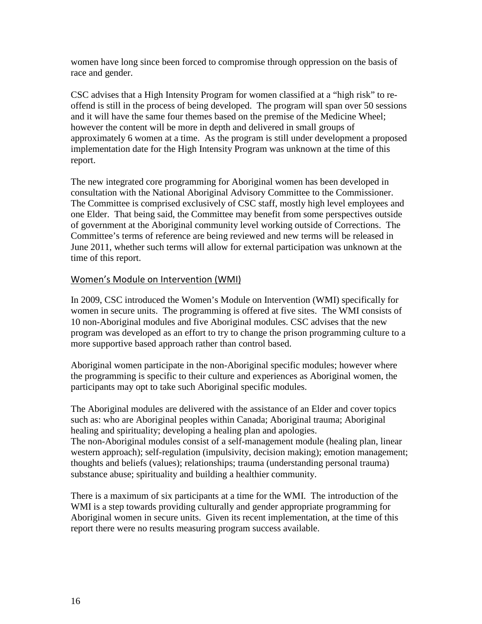women have long since been forced to compromise through oppression on the basis of race and gender.

CSC advises that a High Intensity Program for women classified at a "high risk" to reoffend is still in the process of being developed. The program will span over 50 sessions and it will have the same four themes based on the premise of the Medicine Wheel; however the content will be more in depth and delivered in small groups of approximately 6 women at a time. As the program is still under development a proposed implementation date for the High Intensity Program was unknown at the time of this report.

The new integrated core programming for Aboriginal women has been developed in consultation with the National Aboriginal Advisory Committee to the Commissioner. The Committee is comprised exclusively of CSC staff, mostly high level employees and one Elder. That being said, the Committee may benefit from some perspectives outside of government at the Aboriginal community level working outside of Corrections. The Committee's terms of reference are being reviewed and new terms will be released in June 2011, whether such terms will allow for external participation was unknown at the time of this report.

### <span id="page-21-0"></span>Women's Module on Intervention (WMI)

In 2009, CSC introduced the Women's Module on Intervention (WMI) specifically for women in secure units. The programming is offered at five sites. The WMI consists of 10 non-Aboriginal modules and five Aboriginal modules. CSC advises that the new program was developed as an effort to try to change the prison programming culture to a more supportive based approach rather than control based.

Aboriginal women participate in the non-Aboriginal specific modules; however where the programming is specific to their culture and experiences as Aboriginal women, the participants may opt to take such Aboriginal specific modules.

The Aboriginal modules are delivered with the assistance of an Elder and cover topics such as: who are Aboriginal peoples within Canada; Aboriginal trauma; Aboriginal healing and spirituality; developing a healing plan and apologies. The non-Aboriginal modules consist of a self-management module (healing plan, linear western approach); self-regulation (impulsivity, decision making); emotion management; thoughts and beliefs (values); relationships; trauma (understanding personal trauma) substance abuse; spirituality and building a healthier community.

There is a maximum of six participants at a time for the WMI. The introduction of the WMI is a step towards providing culturally and gender appropriate programming for Aboriginal women in secure units. Given its recent implementation, at the time of this report there were no results measuring program success available.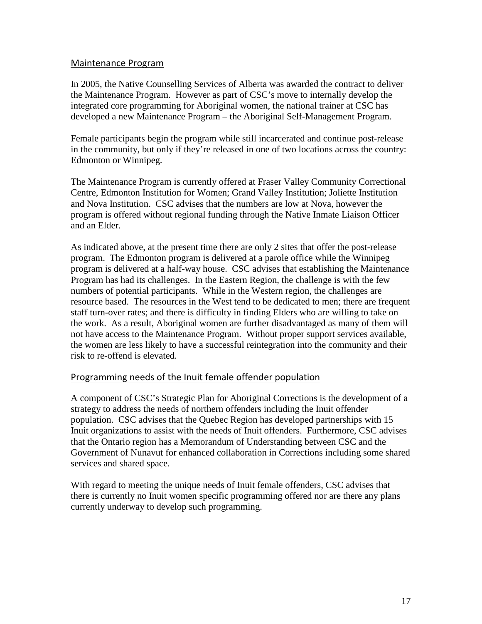### <span id="page-22-0"></span>Maintenance Program

In 2005, the Native Counselling Services of Alberta was awarded the contract to deliver the Maintenance Program. However as part of CSC's move to internally develop the integrated core programming for Aboriginal women, the national trainer at CSC has developed a new Maintenance Program – the Aboriginal Self-Management Program.

Female participants begin the program while still incarcerated and continue post-release in the community, but only if they're released in one of two locations across the country: Edmonton or Winnipeg.

The Maintenance Program is currently offered at Fraser Valley Community Correctional Centre, Edmonton Institution for Women; Grand Valley Institution; Joliette Institution and Nova Institution. CSC advises that the numbers are low at Nova, however the program is offered without regional funding through the Native Inmate Liaison Officer and an Elder.

As indicated above, at the present time there are only 2 sites that offer the post-release program. The Edmonton program is delivered at a parole office while the Winnipeg program is delivered at a half-way house. CSC advises that establishing the Maintenance Program has had its challenges. In the Eastern Region, the challenge is with the few numbers of potential participants. While in the Western region, the challenges are resource based. The resources in the West tend to be dedicated to men; there are frequent staff turn-over rates; and there is difficulty in finding Elders who are willing to take on the work. As a result, Aboriginal women are further disadvantaged as many of them will not have access to the Maintenance Program. Without proper support services available, the women are less likely to have a successful reintegration into the community and their risk to re-offend is elevated.

### <span id="page-22-1"></span>Programming needs of the Inuit female offender population

A component of CSC's Strategic Plan for Aboriginal Corrections is the development of a strategy to address the needs of northern offenders including the Inuit offender population. CSC advises that the Quebec Region has developed partnerships with 15 Inuit organizations to assist with the needs of Inuit offenders. Furthermore, CSC advises that the Ontario region has a Memorandum of Understanding between CSC and the Government of Nunavut for enhanced collaboration in Corrections including some shared services and shared space.

With regard to meeting the unique needs of Inuit female offenders, CSC advises that there is currently no Inuit women specific programming offered nor are there any plans currently underway to develop such programming.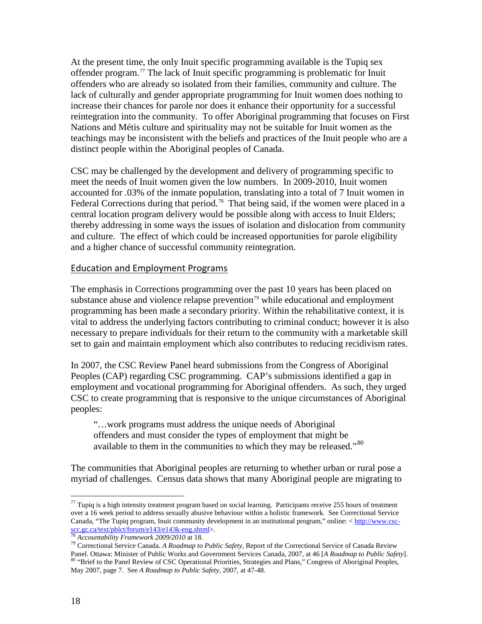At the present time, the only Inuit specific programming available is the Tupiq sex offender program. [77](#page-20-1) The lack of Inuit specific programming is problematic for Inuit offenders who are already so isolated from their families, community and culture. The lack of culturally and gender appropriate programming for Inuit women does nothing to increase their chances for parole nor does it enhance their opportunity for a successful reintegration into the community. To offer Aboriginal programming that focuses on First Nations and Métis culture and spirituality may not be suitable for Inuit women as the teachings may be inconsistent with the beliefs and practices of the Inuit people who are a distinct people within the Aboriginal peoples of Canada.

CSC may be challenged by the development and delivery of programming specific to meet the needs of Inuit women given the low numbers. In 2009-2010, Inuit women accounted for .03% of the inmate population, translating into a total of 7 Inuit women in Federal Corrections during that period.<sup>[78](#page-23-1)</sup> That being said, if the women were placed in a central location program delivery would be possible along with access to Inuit Elders; thereby addressing in some ways the issues of isolation and dislocation from community and culture. The effect of which could be increased opportunities for parole eligibility and a higher chance of successful community reintegration.

### <span id="page-23-0"></span>Education and Employment Programs

The emphasis in Corrections programming over the past 10 years has been placed on substance abuse and violence relapse prevention<sup>[79](#page-23-2)</sup> while educational and employment programming has been made a secondary priority. Within the rehabilitative context, it is vital to address the underlying factors contributing to criminal conduct; however it is also necessary to prepare individuals for their return to the community with a marketable skill set to gain and maintain employment which also contributes to reducing recidivism rates.

In 2007, the CSC Review Panel heard submissions from the Congress of Aboriginal Peoples (CAP) regarding CSC programming. CAP's submissions identified a gap in employment and vocational programming for Aboriginal offenders. As such, they urged CSC to create programming that is responsive to the unique circumstances of Aboriginal peoples:

"…work programs must address the unique needs of Aboriginal offenders and must consider the types of employment that might be available to them in the communities to which they may be released."[80](#page-23-3)

The communities that Aboriginal peoples are returning to whether urban or rural pose a myriad of challenges. Census data shows that many Aboriginal people are migrating to

 $77$  Tupiq is a high intensity treatment program based on social learning. Participants receive 255 hours of treatment over a 16 week period to address sexually abusive behaviour within a holistic framework. See Correctional Service Canada, "The Tupiq program, Inuit community development in an institutional program," online:  $\frac{\text{http://www.csc-  
sc.cgc.ca/text/plot/forum/e143/e143k-eng.shtml>}}{78.4}$ .

<span id="page-23-4"></span><span id="page-23-3"></span><span id="page-23-2"></span><span id="page-23-1"></span><sup>&</sup>lt;sup>[78](http://www.csc-scc.gc.ca/text/pblct/forum/e143/e143k-eng.shtml)</sup> *Accountability Framework 2009/2010* at 18. *The Accountability Framework 2009/2010* at 18. <sup>79</sup> Correctional Service of Canada Review *Public Safety*, Report of the Correctional Service of Canada Review Panel. Ottawa 80 "Brief to the Panel Review of CSC Operational Priorities, Strategies and Plans," Congress of Aboriginal Peoples, May 2007, page 7. See *A Roadmap to Public Safety*, 2007, at 47-48.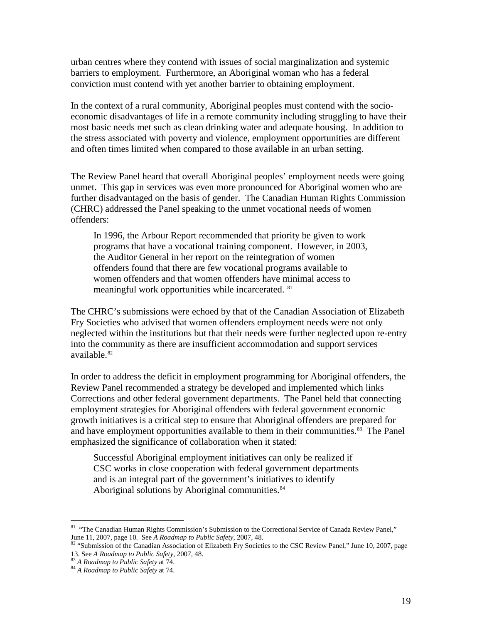urban centres where they contend with issues of social marginalization and systemic barriers to employment. Furthermore, an Aboriginal woman who has a federal conviction must contend with yet another barrier to obtaining employment.

In the context of a rural community, Aboriginal peoples must contend with the socioeconomic disadvantages of life in a remote community including struggling to have their most basic needs met such as clean drinking water and adequate housing. In addition to the stress associated with poverty and violence, employment opportunities are different and often times limited when compared to those available in an urban setting.

The Review Panel heard that overall Aboriginal peoples' employment needs were going unmet. This gap in services was even more pronounced for Aboriginal women who are further disadvantaged on the basis of gender. The Canadian Human Rights Commission (CHRC) addressed the Panel speaking to the unmet vocational needs of women offenders:

In 1996, the Arbour Report recommended that priority be given to work programs that have a vocational training component. However, in 2003, the Auditor General in her report on the reintegration of women offenders found that there are few vocational programs available to women offenders and that women offenders have minimal access to meaningful work opportunities while incarcerated. <sup>[81](#page-23-4)</sup>

The CHRC's submissions were echoed by that of the Canadian Association of Elizabeth Fry Societies who advised that women offenders employment needs were not only neglected within the institutions but that their needs were further neglected upon re-entry into the community as there are insufficient accommodation and support services available.[82](#page-24-0)

In order to address the deficit in employment programming for Aboriginal offenders, the Review Panel recommended a strategy be developed and implemented which links Corrections and other federal government departments. The Panel held that connecting employment strategies for Aboriginal offenders with federal government economic growth initiatives is a critical step to ensure that Aboriginal offenders are prepared for and have employment opportunities available to them in their communities.<sup>[83](#page-24-1)</sup> The Panel emphasized the significance of collaboration when it stated:

Successful Aboriginal employment initiatives can only be realized if CSC works in close cooperation with federal government departments and is an integral part of the government's initiatives to identify Aboriginal solutions by Aboriginal communities.<sup>[84](#page-24-2)</sup>

<span id="page-24-3"></span><sup>&</sup>lt;sup>81</sup> "The Canadian Human Rights Commission's Submission to the Correctional Service of Canada Review Panel,"

<span id="page-24-0"></span>June 11, 2007, page 10. See *A Roadmap to Public Safety*, 2007, 48.<br><sup>82</sup> "Submission of the Canadian Association of Elizabeth Fry Societies to the CSC Review Panel," June 10, 2007, page<br>13. See *A Roadmap to Public Safety* 

<span id="page-24-2"></span><span id="page-24-1"></span><sup>&</sup>lt;sup>83</sup> A Roadmap to Public Safety at 74.<br><sup>84</sup> A Roadmap to Public Safety at 74.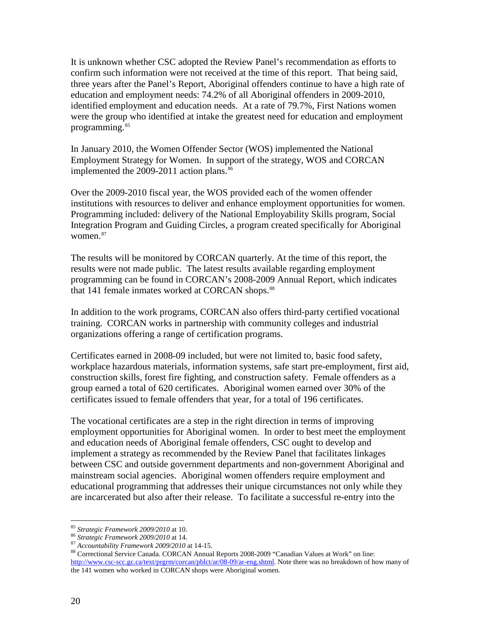It is unknown whether CSC adopted the Review Panel's recommendation as efforts to confirm such information were not received at the time of this report. That being said, three years after the Panel's Report, Aboriginal offenders continue to have a high rate of education and employment needs: 74.2% of all Aboriginal offenders in 2009-2010, identified employment and education needs. At a rate of 79.7%, First Nations women were the group who identified at intake the greatest need for education and employment programming.<sup>[85](#page-24-3)</sup>

In January 2010, the Women Offender Sector (WOS) implemented the National Employment Strategy for Women. In support of the strategy, WOS and CORCAN implemented the  $2009-2011$  action plans.<sup>[86](#page-25-0)</sup>

Over the 2009-2010 fiscal year, the WOS provided each of the women offender institutions with resources to deliver and enhance employment opportunities for women. Programming included: delivery of the National Employability Skills program, Social Integration Program and Guiding Circles, a program created specifically for Aboriginal women.<sup>[87](#page-25-1)</sup>

The results will be monitored by CORCAN quarterly. At the time of this report, the results were not made public. The latest results available regarding employment programming can be found in CORCAN's 2008-2009 Annual Report, which indicates that 141 female inmates worked at CORCAN shops.<sup>[88](#page-25-2)</sup>

In addition to the work programs, CORCAN also offers third-party certified vocational training. CORCAN works in partnership with community colleges and industrial organizations offering a range of certification programs.

Certificates earned in 2008-09 included, but were not limited to, basic food safety, workplace hazardous materials, information systems, safe start pre-employment, first aid, construction skills, forest fire fighting, and construction safety. Female offenders as a group earned a total of 620 certificates. Aboriginal women earned over 30% of the certificates issued to female offenders that year, for a total of 196 certificates.

The vocational certificates are a step in the right direction in terms of improving employment opportunities for Aboriginal women. In order to best meet the employment and education needs of Aboriginal female offenders, CSC ought to develop and implement a strategy as recommended by the Review Panel that facilitates linkages between CSC and outside government departments and non-government Aboriginal and mainstream social agencies. Aboriginal women offenders require employment and educational programming that addresses their unique circumstances not only while they are incarcerated but also after their release. To facilitate a successful re-entry into the

<span id="page-25-2"></span><span id="page-25-1"></span>

<span id="page-25-0"></span><sup>&</sup>lt;sup>85</sup> Strategic Framework 2009/2010 at 10.<br><sup>86</sup> Strategic Framework 2009/2010 at 14.<br><sup>87</sup> Accountability Framework 2009/2010 at 14-15.<br><sup>87</sup> Accountability Framework 2009/2010 at 14-15.<br><sup>88</sup> Correctional Service Canada. COR [http://www.csc-scc.gc.ca/text/prgrm/corcan/pblct/ar/08-09/ar-eng.shtml.](http://www.csc-scc.gc.ca/text/prgrm/corcan/pblct/ar/08-09/ar-eng.shtml) Note there was no breakdown of how many of the 141 women who worked in CORCAN shops were Aboriginal women.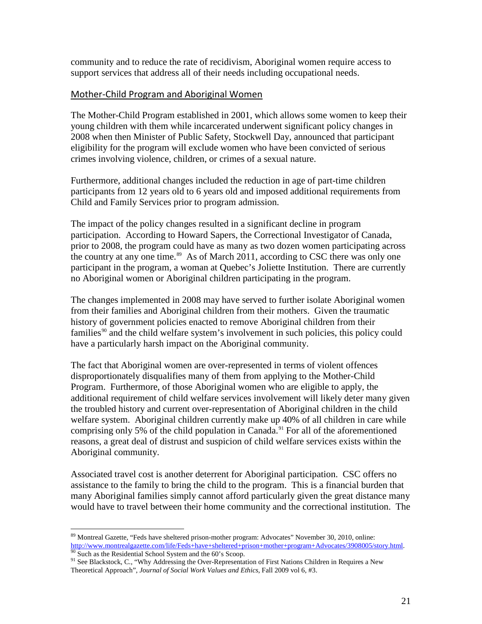community and to reduce the rate of recidivism, Aboriginal women require access to support services that address all of their needs including occupational needs.

### <span id="page-26-0"></span>Mother-Child Program and Aboriginal Women

The Mother-Child Program established in 2001, which allows some women to keep their young children with them while incarcerated underwent significant policy changes in 2008 when then Minister of Public Safety, Stockwell Day, announced that participant eligibility for the program will exclude women who have been convicted of serious crimes involving violence, children, or crimes of a sexual nature.

Furthermore, additional changes included the reduction in age of part-time children participants from 12 years old to 6 years old and imposed additional requirements from Child and Family Services prior to program admission.

The impact of the policy changes resulted in a significant decline in program participation. According to Howard Sapers, the Correctional Investigator of Canada, prior to 2008, the program could have as many as two dozen women participating across the country at any one time.<sup>[89](#page-25-0)</sup> As of March 2011, according to CSC there was only one participant in the program, a woman at Quebec's Joliette Institution. There are currently no Aboriginal women or Aboriginal children participating in the program.

The changes implemented in 2008 may have served to further isolate Aboriginal women from their families and Aboriginal children from their mothers. Given the traumatic history of government policies enacted to remove Aboriginal children from their families<sup>[90](#page-26-1)</sup> and the child welfare system's involvement in such policies, this policy could have a particularly harsh impact on the Aboriginal community.

The fact that Aboriginal women are over-represented in terms of violent offences disproportionately disqualifies many of them from applying to the Mother-Child Program. Furthermore, of those Aboriginal women who are eligible to apply, the additional requirement of child welfare services involvement will likely deter many given the troubled history and current over-representation of Aboriginal children in the child welfare system. Aboriginal children currently make up 40% of all children in care while comprising only 5% of the child population in Canada.<sup>[91](#page-26-2)</sup> For all of the aforementioned reasons, a great deal of distrust and suspicion of child welfare services exists within the Aboriginal community.

Associated travel cost is another deterrent for Aboriginal participation. CSC offers no assistance to the family to bring the child to the program. This is a financial burden that many Aboriginal families simply cannot afford particularly given the great distance many would have to travel between their home community and the correctional institution. The

 <sup>89</sup> Montreal Gazette, "Feds have sheltered prison-mother program: Advocates" November 30, 2010, online: [http://www.montrealgazette.com/life/Feds+have+sheltered+prison+mother+program+Advocates/3908005/story.html.](http://www.montrealgazette.com/life/Feds+have+sheltered+prison+mother+program+Advocates/3908005/story.html)<br><sup>90</sup> Such as the Residential School System and the 60's Scoop.

<span id="page-26-3"></span><span id="page-26-2"></span><span id="page-26-1"></span><sup>&</sup>lt;sup>91</sup> See Blackstock, C., "Why Addressing the Over-Representation of First Nations Children in Requires a New Theoretical Approach", *Journal of Social Work Values and Ethics*, Fall 2009 vol 6, #3.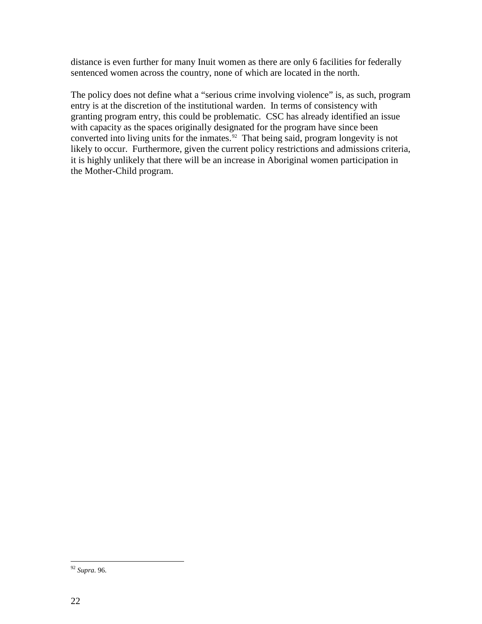distance is even further for many Inuit women as there are only 6 facilities for federally sentenced women across the country, none of which are located in the north.

The policy does not define what a "serious crime involving violence" is, as such, program entry is at the discretion of the institutional warden. In terms of consistency with granting program entry, this could be problematic. CSC has already identified an issue with capacity as the spaces originally designated for the program have since been converted into living units for the inmates.<sup>[92](#page-26-3)</sup> That being said, program longevity is not likely to occur. Furthermore, given the current policy restrictions and admissions criteria, it is highly unlikely that there will be an increase in Aboriginal women participation in the Mother-Child program.

<span id="page-27-0"></span> <sup>92</sup> *Supra.* 96.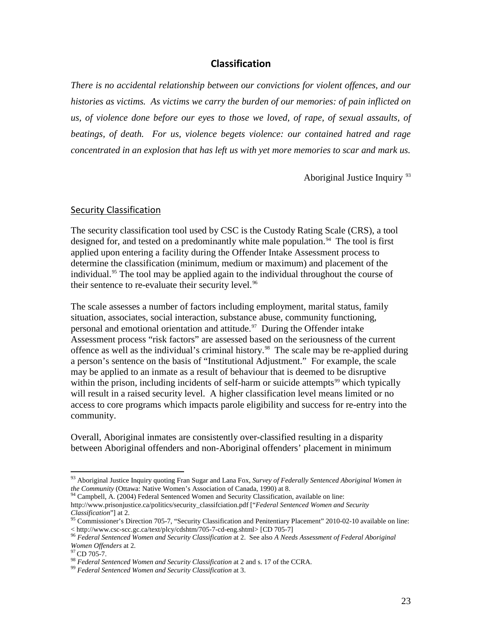### **Classification**

<span id="page-28-0"></span>*There is no accidental relationship between our convictions for violent offences, and our histories as victims. As victims we carry the burden of our memories: of pain inflicted on us, of violence done before our eyes to those we loved, of rape, of sexual assaults, of beatings, of death. For us, violence begets violence: our contained hatred and rage concentrated in an explosion that has left us with yet more memories to scar and mark us.*

Aboriginal Justice Inquiry <sup>[93](#page-27-0)</sup>

#### <span id="page-28-1"></span>Security Classification

The security classification tool used by CSC is the Custody Rating Scale (CRS), a tool designed for, and tested on a predominantly white male population.<sup>94</sup> The tool is first applied upon entering a facility during the Offender Intake Assessment process to determine the classification (minimum, medium or maximum) and placement of the individual.<sup>[95](#page-28-3)</sup> The tool may be applied again to the individual throughout the course of their sentence to re-evaluate their security level.<sup>[96](#page-28-4)</sup>

The scale assesses a number of factors including employment, marital status, family situation, associates, social interaction, substance abuse, community functioning, personal and emotional orientation and attitude. $97$  During the Offender intake Assessment process "risk factors" are assessed based on the seriousness of the current offence as well as the individual's criminal history.<sup>98</sup> The scale may be re-applied during a person's sentence on the basis of "Institutional Adjustment." For example, the scale may be applied to an inmate as a result of behaviour that is deemed to be disruptive within the prison, including incidents of self-harm or suicide attempts<sup>[99](#page-28-7)</sup> which typically will result in a raised security level. A higher classification level means limited or no access to core programs which impacts parole eligibility and success for re-entry into the community.

<span id="page-28-8"></span>Overall, Aboriginal inmates are consistently over-classified resulting in a disparity between Aboriginal offenders and non-Aboriginal offenders' placement in minimum

 <sup>93</sup> Aboriginal Justice Inquiry quoting Fran Sugar and Lana Fox, *Survey of Federally Sentenced Aboriginal Women in the Community* (Ottawa: Native Women's Association of Canada, 1990) at 8.<br><sup>94</sup> Campbell, A. (2004) Federal Sentenced Women and Security Classification, available on line:

<span id="page-28-2"></span>[http://www.prisonjustice.ca/politics/security\\_classifciation.pdf](http://www.prisonjustice.ca/politics/security_classifciation.pdf) ["*Federal Sentenced Women and Security* 

*Classification*"] at 2.<br><sup>95</sup> Commissioner's Direction 705-7, "Security Classification and Penitentiary Placement" 2010-02-10 available on line:

<span id="page-28-4"></span><span id="page-28-3"></span>[<sup>&</sup>lt; http://www.csc-scc.gc.ca/text/plcy/cdshtm/705-7-cd-eng.shtml>](http://www.csc-scc.gc.ca/text/plcy/cdshtm/705-7-cd-eng.shtml) [CD 705-7] <sup>96</sup> *Federal Sentenced Women and Security Classification* at 2. See also *A Needs Assessment of Federal Aboriginal* 

<span id="page-28-6"></span><span id="page-28-5"></span><sup>&</sup>lt;sup>97</sup> CD 705-7.<br><sup>98</sup> *Federal Sentenced Women and Security Classification* at 2 and s. 17 of the CCRA.<br><sup>99</sup> *Federal Sentenced Women and Security Classification* at 3.

<span id="page-28-7"></span>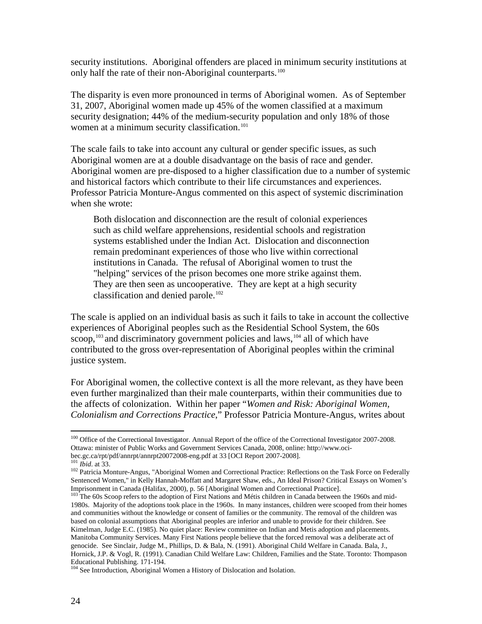security institutions. Aboriginal offenders are placed in minimum security institutions at only half the rate of their non-Aboriginal counterparts.<sup>[100](#page-28-8)</sup>

The disparity is even more pronounced in terms of Aboriginal women. As of September 31, 2007, Aboriginal women made up 45% of the women classified at a maximum security designation; 44% of the medium-security population and only 18% of those women at a minimum security classification.<sup>[101](#page-29-0)</sup>

The scale fails to take into account any cultural or gender specific issues, as such Aboriginal women are at a double disadvantage on the basis of race and gender. Aboriginal women are pre-disposed to a higher classification due to a number of systemic and historical factors which contribute to their life circumstances and experiences. Professor Patricia Monture-Angus commented on this aspect of systemic discrimination when she wrote:

Both dislocation and disconnection are the result of colonial experiences such as child welfare apprehensions, residential schools and registration systems established under the Indian Act. Dislocation and disconnection remain predominant experiences of those who live within correctional institutions in Canada. The refusal of Aboriginal women to trust the "helping" services of the prison becomes one more strike against them. They are then seen as uncooperative. They are kept at a high security classification and denied parole.<sup>[102](#page-29-1)</sup>

The scale is applied on an individual basis as such it fails to take in account the collective experiences of Aboriginal peoples such as the Residential School System, the 60s scoop,  $103$  and discriminatory government policies and laws,  $104$  all of which have contributed to the gross over-representation of Aboriginal peoples within the criminal justice system.

For Aboriginal women, the collective context is all the more relevant, as they have been even further marginalized than their male counterparts, within their communities due to the affects of colonization. Within her paper "*Women and Risk: Aboriginal Women, Colonialism and Corrections Practice*," Professor Patricia Monture-Angus, writes about

<sup>&</sup>lt;sup>100</sup> Office of the Correctional Investigator. Annual Report of the office of the Correctional Investigator 2007-2008. Ottawa: minister of Public Works and Government Services Canada, 2008, online: [http://www.oci-](http://www.oci-bec.gc.ca/rpt/pdf/annrpt/annrpt20072008-eng.pdf)

<span id="page-29-1"></span>

<span id="page-29-0"></span>bec.gc.ca/rpt/pdf/annrpt/annrpt20072008-eng.pdf at 33 [OCI Report 2007-2008].<br><sup>[101](http://www.oci-bec.gc.ca/rpt/pdf/annrpt/annrpt20072008-eng.pdf)</sup> *Ibid.* at 33.<br><sup>102</sup> Patricia Monture-Angus, "Aboriginal Women and Correctional Practice: Reflections on the Task Force on Federally Sentenced Women," in Kelly Hannah-Moffatt and Margaret Shaw, eds., An Ideal Prison? Critical Essays on Women's Imprisonment in Canada (Halifax, 2000), p. 56 [Aboriginal Women and Correctional Practice].<br><sup>103</sup> The 60s Scoop refers to the adoption of First Nations and Métis children in Canada between the 1960s and mid-

<span id="page-29-4"></span><span id="page-29-2"></span><sup>1980</sup>s. Majority of the adoptions took place in the 1960s. In many instances, children were scooped from their homes and communities without the knowledge or consent of families or the community. The removal of the children was based on colonial assumptions that Aboriginal peoples are inferior and unable to provide for their children. See Kimelman, Judge E.C. (1985). No quiet place: Review committee on Indian and Metis adoption and placements. Manitoba Community Services. Many First Nations people believe that the forced removal was a deliberate act of genocide. See Sinclair, Judge M., Phillips, D. & Bala, N. (1991). Aboriginal Child Welfare in Canada. Bala, J., Hornick, J.P. & Vogl, R. (1991). Canadian Child Welfare Law: Children, Families and the State. Toronto: Thompason

<span id="page-29-3"></span><sup>&</sup>lt;sup>104</sup> See Introduction, Aboriginal Women a History of Dislocation and Isolation.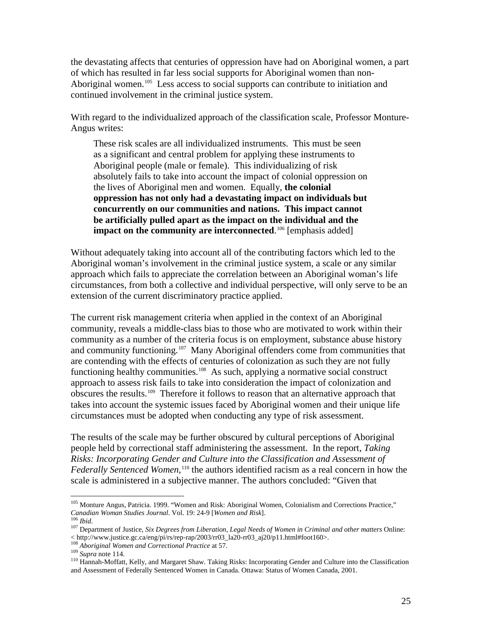the devastating affects that centuries of oppression have had on Aboriginal women, a part of which has resulted in far less social supports for Aboriginal women than non-Aboriginal women.<sup>[105](#page-29-4)</sup> Less access to social supports can contribute to initiation and continued involvement in the criminal justice system.

With regard to the individualized approach of the classification scale, Professor Monture-Angus writes:

These risk scales are all individualized instruments. This must be seen as a significant and central problem for applying these instruments to Aboriginal people (male or female). This individualizing of risk absolutely fails to take into account the impact of colonial oppression on the lives of Aboriginal men and women. Equally, **the colonial oppression has not only had a devastating impact on individuals but concurrently on our communities and nations. This impact cannot be artificially pulled apart as the impact on the individual and the**  impact on the community are interconnected.<sup>[106](#page-30-0)</sup> [emphasis added]

Without adequately taking into account all of the contributing factors which led to the Aboriginal woman's involvement in the criminal justice system, a scale or any similar approach which fails to appreciate the correlation between an Aboriginal woman's life circumstances, from both a collective and individual perspective, will only serve to be an extension of the current discriminatory practice applied.

The current risk management criteria when applied in the context of an Aboriginal community, reveals a middle-class bias to those who are motivated to work within their community as a number of the criteria focus is on employment, substance abuse history and community functioning.<sup>107</sup> Many Aboriginal offenders come from communities that are contending with the effects of centuries of colonization as such they are not fully functioning healthy communities.<sup>[108](#page-30-2)</sup> As such, applying a normative social construct approach to assess risk fails to take into consideration the impact of colonization and obscures the results.[109](#page-30-3) Therefore it follows to reason that an alternative approach that takes into account the systemic issues faced by Aboriginal women and their unique life circumstances must be adopted when conducting any type of risk assessment.

The results of the scale may be further obscured by cultural perceptions of Aboriginal people held by correctional staff administering the assessment. In the report, *Taking Risks: Incorporating Gender and Culture into the Classification and Assessment of*  Federally Sentenced Women,<sup>[110](#page-30-4)</sup> the authors identified racism as a real concern in how the scale is administered in a subjective manner. The authors concluded: "Given that

<span id="page-30-5"></span><span id="page-30-2"></span>

<sup>&</sup>lt;sup>105</sup> Monture Angus, Patricia. 1999. "Women and Risk: Aboriginal Women, Colonialism and Corrections Practice," Canadian Woman Studies Journal. Vol. 19: 24-9 [Women and Risk].

<span id="page-30-1"></span><span id="page-30-0"></span><sup>&</sup>lt;sup>106</sup> *Ibid. Canadian Woman Studies <i>Six Degrees from Liberation, Legal Needs of Women in Criminal and other matters* Online: < http://www.justice.gc.ca/eng/pi/rs/rep-rap/2003/rr03\_la20-rr03\_aj20/p11.html#foot160>.<br>
<sup>108</sup> Aboriginal Women and Correctional Practice at 57.<br>
<sup>109</sup> Supra note 114.<br>
<sup>110</sup> Hannah-Moffatt, Kelly, and Margaret Shaw. Taki

<span id="page-30-4"></span><span id="page-30-3"></span>and Assessment of Federally Sentenced Women in Canada. Ottawa: Status of Women Canada, 2001.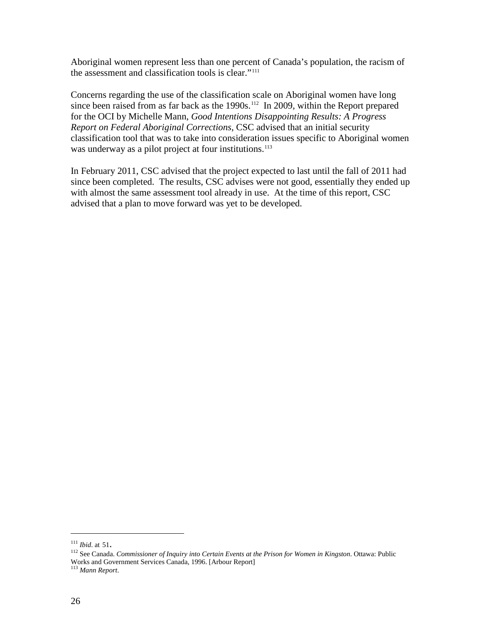Aboriginal women represent less than one percent of Canada's population, the racism of the assessment and classification tools is clear."[111](#page-30-5)

Concerns regarding the use of the classification scale on Aboriginal women have long since been raised from as far back as the 1990s.<sup>112</sup> In 2009, within the Report prepared for the OCI by Michelle Mann, *Good Intentions Disappointing Results: A Progress Report on Federal Aboriginal Corrections*, CSC advised that an initial security classification tool that was to take into consideration issues specific to Aboriginal women was underway as a pilot project at four institutions.<sup>[113](#page-31-1)</sup>

In February 2011, CSC advised that the project expected to last until the fall of 2011 had since been completed. The results, CSC advises were not good, essentially they ended up with almost the same assessment tool already in use. At the time of this report, CSC advised that a plan to move forward was yet to be developed.

<span id="page-31-2"></span><span id="page-31-0"></span><sup>&</sup>lt;sup>111</sup> *Ibid.* at 51.<br><sup>112</sup> See Canada. *Commissioner of Inquiry into Certain Events at the Prison for Women in Kingston. Ottawa: Public* Works and Government Services Canada, 1996. [Arbour Report]

<span id="page-31-1"></span><sup>113</sup> *Mann Report*.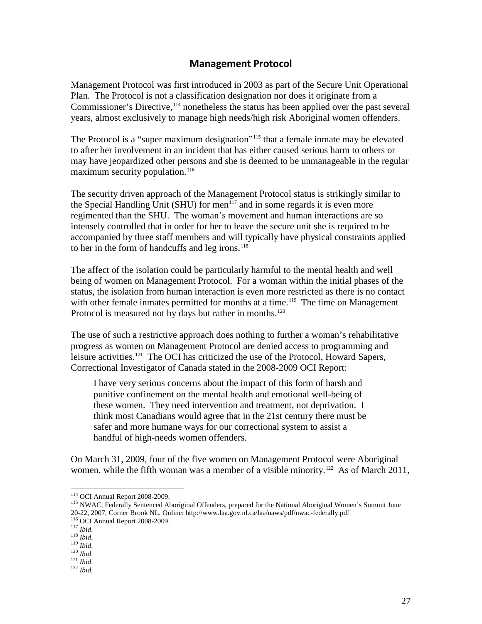### **Management Protocol**

<span id="page-32-0"></span>Management Protocol was first introduced in 2003 as part of the Secure Unit Operational Plan. The Protocol is not a classification designation nor does it originate from a Commissioner's Directive, <sup>[114](#page-31-2)</sup> nonetheless the status has been applied over the past several years, almost exclusively to manage high needs/high risk Aboriginal women offenders.

The Protocol is a "super maximum designation"<sup>[115](#page-32-1)</sup> that a female inmate may be elevated to after her involvement in an incident that has either caused serious harm to others or may have jeopardized other persons and she is deemed to be unmanageable in the regular maximum security population. $116$ 

The security driven approach of the Management Protocol status is strikingly similar to the Special Handling Unit (SHU) for men<sup> $117$ </sup> and in some regards it is even more regimented than the SHU. The woman's movement and human interactions are so intensely controlled that in order for her to leave the secure unit she is required to be accompanied by three staff members and will typically have physical constraints applied to her in the form of handcuffs and leg irons.<sup>[118](#page-32-4)</sup>

The affect of the isolation could be particularly harmful to the mental health and well being of women on Management Protocol. For a woman within the initial phases of the status, the isolation from human interaction is even more restricted as there is no contact with other female inmates permitted for months at a time.<sup>[119](#page-32-5)</sup> The time on Management Protocol is measured not by days but rather in months.<sup>[120](#page-32-6)</sup>

The use of such a restrictive approach does nothing to further a woman's rehabilitative progress as women on Management Protocol are denied access to programming and leisure activities.[121](#page-32-7) The OCI has criticized the use of the Protocol, Howard Sapers, Correctional Investigator of Canada stated in the 2008-2009 OCI Report:

I have very serious concerns about the impact of this form of harsh and punitive confinement on the mental health and emotional well-being of these women. They need intervention and treatment, not deprivation. I think most Canadians would agree that in the 21st century there must be safer and more humane ways for our correctional system to assist a handful of high-needs women offenders.

On March 31, 2009, four of the five women on Management Protocol were Aboriginal women, while the fifth woman was a member of a visible minority.<sup>122</sup> As of March 2011,

<span id="page-32-1"></span><sup>&</sup>lt;sup>114</sup> OCI Annual Report 2008-2009.<br><sup>115</sup> NWAC, Federally Sentenced Aboriginal Offenders, prepared for the National Aboriginal Women's Summit June<br>20-22, 2007, Corner Brook NL. Online: http://www.laa.gov.nl.ca/laa/naws/pdf/ 20-22, 2007, Corner Brook NL. Online: http://www.laa.gov.nl.ca/laa/naws/pdf/nwac-federally.pdf<br><sup>116</sup> OCI Annual Report 2008-2009.<br><sup>117</sup> *Ibid.*<br><sup>118</sup> *Ibid.*<br><sup>118</sup> *Ibid.*<br><sup>120</sup> *Ibid.*<br><sup>121</sup> *Ibid.*<br><sup>121</sup> *Ibid.* 

<span id="page-32-2"></span>

<span id="page-32-3"></span>

<span id="page-32-5"></span><span id="page-32-4"></span>

<span id="page-32-6"></span>

<span id="page-32-7"></span>

<span id="page-32-8"></span>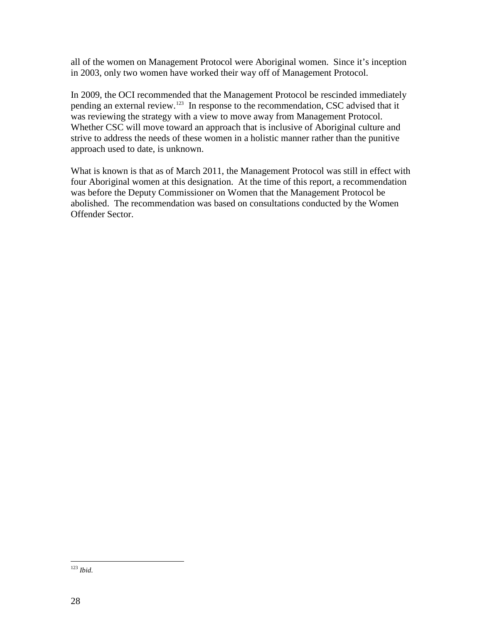all of the women on Management Protocol were Aboriginal women. Since it's inception in 2003, only two women have worked their way off of Management Protocol.

In 2009, the OCI recommended that the Management Protocol be rescinded immediately pending an external review.[123](#page-32-8) In response to the recommendation, CSC advised that it was reviewing the strategy with a view to move away from Management Protocol. Whether CSC will move toward an approach that is inclusive of Aboriginal culture and strive to address the needs of these women in a holistic manner rather than the punitive approach used to date, is unknown.

What is known is that as of March 2011, the Management Protocol was still in effect with four Aboriginal women at this designation. At the time of this report, a recommendation was before the Deputy Commissioner on Women that the Management Protocol be abolished. The recommendation was based on consultations conducted by the Women Offender Sector.

<span id="page-33-0"></span> <sup>123</sup> *Ibid*.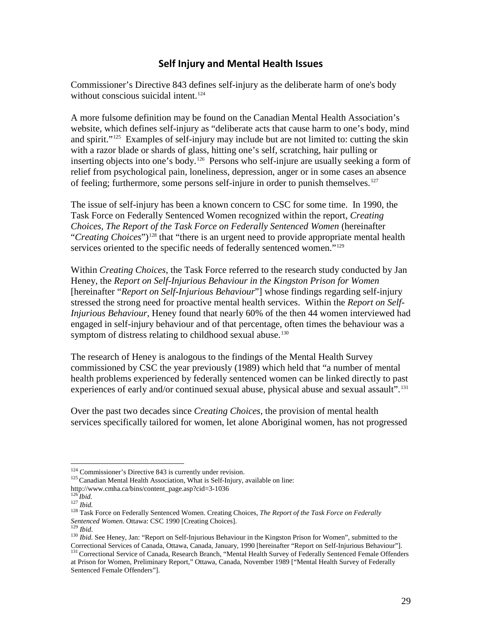# **Self Injury and Mental Health Issues**

<span id="page-34-0"></span>Commissioner's Directive 843 defines self-injury as the deliberate harm of one's body without conscious suicidal intent.<sup>[124](#page-33-0)</sup>

A more fulsome definition may be found on the Canadian Mental Health Association's website, which defines self-injury as "deliberate acts that cause harm to one's body, mind and spirit."<sup>125</sup> Examples of self-injury may include but are not limited to: cutting the skin with a razor blade or shards of glass, hitting one's self, scratching, hair pulling or inserting objects into one's body.<sup>126</sup> Persons who self-injure are usually seeking a form of relief from psychological pain, loneliness, depression, anger or in some cases an absence of feeling; furthermore, some persons self-injure in order to punish themselves.<sup>[127](#page-34-3)</sup>

The issue of self-injury has been a known concern to CSC for some time. In 1990, the Task Force on Federally Sentenced Women recognized within the report, *Creating Choices, The Report of the Task Force on Federally Sentenced Women* (hereinafter "*Creating Choices*")<sup>[128](#page-34-4)</sup> that "there is an urgent need to provide appropriate mental health services oriented to the specific needs of federally sentenced women."<sup>[129](#page-34-5)</sup>

Within *Creating Choices*, the Task Force referred to the research study conducted by Jan Heney, the *Report on Self-Injurious Behaviour in the Kingston Prison for Women* [hereinafter "*Report on Self-Injurious Behaviour*"] whose findings regarding self-injury stressed the strong need for proactive mental health services. Within the *Report on Self-Injurious Behaviour*, Heney found that nearly 60% of the then 44 women interviewed had engaged in self-injury behaviour and of that percentage, often times the behaviour was a symptom of distress relating to childhood sexual abuse.<sup>[130](#page-34-6)</sup>

The research of Heney is analogous to the findings of the Mental Health Survey commissioned by CSC the year previously (1989) which held that "a number of mental health problems experienced by federally sentenced women can be linked directly to past experiences of early and/or continued sexual abuse, physical abuse and sexual assault".<sup>[131](#page-34-7)</sup>

Over the past two decades since *Creating Choices*, the provision of mental health services specifically tailored for women, let alone Aboriginal women, has not progressed

<span id="page-34-8"></span><sup>124</sup> Commissioner's Directive 843 is currently under revision.<br><sup>125</sup> Canadian Mental Health Association, What is Self-Injury, available on line:

<span id="page-34-7"></span>Sentenced Female Offenders"].

<span id="page-34-3"></span>

<span id="page-34-2"></span><span id="page-34-1"></span>[http://www.cmha.ca/bins/content\\_page.asp?cid=3-1036](http://www.cmha.ca/bins/content_page.asp?cid=3-1036)<br><sup>126</sup> *Ibid.* 127 *Ibid.* 128 Task Force on Federally Sentenced Women. Creating Choices, *The Report of the Task Force on Federally Sentenced Women.* Ottawa: CSC 1990 [Cr

<span id="page-34-6"></span><span id="page-34-5"></span><span id="page-34-4"></span><sup>&</sup>lt;sup>129</sup> *Ibid.*<br><sup>130</sup> *Ibid*. See Heney, Jan: "Report on Self-Injurious Behaviour in the Kingston Prison for Women", submitted to the<br>Correctional Services of Canada, Ottawa, Canada, January, 1990 [hereinafter "Report on Sel <sup>131</sup> Correctional Service of Canada, Research Branch, "Mental Health Survey of Federally Sentenced Female Offenders at Prison for Women, Preliminary Report," Ottawa, Canada, November 1989 ["Mental Health Survey of Federally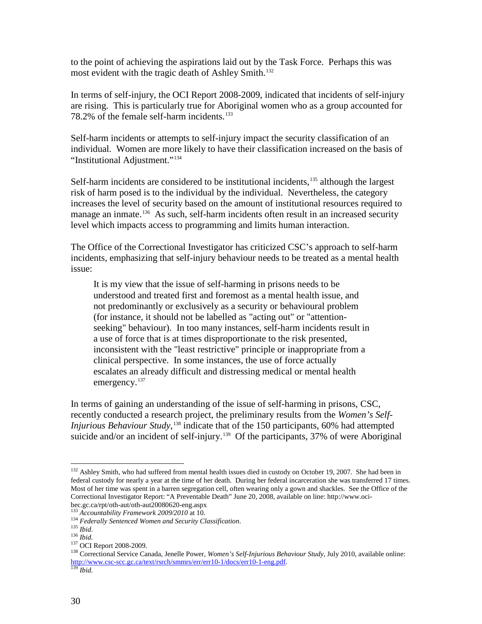to the point of achieving the aspirations laid out by the Task Force. Perhaps this was most evident with the tragic death of Ashley Smith.<sup>[132](#page-34-8)</sup>

In terms of self-injury, the OCI Report 2008-2009, indicated that incidents of self-injury are rising. This is particularly true for Aboriginal women who as a group accounted for 78.2% of the female self-harm incidents.<sup>[133](#page-35-0)</sup>

Self-harm incidents or attempts to self-injury impact the security classification of an individual. Women are more likely to have their classification increased on the basis of "Institutional Adjustment."[134](#page-35-1) 

Self-harm incidents are considered to be institutional incidents, $135$  although the largest risk of harm posed is to the individual by the individual. Nevertheless, the category increases the level of security based on the amount of institutional resources required to manage an inmate.<sup>[136](#page-35-3)</sup> As such, self-harm incidents often result in an increased security level which impacts access to programming and limits human interaction.

The Office of the Correctional Investigator has criticized CSC's approach to self-harm incidents, emphasizing that self-injury behaviour needs to be treated as a mental health issue:

It is my view that the issue of self-harming in prisons needs to be understood and treated first and foremost as a mental health issue, and not predominantly or exclusively as a security or behavioural problem (for instance, it should not be labelled as "acting out" or "attentionseeking" behaviour). In too many instances, self-harm incidents result in a use of force that is at times disproportionate to the risk presented, inconsistent with the "least restrictive" principle or inappropriate from a clinical perspective. In some instances, the use of force actually escalates an already difficult and distressing medical or mental health emergency.<sup>[137](#page-35-4)</sup>

In terms of gaining an understanding of the issue of self-harming in prisons, CSC, recently conducted a research project, the preliminary results from the *Women's Self-Injurious Behaviour Study*, [138](#page-35-5) indicate that of the 150 participants, 60% had attempted suicide and/or an incident of self-injury.<sup>139</sup> Of the participants, 37% of were Aboriginal

<sup>&</sup>lt;sup>132</sup> Ashley Smith, who had suffered from mental health issues died in custody on October 19, 2007. She had been in federal custody for nearly a year at the time of her death. During her federal incarceration she was transferred 17 times. Most of her time was spent in a barren segregation cell, often wearing only a gown and shackles. See the Office of the Correctional Investigator Report: "A Preventable Death" June 20, 2008, available on line: http://www.oci-bec.gc.ca/rpt/oth-aut/oth-aut20080620-eng.aspx

<span id="page-35-2"></span>

<span id="page-35-4"></span><span id="page-35-3"></span>

<span id="page-35-5"></span>

<span id="page-35-7"></span><span id="page-35-1"></span><span id="page-35-0"></span><sup>&</sup>lt;sup>133</sup> Accountability Framework 2009/2010 at 10.<br><sup>134</sup> Federally Sentenced Women and Security Classification.<br><sup>135</sup> Ibid.<br><sup>136</sup> Ibid.<br><sup>137</sup> OCI Report 2008-2009.<br><sup>138</sup> Correctional Service Canada, Jenelle Power, *Women's Se* [http://www.csc-scc.gc.ca/text/rsrch/smmrs/err/err10-1/docs/err10-1-eng.pdf.](http://www.csc-scc.gc.ca/text/rsrch/smmrs/err/err10-1/docs/err10-1-eng.pdf) 139 *Ibid*.

<span id="page-35-6"></span>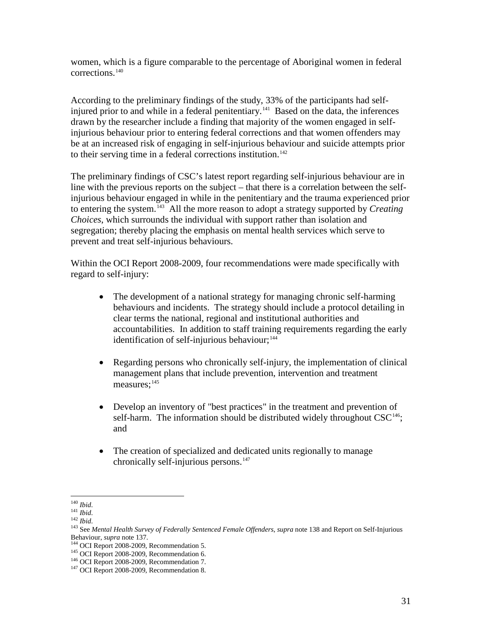women, which is a figure comparable to the percentage of Aboriginal women in federal corrections.[140](#page-35-7)

According to the preliminary findings of the study, 33% of the participants had self-injured prior to and while in a federal penitentiary.<sup>[141](#page-36-0)</sup> Based on the data, the inferences drawn by the researcher include a finding that majority of the women engaged in selfinjurious behaviour prior to entering federal corrections and that women offenders may be at an increased risk of engaging in self-injurious behaviour and suicide attempts prior to their serving time in a federal corrections institution.<sup>[142](#page-36-1)</sup>

The preliminary findings of CSC's latest report regarding self-injurious behaviour are in line with the previous reports on the subject – that there is a correlation between the selfinjurious behaviour engaged in while in the penitentiary and the trauma experienced prior to entering the system.[143](#page-36-2) All the more reason to adopt a strategy supported by *Creating Choices*, which surrounds the individual with support rather than isolation and segregation; thereby placing the emphasis on mental health services which serve to prevent and treat self-injurious behaviours.

Within the OCI Report 2008-2009, four recommendations were made specifically with regard to self-injury:

- The development of a national strategy for managing chronic self-harming behaviours and incidents. The strategy should include a protocol detailing in clear terms the national, regional and institutional authorities and accountabilities. In addition to staff training requirements regarding the early identification of self-injurious behaviour; $144$
- Regarding persons who chronically self-injury, the implementation of clinical management plans that include prevention, intervention and treatment measures;<sup>[145](#page-36-4)</sup>
- Develop an inventory of "best practices" in the treatment and prevention of self-harm. The information should be distributed widely throughout  $CSC^{146}$  $CSC^{146}$  $CSC^{146}$ ; and
- The creation of specialized and dedicated units regionally to manage chronically self-injurious persons.<sup>[147](#page-36-6)</sup>

<span id="page-36-2"></span><span id="page-36-1"></span>

<span id="page-36-7"></span><span id="page-36-0"></span><sup>&</sup>lt;sup>140</sup> *Ibid.*<br><sup>141</sup> *Ibid.*<br><sup>142</sup> *Ibid.*<br><sup>143</sup> See *Mental Health Survey of Federally Sentenced Female Offenders, <i>supra* note 138 and Report on Self-Injurious<br>Behaviour, *supra* note 137.

<span id="page-36-4"></span><span id="page-36-3"></span><sup>&</sup>lt;sup>144</sup> OCI Report 2008-2009, Recommendation 5.<br><sup>145</sup> OCI Report 2008-2009, Recommendation 6.<br><sup>146</sup> OCI Report 2008-2009, Recommendation 7.<br><sup>147</sup> OCI Report 2008-2009, Recommendation 8.

<span id="page-36-5"></span>

<span id="page-36-6"></span>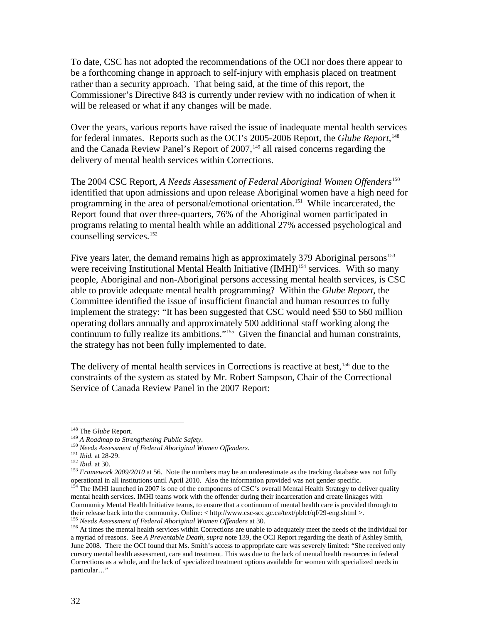To date, CSC has not adopted the recommendations of the OCI nor does there appear to be a forthcoming change in approach to self-injury with emphasis placed on treatment rather than a security approach. That being said, at the time of this report, the Commissioner's Directive 843 is currently under review with no indication of when it will be released or what if any changes will be made.

Over the years, various reports have raised the issue of inadequate mental health services for federal inmates. Reports such as the OCI's 2005-2006 Report, the *Glube Report*, [148](#page-36-7) and the Canada Review Panel's Report of 2007,<sup>[149](#page-37-0)</sup> all raised concerns regarding the delivery of mental health services within Corrections.

The 2004 CSC Report, *A Needs Assessment of Federal Aboriginal Women Offenders*<sup>[150](#page-37-1)</sup> identified that upon admissions and upon release Aboriginal women have a high need for programming in the area of personal/emotional orientation. [151](#page-37-2) While incarcerated, the Report found that over three-quarters, 76% of the Aboriginal women participated in programs relating to mental health while an additional 27% accessed psychological and counselling services.<sup>[152](#page-37-3)</sup>

Five years later, the demand remains high as approximately 379 Aboriginal persons<sup>[153](#page-37-4)</sup> were receiving Institutional Mental Health Initiative (IMHI)<sup>[154](#page-37-5)</sup> services. With so many people, Aboriginal and non-Aboriginal persons accessing mental health services, is CSC able to provide adequate mental health programming? Within the *Glube Report*, the Committee identified the issue of insufficient financial and human resources to fully implement the strategy: "It has been suggested that CSC would need \$50 to \$60 million operating dollars annually and approximately 500 additional staff working along the continuum to fully realize its ambitions."[155](#page-37-6) Given the financial and human constraints, the strategy has not been fully implemented to date.

The delivery of mental health services in Corrections is reactive at best,<sup>[156](#page-37-7)</sup> due to the constraints of the system as stated by Mr. Robert Sampson, Chair of the Correctional Service of Canada Review Panel in the 2007 Report:

<span id="page-37-2"></span><span id="page-37-1"></span>

<span id="page-37-5"></span><span id="page-37-4"></span><span id="page-37-3"></span>

<span id="page-37-8"></span><span id="page-37-0"></span><sup>&</sup>lt;sup>148</sup> The *Glube* Report.<br><sup>149</sup> A *Roadmap to Strengthening Public Safety*.<br><sup>150</sup> *Needs Assessment of Federal Aboriginal Women Offenders.*<br><sup>151</sup> *Ibid.* at 28-29.<br><sup>151</sup> *Ibid.* at 30.<br><sup>152</sup> *Framework 2009/2010* at 56. N operational in all institutions until April 2010. Also the information provided was not gender specific. <sup>154</sup> The IMHI launched in 2007 is one of the components of CSC's overall Mental Health Strategy to deliver quality mental health services. IMHI teams work with the offender during their incarceration and create linkages with Community Mental Health Initiative teams, to ensure that a continuum of mental health care is provided through to their release back into the community. Online:  $\langle \text{http://www.csc-sc.cgc.ca/text/plot/qf/29-eng.sttml} \rangle$ .

<span id="page-37-7"></span><span id="page-37-6"></span><sup>&</sup>lt;sup>155</sup> Needs Assessment of Federal Aboriginal Women Offenders at 30.<br><sup>156</sup> At times the mental health services within Corrections are unable to adequately meet the needs of the individual for a myriad of reasons. See *A Preventable Death*, *supra* note 139, the OCI Report regarding the death of Ashley Smith, June 2008. There the OCI found that Ms. Smith's access to appropriate care was severely limited: "She received only cursory mental health assessment, care and treatment. This was due to the lack of mental health resources in federal Corrections as a whole, and the lack of specialized treatment options available for women with specialized needs in particular…"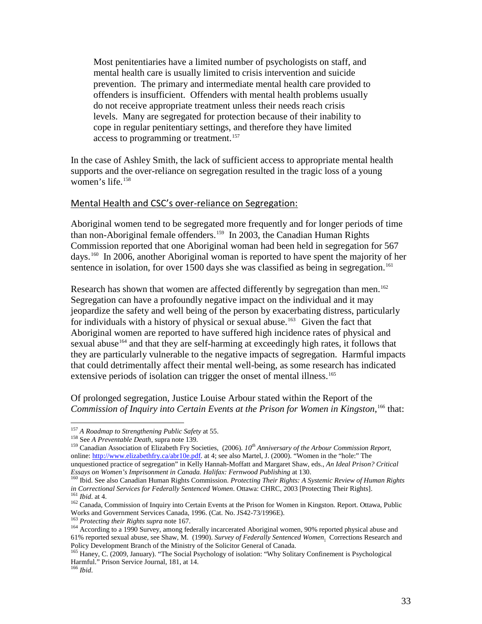Most penitentiaries have a limited number of psychologists on staff, and mental health care is usually limited to crisis intervention and suicide prevention. The primary and intermediate mental health care provided to offenders is insufficient. Offenders with mental health problems usually do not receive appropriate treatment unless their needs reach crisis levels. Many are segregated for protection because of their inability to cope in regular penitentiary settings, and therefore they have limited access to programming or treatment.<sup>[157](#page-37-8)</sup>

In the case of Ashley Smith, the lack of sufficient access to appropriate mental health supports and the over-reliance on segregation resulted in the tragic loss of a young women's life.<sup>[158](#page-38-1)</sup>

#### <span id="page-38-0"></span>Mental Health and CSC's over-reliance on Segregation:

Aboriginal women tend to be segregated more frequently and for longer periods of time than non-Aboriginal female offenders.<sup>[159](#page-38-2)</sup> In 2003, the Canadian Human Rights Commission reported that one Aboriginal woman had been held in segregation for 567 days.[160](#page-38-3) In 2006, another Aboriginal woman is reported to have spent the majority of her sentence in isolation, for over 1500 days she was classified as being in segregation.<sup>[161](#page-38-4)</sup>

Research has shown that women are affected differently by segregation than men.<sup>[162](#page-38-5)</sup> Segregation can have a profoundly negative impact on the individual and it may jeopardize the safety and well being of the person by exacerbating distress, particularly for individuals with a history of physical or sexual abuse.<sup>[163](#page-38-6)</sup> Given the fact that Aboriginal women are reported to have suffered high incidence rates of physical and sexual abuse<sup>164</sup> and that they are self-harming at exceedingly high rates, it follows that they are particularly vulnerable to the negative impacts of segregation. Harmful impacts that could detrimentally affect their mental well-being, as some research has indicated extensive periods of isolation can trigger the onset of mental illness.<sup>[165](#page-38-8)</sup>

Of prolonged segregation, Justice Louise Arbour stated within the Report of the Commission of Inquiry into Certain Events at the Prison for Women in Kingston,<sup>[166](#page-38-9)</sup> that:

<span id="page-38-1"></span><sup>157</sup> A Roadmap to Strengthening Public Safety at 55.<br><sup>158</sup> See A Preventable Death, supra note 139.<br><sup>159</sup> Canadian Association of Elizabeth Fry Societies, (2006). *10<sup>th</sup> Anniversary of the Arbour Commission Report*, online[: http://www.elizabethfry.ca/abr10e.pdf.](http://www.elizabethfry.ca/abr10e.pdf) at 4; see also Martel, J. (2000). "Women in the "hole:" The unquestioned practice of segregation" in Kelly Hannah-Moffatt and Margaret Shaw, eds., *An Ideal Prison? Critical* 

<span id="page-38-10"></span><span id="page-38-3"></span><sup>160</sup> Ibid. See also Canadian Human Rights Commission. *Protecting Their Rights: A Systemic Review of Human Rights* 

<span id="page-38-2"></span>

<span id="page-38-4"></span>in Correctional Services for Federally Sentenced Women. Ottawa: CHRC, 2003 [Protecting Their Rights].<br>
<sup>161</sup> Ibid. at 4.<br>
<sup>162</sup> Canada, Commission of Inquiry into Certain Events at the Prison for Women in Kingston. Report.

<span id="page-38-7"></span><span id="page-38-6"></span><span id="page-38-5"></span> $163$  Protecting their Rights supra note 167.<br>  $164$  According to a 1990 Survey, among federally incarcerated Aboriginal women, 90% reported physical abuse and 61% reported sexual abuse, see Shaw, M. (1990). *Survey of Federally Sentenced Women*. Corrections Research and

<span id="page-38-8"></span><sup>&</sup>lt;sup>165</sup> Haney, C. (2009, January). "The Social Psychology of isolation: "Why Solitary Confinement is Psychological Harmful." Prison Service Journal, 181, at 14.

<span id="page-38-9"></span><sup>166</sup> *Ibid*.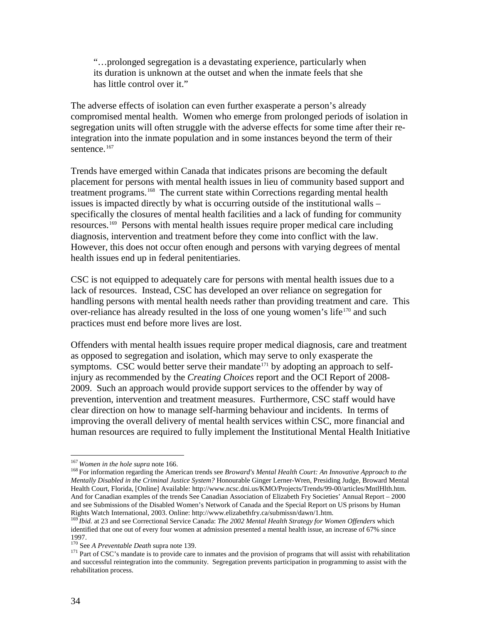"…prolonged segregation is a devastating experience, particularly when its duration is unknown at the outset and when the inmate feels that she has little control over it."

The adverse effects of isolation can even further exasperate a person's already compromised mental health. Women who emerge from prolonged periods of isolation in segregation units will often struggle with the adverse effects for some time after their reintegration into the inmate population and in some instances beyond the term of their sentence.<sup>[167](#page-38-10)</sup>

Trends have emerged within Canada that indicates prisons are becoming the default placement for persons with mental health issues in lieu of community based support and treatment programs.<sup>168</sup> The current state within Corrections regarding mental health issues is impacted directly by what is occurring outside of the institutional walls – specifically the closures of mental health facilities and a lack of funding for community resources.[169](#page-39-1) Persons with mental health issues require proper medical care including diagnosis, intervention and treatment before they come into conflict with the law. However, this does not occur often enough and persons with varying degrees of mental health issues end up in federal penitentiaries.

CSC is not equipped to adequately care for persons with mental health issues due to a lack of resources. Instead, CSC has developed an over reliance on segregation for handling persons with mental health needs rather than providing treatment and care. This over-reliance has already resulted in the loss of one young women's life<sup>[170](#page-39-2)</sup> and such practices must end before more lives are lost.

Offenders with mental health issues require proper medical diagnosis, care and treatment as opposed to segregation and isolation, which may serve to only exasperate the symptoms. CSC would better serve their mandate<sup>[171](#page-39-3)</sup> by adopting an approach to selfinjury as recommended by the *Creating Choices* report and the OCI Report of 2008- 2009. Such an approach would provide support services to the offender by way of prevention, intervention and treatment measures. Furthermore, CSC staff would have clear direction on how to manage self-harming behaviour and incidents. In terms of improving the overall delivery of mental health services within CSC, more financial and human resources are required to fully implement the Institutional Mental Health Initiative

<span id="page-39-0"></span><sup>&</sup>lt;sup>167</sup> *Women in the hole supra* note 166.<br><sup>168</sup> For information regarding the American trends see *Broward's Mental Health Court: An Innovative Approach to the Mentally Disabled in the Criminal Justice System?* Honourable Ginger Lerner-Wren, Presiding Judge, Broward Mental Health Court, Florida, [Online] Available: [http://www.ncsc.dni.us/KMO/Projects/Trends/99-00/articles/MntlHlth.htm.](http://www.ncsc.dni.us/KMO/Projects/Trends/99-00/articles/MntlHlth.htm) And for Canadian examples of the trends See Canadian Association of Elizabeth Fry Societies' Annual Report – 2000 and see Submissions of the Disabled Women's Network of Canada and the Special Report on US prisons by Human Rights Watch International, 2003. Online: http://www.elizabethfry.ca/submissn/dawn/1.htm.

<span id="page-39-1"></span><sup>169</sup> *Ibid.* at 23 and see Correctional Service Canada: *The 2002 Mental Health Strategy for Women Offenders* which identified that one out of every four women at admission presented a mental health issue, an increase of 67% since 1997.<br><sup>170</sup> See A Preventable Death supra note 139.

<span id="page-39-4"></span>

<span id="page-39-3"></span><span id="page-39-2"></span><sup>&</sup>lt;sup>171</sup> Part of CSC's mandate is to provide care to inmates and the provision of programs that will assist with rehabilitation and successful reintegration into the community. Segregation prevents participation in programming to assist with the rehabilitation process.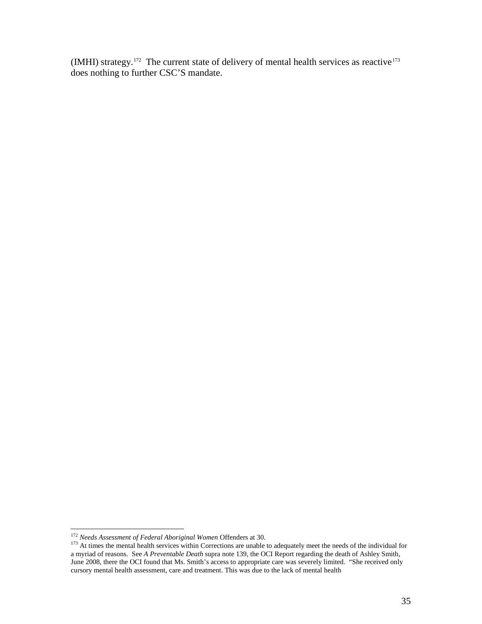(IMHI) strategy.<sup>172</sup> The current state of delivery of mental health services as reactive<sup>[173](#page-40-0)</sup> does nothing to further CSC'S mandate.

<span id="page-40-0"></span>

<span id="page-40-1"></span><sup>&</sup>lt;sup>172</sup> *Needs Assessment of Federal Aboriginal Women* Offenders at 30.<br><sup>173</sup> At times the mental health services within Corrections are unable to adequately meet the needs of the individual for a myriad of reasons. See *A Preventable Death* supra note 139, the OCI Report regarding the death of Ashley Smith, June 2008, there the OCI found that Ms. Smith's access to appropriate care was severely limited. "She received only cursory mental health assessment, care and treatment. This was due to the lack of mental health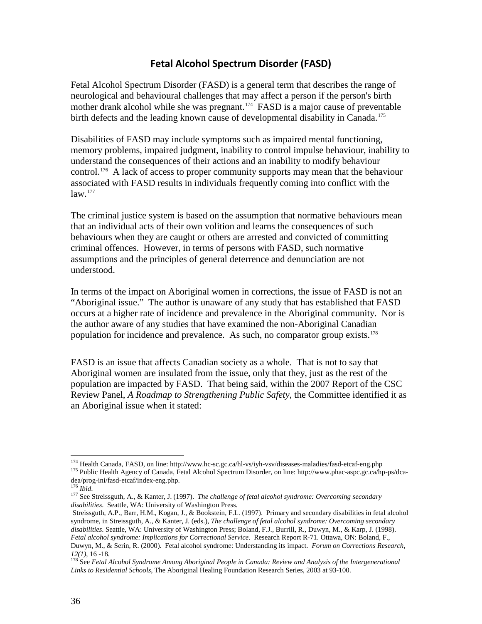### **Fetal Alcohol Spectrum Disorder (FASD)**

<span id="page-41-0"></span>Fetal Alcohol Spectrum Disorder (FASD) is a general term that describes the range of neurological and behavioural challenges that may affect a person if the person's birth mother drank alcohol while she was pregnant.[174](#page-40-1) FASD is a major cause of preventable birth defects and the leading known cause of developmental disability in Canada.<sup>[175](#page-41-1)</sup>

Disabilities of FASD may include symptoms such as impaired mental functioning, memory problems, impaired judgment, inability to control impulse behaviour, inability to understand the consequences of their actions and an inability to modify behaviour control.<sup>[176](#page-41-2)</sup> A lack of access to proper community supports may mean that the behaviour associated with FASD results in individuals frequently coming into conflict with the  $law.$ <sup>177</sup>

The criminal justice system is based on the assumption that normative behaviours mean that an individual acts of their own volition and learns the consequences of such behaviours when they are caught or others are arrested and convicted of committing criminal offences. However, in terms of persons with FASD, such normative assumptions and the principles of general deterrence and denunciation are not understood.

In terms of the impact on Aboriginal women in corrections, the issue of FASD is not an "Aboriginal issue." The author is unaware of any study that has established that FASD occurs at a higher rate of incidence and prevalence in the Aboriginal community. Nor is the author aware of any studies that have examined the non-Aboriginal Canadian population for incidence and prevalence. As such, no comparator group exists.<sup>[178](#page-41-4)</sup>

FASD is an issue that affects Canadian society as a whole. That is not to say that Aboriginal women are insulated from the issue, only that they, just as the rest of the population are impacted by FASD. That being said, within the 2007 Report of the CSC Review Panel, *A Roadmap to Strengthening Public Safety*, the Committee identified it as an Aboriginal issue when it stated:

<span id="page-41-1"></span><sup>&</sup>lt;sup>174</sup> Health Canada, FASD, on line: http://www.hc-sc.gc.ca/hl-vs/iyh-vsv/diseases-maladies/fasd-etcaf-eng.php 175 Public Health Agency of Canada, Fetal Alcohol Spectrum Disorder, on line: http://www.phac-aspc.gc.ca/hp-ps/d

<span id="page-41-3"></span><span id="page-41-2"></span>dealing-infarog-index-eng.<br><sup>176</sup> *Ibid.* 177 See Streissguth, A., & Kanter, J. (1997). *The challenge of fetal alcohol syndrome: Overcoming secondary disabilities*. Seattle, WA: University of Washington Press.

Streissguth, A.P., Barr, H.M., Kogan, J., & Bookstein, F.L. (1997). Primary and secondary disabilities in fetal alcohol syndrome, in Streissguth, A., & Kanter, J. (eds.), *The challenge of fetal alcohol syndrome: Overcoming secondary disabilities*. Seattle, WA: University of Washington Press; Boland, F.J., Burrill, R., Duwyn, M., & Karp, J. (1998). *Fetal alcohol syndrome: Implications for Correctional Service*. Research Report R-71. Ottawa, ON: Boland, F., Duwyn, M., & Serin, R. (2000). Fetal alcohol syndrome: Understanding its impact. *Forum on Corrections Research*,

<span id="page-41-4"></span><sup>&</sup>lt;sup>178</sup> See *Fetal Alcohol Syndrome Among Aboriginal People in Canada: Review and Analysis of the Intergenerational Links to Residential Schools*, The Aboriginal Healing Foundation Research Series, 2003 at 93-100.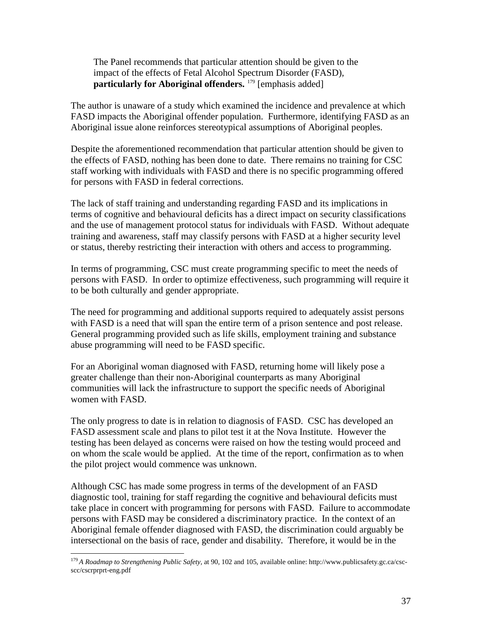The Panel recommends that particular attention should be given to the impact of the effects of Fetal Alcohol Spectrum Disorder (FASD), **particularly for Aboriginal offenders.** <sup>[179](#page-41-4)</sup> [emphasis added]

The author is unaware of a study which examined the incidence and prevalence at which FASD impacts the Aboriginal offender population. Furthermore, identifying FASD as an Aboriginal issue alone reinforces stereotypical assumptions of Aboriginal peoples.

Despite the aforementioned recommendation that particular attention should be given to the effects of FASD, nothing has been done to date. There remains no training for CSC staff working with individuals with FASD and there is no specific programming offered for persons with FASD in federal corrections.

The lack of staff training and understanding regarding FASD and its implications in terms of cognitive and behavioural deficits has a direct impact on security classifications and the use of management protocol status for individuals with FASD. Without adequate training and awareness, staff may classify persons with FASD at a higher security level or status, thereby restricting their interaction with others and access to programming.

In terms of programming, CSC must create programming specific to meet the needs of persons with FASD. In order to optimize effectiveness, such programming will require it to be both culturally and gender appropriate.

The need for programming and additional supports required to adequately assist persons with FASD is a need that will span the entire term of a prison sentence and post release. General programming provided such as life skills, employment training and substance abuse programming will need to be FASD specific.

For an Aboriginal woman diagnosed with FASD, returning home will likely pose a greater challenge than their non-Aboriginal counterparts as many Aboriginal communities will lack the infrastructure to support the specific needs of Aboriginal women with FASD.

The only progress to date is in relation to diagnosis of FASD. CSC has developed an FASD assessment scale and plans to pilot test it at the Nova Institute. However the testing has been delayed as concerns were raised on how the testing would proceed and on whom the scale would be applied. At the time of the report, confirmation as to when the pilot project would commence was unknown.

Although CSC has made some progress in terms of the development of an FASD diagnostic tool, training for staff regarding the cognitive and behavioural deficits must take place in concert with programming for persons with FASD. Failure to accommodate persons with FASD may be considered a discriminatory practice. In the context of an Aboriginal female offender diagnosed with FASD, the discrimination could arguably be intersectional on the basis of race, gender and disability. Therefore, it would be in the

<span id="page-42-0"></span> <sup>179</sup> *A Roadmap to Strengthening Public Safety*, at 90, 102 and 105, available online: http://www.publicsafety.gc.ca/cscscc/cscrprprt-eng.pdf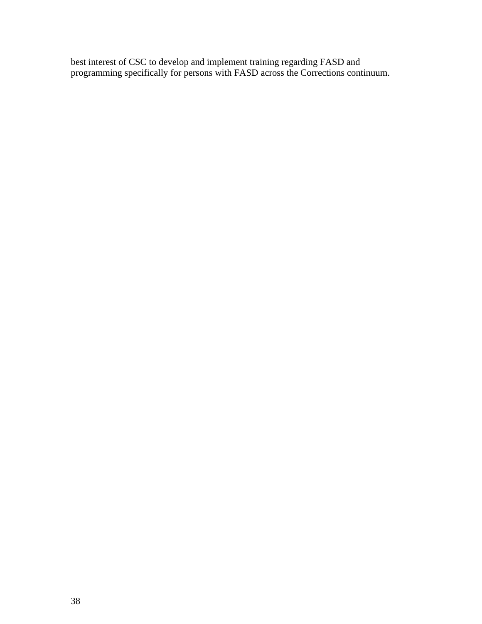best interest of CSC to develop and implement training regarding FASD and programming specifically for persons with FASD across the Corrections continuum.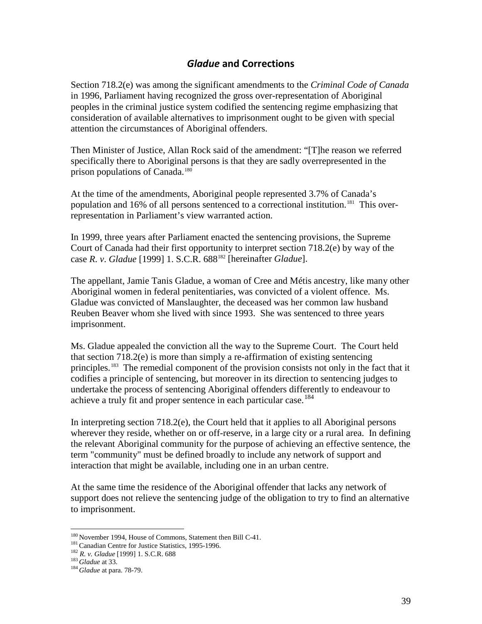# *Gladue* **and Corrections**

<span id="page-44-0"></span>Section 718.2(e) was among the significant amendments to the *Criminal Code of Canada* in 1996, Parliament having recognized the gross over-representation of Aboriginal peoples in the criminal justice system codified the sentencing regime emphasizing that consideration of available alternatives to imprisonment ought to be given with special attention the circumstances of Aboriginal offenders.

Then Minister of Justice, Allan Rock said of the amendment: "[T]he reason we referred specifically there to Aboriginal persons is that they are sadly overrepresented in the prison populations of Canada.<sup>[180](#page-42-0)</sup>

At the time of the amendments, Aboriginal people represented 3.7% of Canada's population and 16% of all persons sentenced to a correctional institution.<sup>[181](#page-44-1)</sup> This overrepresentation in Parliament's view warranted action.

In 1999, three years after Parliament enacted the sentencing provisions, the Supreme Court of Canada had their first opportunity to interpret section 718.2(e) by way of the case *R*. *v*. *Gladue* [1999] 1. S.C.R. 688[182](#page-44-2) [hereinafter *Gladue*].

The appellant, Jamie Tanis Gladue, a woman of Cree and Métis ancestry, like many other Aboriginal women in federal penitentiaries, was convicted of a violent offence. Ms. Gladue was convicted of Manslaughter, the deceased was her common law husband Reuben Beaver whom she lived with since 1993. She was sentenced to three years imprisonment.

Ms. Gladue appealed the conviction all the way to the Supreme Court. The Court held that section  $718.2(e)$  is more than simply a re-affirmation of existing sentencing principles.<sup>183</sup> The remedial component of the provision consists not only in the fact that it codifies a principle of sentencing, but moreover in its direction to sentencing judges to undertake the process of sentencing Aboriginal offenders differently to endeavour to achieve a truly fit and proper sentence in each particular case.<sup>[184](#page-44-4)</sup>

In interpreting section 718.2(e), the Court held that it applies to all Aboriginal persons wherever they reside, whether on or off-reserve, in a large city or a rural area. In defining the relevant Aboriginal community for the purpose of achieving an effective sentence, the term "community" must be defined broadly to include any network of support and interaction that might be available, including one in an urban centre.

At the same time the residence of the Aboriginal offender that lacks any network of support does not relieve the sentencing judge of the obligation to try to find an alternative to imprisonment.

<sup>&</sup>lt;sup>180</sup> November 1994, House of Commons, Statement then Bill C-41.<br><sup>181</sup> Canadian Centre for Justice Statistics, 1995-1996.<br><sup>182</sup> *R. v. Gladue* [1999] 1. S.C.R. 688<br><sup>183</sup> *Gladue* at 33.<br><sup>184</sup> *Gladue* at para. 78-79.

<span id="page-44-2"></span><span id="page-44-1"></span>

<span id="page-44-4"></span><span id="page-44-3"></span>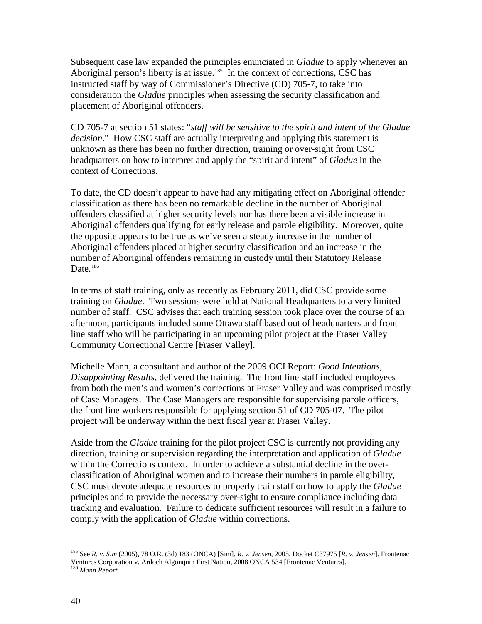Subsequent case law expanded the principles enunciated in *Gladue* to apply whenever an Aboriginal person's liberty is at issue.<sup>185</sup> In the context of corrections, CSC has instructed staff by way of Commissioner's Directive (CD) 705-7, to take into consideration the *Gladue* principles when assessing the security classification and placement of Aboriginal offenders.

CD 705-7 at section 51 states: "*staff will be sensitive to the spirit and intent of the Gladue decision*." How CSC staff are actually interpreting and applying this statement is unknown as there has been no further direction, training or over-sight from CSC headquarters on how to interpret and apply the "spirit and intent" of *Gladue* in the context of Corrections.

To date, the CD doesn't appear to have had any mitigating effect on Aboriginal offender classification as there has been no remarkable decline in the number of Aboriginal offenders classified at higher security levels nor has there been a visible increase in Aboriginal offenders qualifying for early release and parole eligibility. Moreover, quite the opposite appears to be true as we've seen a steady increase in the number of Aboriginal offenders placed at higher security classification and an increase in the number of Aboriginal offenders remaining in custody until their Statutory Release Date. $186$ 

In terms of staff training, only as recently as February 2011, did CSC provide some training on *Gladue*. Two sessions were held at National Headquarters to a very limited number of staff. CSC advises that each training session took place over the course of an afternoon, participants included some Ottawa staff based out of headquarters and front line staff who will be participating in an upcoming pilot project at the Fraser Valley Community Correctional Centre [Fraser Valley].

Michelle Mann, a consultant and author of the 2009 OCI Report: *Good Intentions, Disappointing Results*, delivered the training. The front line staff included employees from both the men's and women's corrections at Fraser Valley and was comprised mostly of Case Managers. The Case Managers are responsible for supervising parole officers, the front line workers responsible for applying section 51 of CD 705-07. The pilot project will be underway within the next fiscal year at Fraser Valley.

<span id="page-45-1"></span>Aside from the *Gladue* training for the pilot project CSC is currently not providing any direction, training or supervision regarding the interpretation and application of *Gladue*  within the Corrections context. In order to achieve a substantial decline in the overclassification of Aboriginal women and to increase their numbers in parole eligibility, CSC must devote adequate resources to properly train staff on how to apply the *Gladue* principles and to provide the necessary over-sight to ensure compliance including data tracking and evaluation. Failure to dedicate sufficient resources will result in a failure to comply with the application of *Gladue* within corrections.

 <sup>185</sup> See *R. v. Sim* (2005), 78 O.R. (3d) 183 (ONCA) [Sim]. *R. v. Jensen*, 2005, Docket C37975 [*R. v. Jensen*]. Frontenac Ventures Corporation v. Ardoch Algonquin First Nation, 2008 ONCA 534 [Frontenac Ventures]. <sup>186</sup> *Mann Report.*

<span id="page-45-0"></span>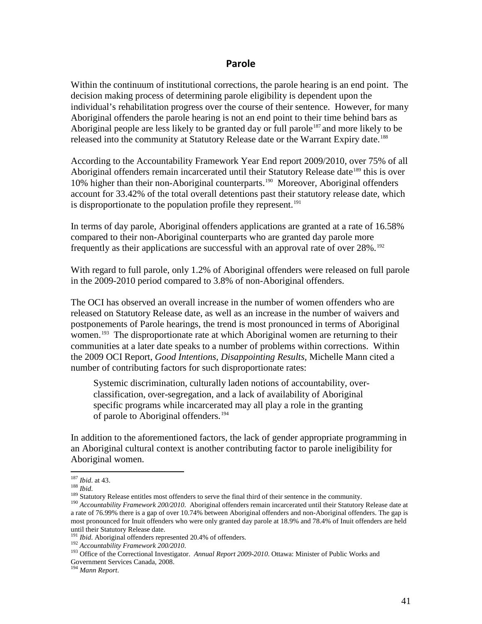#### **Parole**

<span id="page-46-0"></span>Within the continuum of institutional corrections, the parole hearing is an end point. The decision making process of determining parole eligibility is dependent upon the individual's rehabilitation progress over the course of their sentence. However, for many Aboriginal offenders the parole hearing is not an end point to their time behind bars as Aboriginal people are less likely to be granted day or full parole<sup>[187](#page-45-1)</sup> and more likely to be released into the community at Statutory Release date or the Warrant Expiry date.<sup>[188](#page-46-2)</sup>

According to the Accountability Framework Year End report 2009/2010, over 75% of all Aboriginal offenders remain incarcerated until their Statutory Release date<sup>[189](#page-46-3)</sup> this is over 10% higher than their non-Aboriginal counterparts.<sup>190</sup> Moreover, Aboriginal offenders account for 33.42% of the total overall detentions past their statutory release date, which is disproportionate to the population profile they represent.<sup>[191](#page-46-5)</sup>

In terms of day parole, Aboriginal offenders applications are granted at a rate of 16.58% compared to their non-Aboriginal counterparts who are granted day parole more frequently as their applications are successful with an approval rate of over 28%.<sup>[192](#page-46-6)</sup>

With regard to full parole, only 1.2% of Aboriginal offenders were released on full parole in the 2009-2010 period compared to 3.8% of non-Aboriginal offenders.

<span id="page-46-1"></span>The OCI has observed an overall increase in the number of women offenders who are released on Statutory Release date, as well as an increase in the number of waivers and postponements of Parole hearings, the trend is most pronounced in terms of Aboriginal women.<sup>193</sup> The disproportionate rate at which Aboriginal women are returning to their communities at a later date speaks to a number of problems within corrections. Within the 2009 OCI Report, *Good Intentions, Disappointing Results*, Michelle Mann cited a number of contributing factors for such disproportionate rates:

Systemic discrimination, culturally laden notions of accountability, overclassification, over-segregation, and a lack of availability of Aboriginal specific programs while incarcerated may all play a role in the granting of parole to Aboriginal offenders.<sup>[194](#page-46-8)</sup>

In addition to the aforementioned factors, the lack of gender appropriate programming in an Aboriginal cultural context is another contributing factor to parole ineligibility for Aboriginal women.

<span id="page-46-4"></span><span id="page-46-3"></span>

<span id="page-46-2"></span><sup>&</sup>lt;sup>187</sup> Ibid. at 43.<br><sup>188</sup> Ibid.<br><sup>188</sup> Statutory Release entitles most offenders to serve the final third of their sentence in the community.<br><sup>189</sup> Accountability Framework 200/2010. Aboriginal offenders remain incarcerated a rate of 76.99% there is a gap of over 10.74% between Aboriginal offenders and non-Aboriginal offenders. The gap is most pronounced for Inuit offenders who were only granted day parole at 18.9% and 78.4% of Inuit offenders are held until their Statutory Release date.<br><sup>191</sup> *Ibid.* Aboriginal offenders represented 20.4% of offenders.

<span id="page-46-7"></span><span id="page-46-6"></span><span id="page-46-5"></span><sup>&</sup>lt;sup>192</sup> Accountability Framework 200/2010.<br><sup>193</sup> Office of the Correctional Investigator. Annual Report 2009-2010. Ottawa: Minister of Public Works and Government Services Canada, 2008.

<span id="page-46-9"></span><span id="page-46-8"></span><sup>194</sup> *Mann Report*.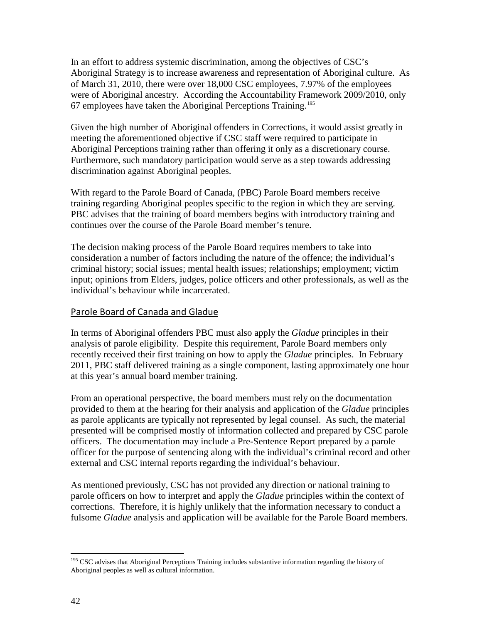In an effort to address systemic discrimination, among the objectives of CSC's Aboriginal Strategy is to increase awareness and representation of Aboriginal culture. As of March 31, 2010, there were over 18,000 CSC employees, 7.97% of the employees were of Aboriginal ancestry. According the Accountability Framework 2009/2010, only 67 employees have taken the Aboriginal Perceptions Training.[195](#page-46-9)

Given the high number of Aboriginal offenders in Corrections, it would assist greatly in meeting the aforementioned objective if CSC staff were required to participate in Aboriginal Perceptions training rather than offering it only as a discretionary course. Furthermore, such mandatory participation would serve as a step towards addressing discrimination against Aboriginal peoples.

With regard to the Parole Board of Canada, (PBC) Parole Board members receive training regarding Aboriginal peoples specific to the region in which they are serving. PBC advises that the training of board members begins with introductory training and continues over the course of the Parole Board member's tenure.

The decision making process of the Parole Board requires members to take into consideration a number of factors including the nature of the offence; the individual's criminal history; social issues; mental health issues; relationships; employment; victim input; opinions from Elders, judges, police officers and other professionals, as well as the individual's behaviour while incarcerated.

### <span id="page-47-0"></span>Parole Board of Canada and Gladue

In terms of Aboriginal offenders PBC must also apply the *Gladue* principles in their analysis of parole eligibility. Despite this requirement, Parole Board members only recently received their first training on how to apply the *Gladue* principles. In February 2011, PBC staff delivered training as a single component, lasting approximately one hour at this year's annual board member training.

From an operational perspective, the board members must rely on the documentation provided to them at the hearing for their analysis and application of the *Gladue* principles as parole applicants are typically not represented by legal counsel. As such, the material presented will be comprised mostly of information collected and prepared by CSC parole officers. The documentation may include a Pre-Sentence Report prepared by a parole officer for the purpose of sentencing along with the individual's criminal record and other external and CSC internal reports regarding the individual's behaviour.

As mentioned previously, CSC has not provided any direction or national training to parole officers on how to interpret and apply the *Gladue* principles within the context of corrections. Therefore, it is highly unlikely that the information necessary to conduct a fulsome *Gladue* analysis and application will be available for the Parole Board members.

<span id="page-47-1"></span><sup>&</sup>lt;sup>195</sup> CSC advises that Aboriginal Perceptions Training includes substantive information regarding the history of Aboriginal peoples as well as cultural information.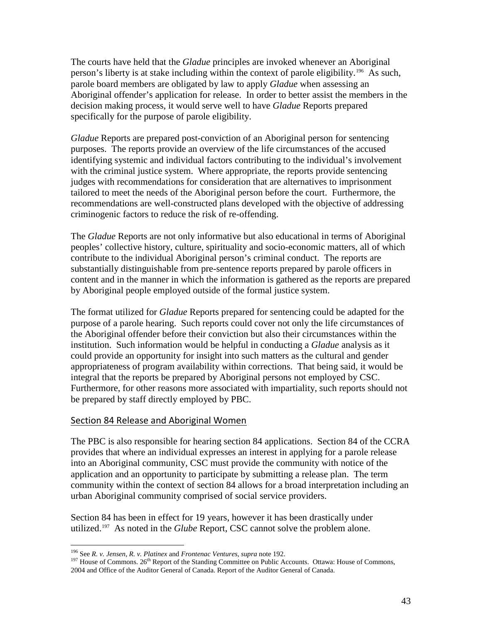The courts have held that the *Gladue* principles are invoked whenever an Aboriginal person's liberty is at stake including within the context of parole eligibility.[196](#page-47-1) As such, parole board members are obligated by law to apply *Gladue* when assessing an Aboriginal offender's application for release. In order to better assist the members in the decision making process, it would serve well to have *Gladue* Reports prepared specifically for the purpose of parole eligibility.

*Gladue* Reports are prepared post-conviction of an Aboriginal person for sentencing purposes. The reports provide an overview of the life circumstances of the accused identifying systemic and individual factors contributing to the individual's involvement with the criminal justice system. Where appropriate, the reports provide sentencing judges with recommendations for consideration that are alternatives to imprisonment tailored to meet the needs of the Aboriginal person before the court. Furthermore, the recommendations are well-constructed plans developed with the objective of addressing criminogenic factors to reduce the risk of re-offending.

The *Gladue* Reports are not only informative but also educational in terms of Aboriginal peoples' collective history, culture, spirituality and socio-economic matters, all of which contribute to the individual Aboriginal person's criminal conduct. The reports are substantially distinguishable from pre-sentence reports prepared by parole officers in content and in the manner in which the information is gathered as the reports are prepared by Aboriginal people employed outside of the formal justice system.

The format utilized for *Gladue* Reports prepared for sentencing could be adapted for the purpose of a parole hearing. Such reports could cover not only the life circumstances of the Aboriginal offender before their conviction but also their circumstances within the institution. Such information would be helpful in conducting a *Gladue* analysis as it could provide an opportunity for insight into such matters as the cultural and gender appropriateness of program availability within corrections. That being said, it would be integral that the reports be prepared by Aboriginal persons not employed by CSC. Furthermore, for other reasons more associated with impartiality, such reports should not be prepared by staff directly employed by PBC.

#### <span id="page-48-0"></span>Section 84 Release and Aboriginal Women

The PBC is also responsible for hearing section 84 applications. Section 84 of the CCRA provides that where an individual expresses an interest in applying for a parole release into an Aboriginal community, CSC must provide the community with notice of the application and an opportunity to participate by submitting a release plan. The term community within the context of section 84 allows for a broad interpretation including an urban Aboriginal community comprised of social service providers.

<span id="page-48-2"></span>Section 84 has been in effect for 19 years, however it has been drastically under utilized.<sup>197</sup> As noted in the *Glube* Report, CSC cannot solve the problem alone.

<span id="page-48-1"></span><sup>&</sup>lt;sup>196</sup> See *R. v. Jensen, R. v. Platinex* and *Frontenac Ventures, supra* note 192.<br><sup>197</sup> House of Commons. 26<sup>th</sup> Report of the Standing Committee on Public Accounts. Ottawa: House of Commons, 2004 and Office of the Auditor General of Canada. Report of the Auditor General of Canada.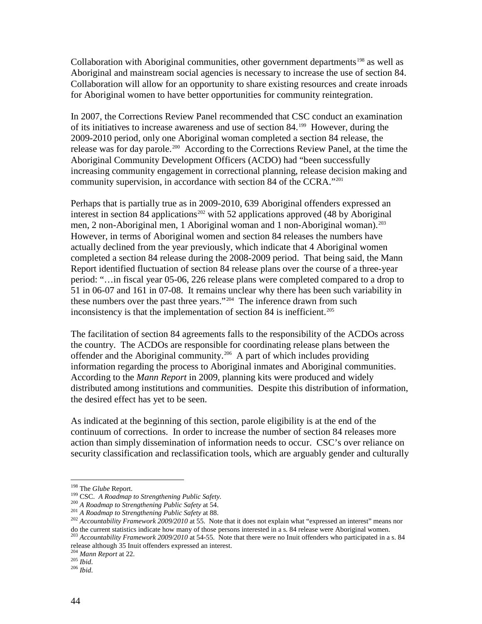Collaboration with Aboriginal communities, other government departments<sup>[198](#page-48-2)</sup> as well as Aboriginal and mainstream social agencies is necessary to increase the use of section 84. Collaboration will allow for an opportunity to share existing resources and create inroads for Aboriginal women to have better opportunities for community reintegration.

In 2007, the Corrections Review Panel recommended that CSC conduct an examination of its initiatives to increase awareness and use of section 84.<sup>[199](#page-49-0)</sup> However, during the 2009-2010 period, only one Aboriginal woman completed a section 84 release, the release was for day parole.<sup>200</sup> According to the Corrections Review Panel, at the time the Aboriginal Community Development Officers (ACDO) had "been successfully increasing community engagement in correctional planning, release decision making and community supervision, in accordance with section 84 of the CCRA."<sup>[201](#page-49-2)</sup>

Perhaps that is partially true as in 2009-2010, 639 Aboriginal offenders expressed an interest in section 84 applications<sup>[202](#page-49-3)</sup> with 52 applications approved (48 by Aboriginal men, 2 non-Aboriginal men, 1 Aboriginal woman and 1 non-Aboriginal woman).<sup>[203](#page-49-4)</sup> However, in terms of Aboriginal women and section 84 releases the numbers have actually declined from the year previously, which indicate that 4 Aboriginal women completed a section 84 release during the 2008-2009 period. That being said, the Mann Report identified fluctuation of section 84 release plans over the course of a three-year period: "…in fiscal year 05-06, 226 release plans were completed compared to a drop to 51 in 06-07 and 161 in 07-08. It remains unclear why there has been such variability in these numbers over the past three years."<sup>[204](#page-49-5)</sup> The inference drawn from such inconsistency is that the implementation of section 84 is inefficient.<sup>[205](#page-49-6)</sup>

The facilitation of section 84 agreements falls to the responsibility of the ACDOs across the country. The ACDOs are responsible for coordinating release plans between the offender and the Aboriginal community.[206](#page-49-7) A part of which includes providing information regarding the process to Aboriginal inmates and Aboriginal communities. According to the *Mann Report* in 2009, planning kits were produced and widely distributed among institutions and communities. Despite this distribution of information, the desired effect has yet to be seen.

As indicated at the beginning of this section, parole eligibility is at the end of the continuum of corrections. In order to increase the number of section 84 releases more action than simply dissemination of information needs to occur. CSC's over reliance on security classification and reclassification tools, which are arguably gender and culturally

<span id="page-49-1"></span>

<span id="page-49-3"></span><span id="page-49-2"></span>

<span id="page-49-0"></span><sup>&</sup>lt;sup>198</sup> The *Glube* Report.<br><sup>199</sup> CSC. A Roadmap to Strengthening Public Safety.<br><sup>200</sup> A Roadmap to Strengthening Public Safety at 54.<br><sup>201</sup> A Roadmap to Strengthening Public Safety at 88.<br><sup>202</sup> Accountability Framework 200 do the current statistics indicate how many of those persons interested in a s. 84 release were Aboriginal women.<br><sup>203</sup> Accountability Framework 2009/2010 at 54-55. Note that there were no Inuit offenders who participated

<span id="page-49-8"></span><span id="page-49-4"></span>release although 35 Inuit offenders expressed an interest.

<span id="page-49-5"></span><sup>&</sup>lt;sup>204</sup> *Mann Report* at 22.<br><sup>205</sup> *Ibid.*<br><sup>206</sup> *Ibid.* 

<span id="page-49-7"></span><span id="page-49-6"></span>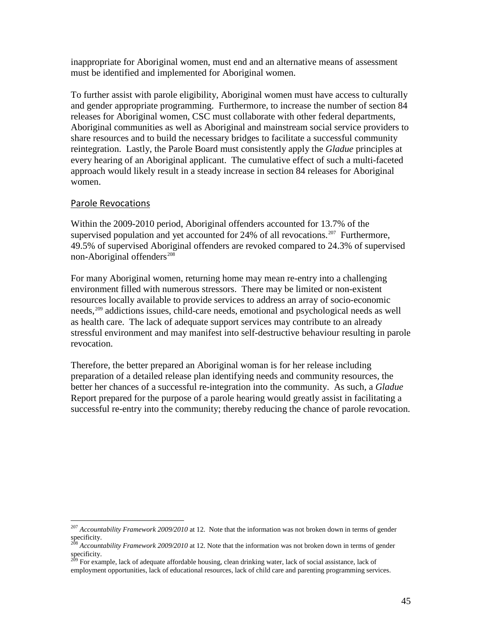inappropriate for Aboriginal women, must end and an alternative means of assessment must be identified and implemented for Aboriginal women.

To further assist with parole eligibility, Aboriginal women must have access to culturally and gender appropriate programming. Furthermore, to increase the number of section 84 releases for Aboriginal women, CSC must collaborate with other federal departments, Aboriginal communities as well as Aboriginal and mainstream social service providers to share resources and to build the necessary bridges to facilitate a successful community reintegration. Lastly, the Parole Board must consistently apply the *Gladue* principles at every hearing of an Aboriginal applicant. The cumulative effect of such a multi-faceted approach would likely result in a steady increase in section 84 releases for Aboriginal women.

#### <span id="page-50-0"></span>Parole Revocations

Within the 2009-2010 period, Aboriginal offenders accounted for 13.7% of the supervised population and yet accounted for  $24\%$  of all revocations.<sup>207</sup> Furthermore, 49.5% of supervised Aboriginal offenders are revoked compared to 24.3% of supervised non-Aboriginal offenders<sup>[208](#page-50-1)</sup>

For many Aboriginal women, returning home may mean re-entry into a challenging environment filled with numerous stressors. There may be limited or non-existent resources locally available to provide services to address an array of socio-economic needs,[209](#page-50-2) addictions issues, child-care needs, emotional and psychological needs as well as health care. The lack of adequate support services may contribute to an already stressful environment and may manifest into self-destructive behaviour resulting in parole revocation.

Therefore, the better prepared an Aboriginal woman is for her release including preparation of a detailed release plan identifying needs and community resources, the better her chances of a successful re-integration into the community. As such, a *Gladue* Report prepared for the purpose of a parole hearing would greatly assist in facilitating a successful re-entry into the community; thereby reducing the chance of parole revocation.

<span id="page-50-3"></span> <sup>207</sup> *Accountability Framework 2009/2010* at 12. Note that the information was not broken down in terms of gender specificity.

<span id="page-50-1"></span><sup>208</sup> *Accountability Framework 2009/2010* at 12. Note that the information was not broken down in terms of gender specificity.

<span id="page-50-2"></span><sup>&</sup>lt;sup>209</sup> For example, lack of adequate affordable housing, clean drinking water, lack of social assistance, lack of employment opportunities, lack of educational resources, lack of child care and parenting programming services.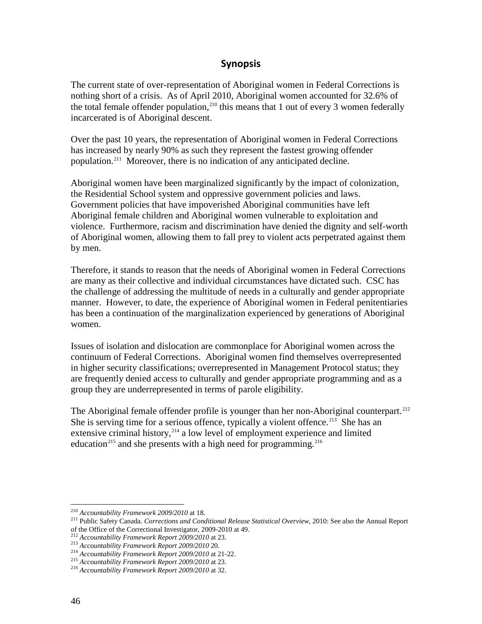# **Synopsis**

<span id="page-51-0"></span>The current state of over-representation of Aboriginal women in Federal Corrections is nothing short of a crisis. As of April 2010, Aboriginal women accounted for 32.6% of the total female offender population,  $210$  this means that 1 out of every 3 women federally incarcerated is of Aboriginal descent.

Over the past 10 years, the representation of Aboriginal women in Federal Corrections has increased by nearly 90% as such they represent the fastest growing offender population.[211](#page-51-1) Moreover, there is no indication of any anticipated decline.

Aboriginal women have been marginalized significantly by the impact of colonization, the Residential School system and oppressive government policies and laws. Government policies that have impoverished Aboriginal communities have left Aboriginal female children and Aboriginal women vulnerable to exploitation and violence. Furthermore, racism and discrimination have denied the dignity and self-worth of Aboriginal women, allowing them to fall prey to violent acts perpetrated against them by men.

Therefore, it stands to reason that the needs of Aboriginal women in Federal Corrections are many as their collective and individual circumstances have dictated such. CSC has the challenge of addressing the multitude of needs in a culturally and gender appropriate manner. However, to date, the experience of Aboriginal women in Federal penitentiaries has been a continuation of the marginalization experienced by generations of Aboriginal women.

Issues of isolation and dislocation are commonplace for Aboriginal women across the continuum of Federal Corrections. Aboriginal women find themselves overrepresented in higher security classifications; overrepresented in Management Protocol status; they are frequently denied access to culturally and gender appropriate programming and as a group they are underrepresented in terms of parole eligibility.

The Aboriginal female offender profile is younger than her non-Aboriginal counterpart.<sup>[212](#page-51-2)</sup> She is serving time for a serious offence, typically a violent offence.<sup>[213](#page-51-3)</sup> She has an extensive criminal history, $2^{14}$  a low level of employment experience and limited education<sup>[215](#page-51-5)</sup> and she presents with a high need for programming.<sup>[216](#page-51-6)</sup>

<span id="page-51-7"></span><span id="page-51-1"></span><sup>210</sup> *Accountability Framework 2009/2010* at 18. <sup>211</sup> Public Safety Canada. *Corrections and Conditional Release Statistical Overview*, 2010: See also the Annual Report Table Safety Canada. Corrections and Conditional Receiver<br>
212 Accountability Framework Report 2009/2010 at 23.<br>
<sup>212</sup> Accountability Framework Report 2009/2010 at 23.<br>
<sup>213</sup> Accountability Framework Report 2009/2010 at 21

<span id="page-51-3"></span><span id="page-51-2"></span>

<span id="page-51-4"></span>

<span id="page-51-5"></span>

<span id="page-51-6"></span>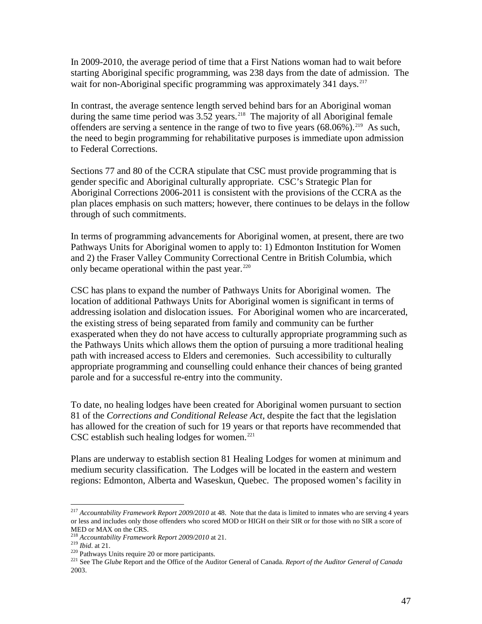In 2009-2010, the average period of time that a First Nations woman had to wait before starting Aboriginal specific programming, was 238 days from the date of admission. The wait for non-Aboriginal specific programming was approximately 341 days.<sup>[217](#page-51-7)</sup>

In contrast, the average sentence length served behind bars for an Aboriginal woman during the same time period was  $3.52$  years.<sup>218</sup> The majority of all Aboriginal female offenders are serving a sentence in the range of two to five years  $(68.06\%)$ <sup>[219](#page-52-1)</sup> As such, the need to begin programming for rehabilitative purposes is immediate upon admission to Federal Corrections.

Sections 77 and 80 of the CCRA stipulate that CSC must provide programming that is gender specific and Aboriginal culturally appropriate. CSC's Strategic Plan for Aboriginal Corrections 2006-2011 is consistent with the provisions of the CCRA as the plan places emphasis on such matters; however, there continues to be delays in the follow through of such commitments.

In terms of programming advancements for Aboriginal women, at present, there are two Pathways Units for Aboriginal women to apply to: 1) Edmonton Institution for Women and 2) the Fraser Valley Community Correctional Centre in British Columbia, which only became operational within the past year.<sup>[220](#page-52-2)</sup>

CSC has plans to expand the number of Pathways Units for Aboriginal women. The location of additional Pathways Units for Aboriginal women is significant in terms of addressing isolation and dislocation issues. For Aboriginal women who are incarcerated, the existing stress of being separated from family and community can be further exasperated when they do not have access to culturally appropriate programming such as the Pathways Units which allows them the option of pursuing a more traditional healing path with increased access to Elders and ceremonies. Such accessibility to culturally appropriate programming and counselling could enhance their chances of being granted parole and for a successful re-entry into the community.

To date, no healing lodges have been created for Aboriginal women pursuant to section 81 of the *Corrections and Conditional Release Act*, despite the fact that the legislation has allowed for the creation of such for 19 years or that reports have recommended that CSC establish such healing lodges for women. $^{221}$ 

Plans are underway to establish section 81 Healing Lodges for women at minimum and medium security classification. The Lodges will be located in the eastern and western regions: Edmonton, Alberta and Waseskun, Quebec. The proposed women's facility in

 <sup>217</sup> *Accountability Framework Report 2009/2010* at 48. Note that the data is limited to inmates who are serving 4 years or less and includes only those offenders who scored MOD or HIGH on their SIR or for those with no SIR a score of MED or MAX on the CRS.<br><sup>218</sup> Accountability Framework Report 2009/2010 at 21.

<span id="page-52-3"></span><span id="page-52-2"></span>

<span id="page-52-1"></span><span id="page-52-0"></span><sup>219</sup> *Ibid.* at 21.<br>
220 Pathways Units require 20 or more participants.<br>
<sup>220</sup> See The *Glube* Report and the Office of the Auditor General of Canada. *Report of the Auditor General of Canada* 2003.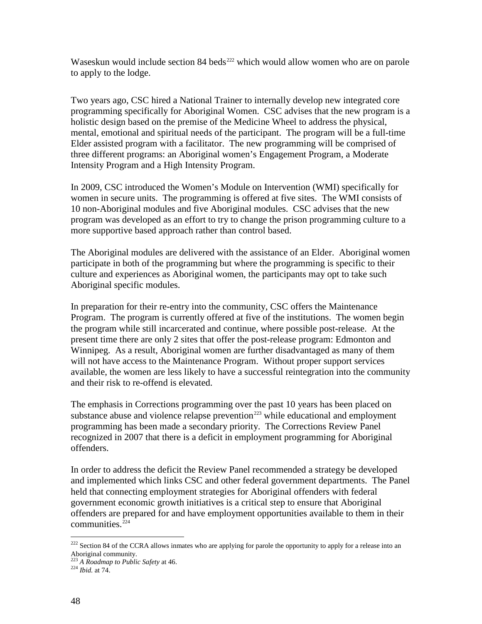Waseskun would include section  $84$  beds<sup>[222](#page-52-1)</sup> which would allow women who are on parole to apply to the lodge.

Two years ago, CSC hired a National Trainer to internally develop new integrated core programming specifically for Aboriginal Women. CSC advises that the new program is a holistic design based on the premise of the Medicine Wheel to address the physical, mental, emotional and spiritual needs of the participant. The program will be a full-time Elder assisted program with a facilitator. The new programming will be comprised of three different programs: an Aboriginal women's Engagement Program, a Moderate Intensity Program and a High Intensity Program.

In 2009, CSC introduced the Women's Module on Intervention (WMI) specifically for women in secure units. The programming is offered at five sites. The WMI consists of 10 non-Aboriginal modules and five Aboriginal modules. CSC advises that the new program was developed as an effort to try to change the prison programming culture to a more supportive based approach rather than control based.

The Aboriginal modules are delivered with the assistance of an Elder. Aboriginal women participate in both of the programming but where the programming is specific to their culture and experiences as Aboriginal women, the participants may opt to take such Aboriginal specific modules.

In preparation for their re-entry into the community, CSC offers the Maintenance Program. The program is currently offered at five of the institutions. The women begin the program while still incarcerated and continue, where possible post-release. At the present time there are only 2 sites that offer the post-release program: Edmonton and Winnipeg. As a result, Aboriginal women are further disadvantaged as many of them will not have access to the Maintenance Program. Without proper support services available, the women are less likely to have a successful reintegration into the community and their risk to re-offend is elevated.

The emphasis in Corrections programming over the past 10 years has been placed on substance abuse and violence relapse prevention<sup>[223](#page-53-0)</sup> while educational and employment programming has been made a secondary priority. The Corrections Review Panel recognized in 2007 that there is a deficit in employment programming for Aboriginal offenders.

In order to address the deficit the Review Panel recommended a strategy be developed and implemented which links CSC and other federal government departments. The Panel held that connecting employment strategies for Aboriginal offenders with federal government economic growth initiatives is a critical step to ensure that Aboriginal offenders are prepared for and have employment opportunities available to them in their communities. $224$ 

<span id="page-53-2"></span><sup>&</sup>lt;sup>222</sup> Section 84 of the CCRA allows inmates who are applying for parole the opportunity to apply for a release into an Aboriginal community. 223 *A Roadmap to Public Safety* at 46. <sup>224</sup> *Ibid.* at 74.

<span id="page-53-0"></span>

<span id="page-53-1"></span>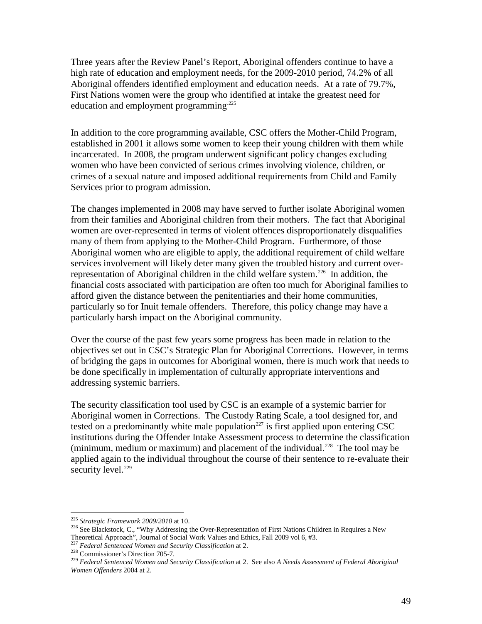Three years after the Review Panel's Report, Aboriginal offenders continue to have a high rate of education and employment needs, for the 2009-2010 period, 74.2% of all Aboriginal offenders identified employment and education needs. At a rate of 79.7%, First Nations women were the group who identified at intake the greatest need for education and employment programming<sup>[225](#page-53-2)</sup>

In addition to the core programming available, CSC offers the Mother-Child Program, established in 2001 it allows some women to keep their young children with them while incarcerated. In 2008, the program underwent significant policy changes excluding women who have been convicted of serious crimes involving violence, children, or crimes of a sexual nature and imposed additional requirements from Child and Family Services prior to program admission.

The changes implemented in 2008 may have served to further isolate Aboriginal women from their families and Aboriginal children from their mothers. The fact that Aboriginal women are over-represented in terms of violent offences disproportionately disqualifies many of them from applying to the Mother-Child Program. Furthermore, of those Aboriginal women who are eligible to apply, the additional requirement of child welfare services involvement will likely deter many given the troubled history and current over-representation of Aboriginal children in the child welfare system.<sup>[226](#page-54-0)</sup> In addition, the financial costs associated with participation are often too much for Aboriginal families to afford given the distance between the penitentiaries and their home communities, particularly so for Inuit female offenders. Therefore, this policy change may have a particularly harsh impact on the Aboriginal community.

Over the course of the past few years some progress has been made in relation to the objectives set out in CSC's Strategic Plan for Aboriginal Corrections. However, in terms of bridging the gaps in outcomes for Aboriginal women, there is much work that needs to be done specifically in implementation of culturally appropriate interventions and addressing systemic barriers.

The security classification tool used by CSC is an example of a systemic barrier for Aboriginal women in Corrections. The Custody Rating Scale, a tool designed for, and tested on a predominantly white male population $^{227}$  $^{227}$  $^{227}$  is first applied upon entering CSC institutions during the Offender Intake Assessment process to determine the classification (minimum, medium or maximum) and placement of the individual.<sup>228</sup> The tool may be applied again to the individual throughout the course of their sentence to re-evaluate their security level. $229$ 

<span id="page-54-4"></span><span id="page-54-0"></span><sup>&</sup>lt;sup>225</sup> Strategic Framework 2009/2010 at 10.<br><sup>226</sup> See Blackstock, C., "Why Addressing the Over-Representation of First Nations Children in Requires a New Theoretical Approach", Journal of Social Work Values and Ethics, Fall 2009 vol 6, #3.<br>
<sup>227</sup> Federal Sentenced Women and Security Classification at 2.<br>
<sup>228</sup> Commissioner's Direction 705-7.<br>
<sup>229</sup> Federal Sentenced Women a

<span id="page-54-1"></span>

<span id="page-54-2"></span>

<span id="page-54-3"></span>*Women Offenders* 2004 at 2.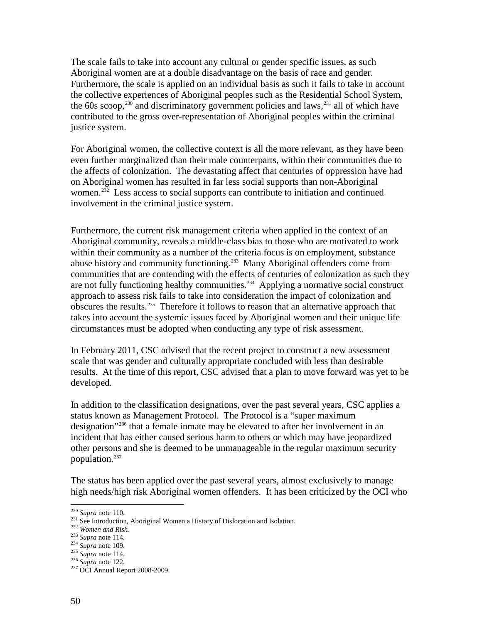The scale fails to take into account any cultural or gender specific issues, as such Aboriginal women are at a double disadvantage on the basis of race and gender. Furthermore, the scale is applied on an individual basis as such it fails to take in account the collective experiences of Aboriginal peoples such as the Residential School System, the 60s scoop,  $230$  and discriminatory government policies and laws,  $231$  all of which have contributed to the gross over-representation of Aboriginal peoples within the criminal justice system.

For Aboriginal women, the collective context is all the more relevant, as they have been even further marginalized than their male counterparts, within their communities due to the affects of colonization. The devastating affect that centuries of oppression have had on Aboriginal women has resulted in far less social supports than non-Aboriginal women.<sup>[232](#page-55-1)</sup> Less access to social supports can contribute to initiation and continued involvement in the criminal justice system.

Furthermore, the current risk management criteria when applied in the context of an Aboriginal community, reveals a middle-class bias to those who are motivated to work within their community as a number of the criteria focus is on employment, substance abuse history and community functioning.<sup>[233](#page-55-2)</sup> Many Aboriginal offenders come from communities that are contending with the effects of centuries of colonization as such they are not fully functioning healthy communities.<sup>[234](#page-55-3)</sup> Applying a normative social construct approach to assess risk fails to take into consideration the impact of colonization and obscures the results.[235](#page-55-4) Therefore it follows to reason that an alternative approach that takes into account the systemic issues faced by Aboriginal women and their unique life circumstances must be adopted when conducting any type of risk assessment.

In February 2011, CSC advised that the recent project to construct a new assessment scale that was gender and culturally appropriate concluded with less than desirable results. At the time of this report, CSC advised that a plan to move forward was yet to be developed.

In addition to the classification designations, over the past several years, CSC applies a status known as Management Protocol. The Protocol is a "super maximum designation"[236](#page-55-5) that a female inmate may be elevated to after her involvement in an incident that has either caused serious harm to others or which may have jeopardized other persons and she is deemed to be unmanageable in the regular maximum security population.<sup>237</sup>

The status has been applied over the past several years, almost exclusively to manage high needs/high risk Aboriginal women offenders. It has been criticized by the OCI who

<span id="page-55-7"></span><span id="page-55-0"></span><sup>&</sup>lt;sup>230</sup> Supra note 110.<br>
<sup>231</sup> See Introduction, Aboriginal Women a History of Dislocation and Isolation.<br>
<sup>232</sup> Women and Risk.<br>
<sup>232</sup> Supra note 114.<br>
<sup>234</sup> Supra note 109.<br>
<sup>235</sup> Supra note 114.<br>
<sup>236</sup> Supra note 122.<br>
<sup></sup>

<span id="page-55-1"></span>

<span id="page-55-3"></span><span id="page-55-2"></span>

<span id="page-55-4"></span>

<span id="page-55-6"></span><span id="page-55-5"></span>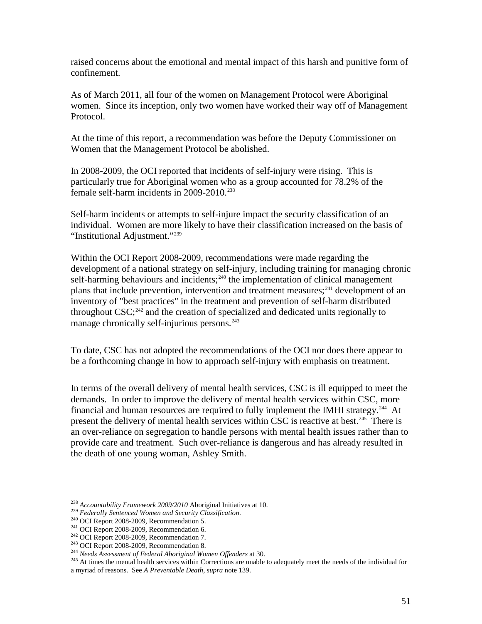raised concerns about the emotional and mental impact of this harsh and punitive form of confinement.

As of March 2011, all four of the women on Management Protocol were Aboriginal women. Since its inception, only two women have worked their way off of Management Protocol.

At the time of this report, a recommendation was before the Deputy Commissioner on Women that the Management Protocol be abolished.

In 2008-2009, the OCI reported that incidents of self-injury were rising. This is particularly true for Aboriginal women who as a group accounted for 78.2% of the female self-harm incidents in  $2009-2010$ <sup>[238](#page-55-7)</sup>

Self-harm incidents or attempts to self-injure impact the security classification of an individual. Women are more likely to have their classification increased on the basis of "Institutional Adjustment."<sup>239</sup>

Within the OCI Report 2008-2009, recommendations were made regarding the development of a national strategy on self-injury, including training for managing chronic self-harming behaviours and incidents; $240$  the implementation of clinical management plans that include prevention, intervention and treatment measures;<sup>[241](#page-56-2)</sup> development of an inventory of "best practices" in the treatment and prevention of self-harm distributed throughout CSC;<sup>[242](#page-56-3)</sup> and the creation of specialized and dedicated units regionally to manage chronically self-injurious persons.<sup>[243](#page-56-4)</sup>

To date, CSC has not adopted the recommendations of the OCI nor does there appear to be a forthcoming change in how to approach self-injury with emphasis on treatment.

In terms of the overall delivery of mental health services, CSC is ill equipped to meet the demands. In order to improve the delivery of mental health services within CSC, more financial and human resources are required to fully implement the IMHI strategy.<sup>[244](#page-56-5)</sup> At present the delivery of mental health services within CSC is reactive at best.<sup>245</sup> There is an over-reliance on segregation to handle persons with mental health issues rather than to provide care and treatment. Such over-reliance is dangerous and has already resulted in the death of one young woman, Ashley Smith.

<span id="page-56-1"></span>

<span id="page-56-2"></span>

<span id="page-56-3"></span>

<span id="page-56-6"></span><span id="page-56-5"></span><span id="page-56-4"></span>

<span id="page-56-0"></span><sup>&</sup>lt;sup>238</sup> Accountability Framework 2009/2010 Aboriginal Initiatives at 10.<br><sup>239</sup> Federally Sentenced Women and Security Classification.<br><sup>240</sup> OCI Report 2008-2009, Recommendation 5.<br><sup>242</sup> OCI Report 2008-2009, Recommendation 6 a myriad of reasons. See *A Preventable Death*, *supra* note 139.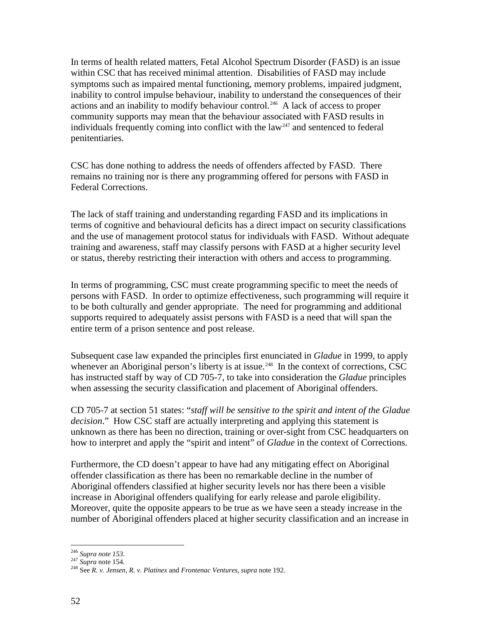In terms of health related matters, Fetal Alcohol Spectrum Disorder (FASD) is an issue within CSC that has received minimal attention. Disabilities of FASD may include symptoms such as impaired mental functioning, memory problems, impaired judgment, inability to control impulse behaviour, inability to understand the consequences of their actions and an inability to modify behaviour control.<sup>246</sup> A lack of access to proper community supports may mean that the behaviour associated with FASD results in individuals frequently coming into conflict with the  $law<sup>247</sup>$  $law<sup>247</sup>$  $law<sup>247</sup>$  and sentenced to federal penitentiaries.

CSC has done nothing to address the needs of offenders affected by FASD. There remains no training nor is there any programming offered for persons with FASD in Federal Corrections.

The lack of staff training and understanding regarding FASD and its implications in terms of cognitive and behavioural deficits has a direct impact on security classifications and the use of management protocol status for individuals with FASD. Without adequate training and awareness, staff may classify persons with FASD at a higher security level or status, thereby restricting their interaction with others and access to programming.

In terms of programming, CSC must create programming specific to meet the needs of persons with FASD. In order to optimize effectiveness, such programming will require it to be both culturally and gender appropriate. The need for programming and additional supports required to adequately assist persons with FASD is a need that will span the entire term of a prison sentence and post release.

Subsequent case law expanded the principles first enunciated in *Gladue* in 1999, to apply whenever an Aboriginal person's liberty is at issue.<sup>248</sup> In the context of corrections, CSC has instructed staff by way of CD 705-7, to take into consideration the *Gladue* principles when assessing the security classification and placement of Aboriginal offenders.

CD 705-7 at section 51 states: "*staff will be sensitive to the spirit and intent of the Gladue decision*." How CSC staff are actually interpreting and applying this statement is unknown as there has been no direction, training or over-sight from CSC headquarters on how to interpret and apply the "spirit and intent" of *Gladue* in the context of Corrections.

Furthermore, the CD doesn't appear to have had any mitigating effect on Aboriginal offender classification as there has been no remarkable decline in the number of Aboriginal offenders classified at higher security levels nor has there been a visible increase in Aboriginal offenders qualifying for early release and parole eligibility. Moreover, quite the opposite appears to be true as we have seen a steady increase in the number of Aboriginal offenders placed at higher security classification and an increase in

<span id="page-57-1"></span>

<span id="page-57-2"></span><span id="page-57-0"></span><sup>246</sup> *Supra note 153*. <sup>247</sup> *Supra* note 154. <sup>248</sup> See *R. v. Jensen*, *R. v. Platinex* and *Frontenac Ventures*, *supra* note 192.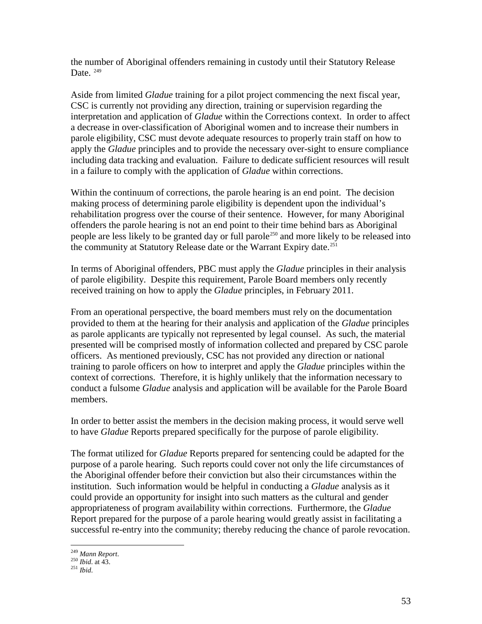the number of Aboriginal offenders remaining in custody until their Statutory Release Date.  $249$ 

Aside from limited *Gladue* training for a pilot project commencing the next fiscal year, CSC is currently not providing any direction, training or supervision regarding the interpretation and application of *Gladue* within the Corrections context. In order to affect a decrease in over-classification of Aboriginal women and to increase their numbers in parole eligibility, CSC must devote adequate resources to properly train staff on how to apply the *Gladue* principles and to provide the necessary over-sight to ensure compliance including data tracking and evaluation. Failure to dedicate sufficient resources will result in a failure to comply with the application of *Gladue* within corrections.

Within the continuum of corrections, the parole hearing is an end point. The decision making process of determining parole eligibility is dependent upon the individual's rehabilitation progress over the course of their sentence. However, for many Aboriginal offenders the parole hearing is not an end point to their time behind bars as Aboriginal people are less likely to be granted day or full parole<sup>[250](#page-58-0)</sup> and more likely to be released into the community at Statutory Release date or the Warrant Expiry date.<sup>[251](#page-58-1)</sup>

In terms of Aboriginal offenders, PBC must apply the *Gladue* principles in their analysis of parole eligibility. Despite this requirement, Parole Board members only recently received training on how to apply the *Gladue* principles, in February 2011.

From an operational perspective, the board members must rely on the documentation provided to them at the hearing for their analysis and application of the *Gladue* principles as parole applicants are typically not represented by legal counsel. As such, the material presented will be comprised mostly of information collected and prepared by CSC parole officers. As mentioned previously, CSC has not provided any direction or national training to parole officers on how to interpret and apply the *Gladue* principles within the context of corrections. Therefore, it is highly unlikely that the information necessary to conduct a fulsome *Gladue* analysis and application will be available for the Parole Board members.

In order to better assist the members in the decision making process, it would serve well to have *Gladue* Reports prepared specifically for the purpose of parole eligibility.

The format utilized for *Gladue* Reports prepared for sentencing could be adapted for the purpose of a parole hearing. Such reports could cover not only the life circumstances of the Aboriginal offender before their conviction but also their circumstances within the institution. Such information would be helpful in conducting a *Gladue* analysis as it could provide an opportunity for insight into such matters as the cultural and gender appropriateness of program availability within corrections. Furthermore, the *Gladue* Report prepared for the purpose of a parole hearing would greatly assist in facilitating a successful re-entry into the community; thereby reducing the chance of parole revocation.

<span id="page-58-0"></span><sup>249</sup> *Mann Report*. <sup>250</sup> *Ibid*. at 43. <sup>251</sup> *Ibid*.

<span id="page-58-1"></span>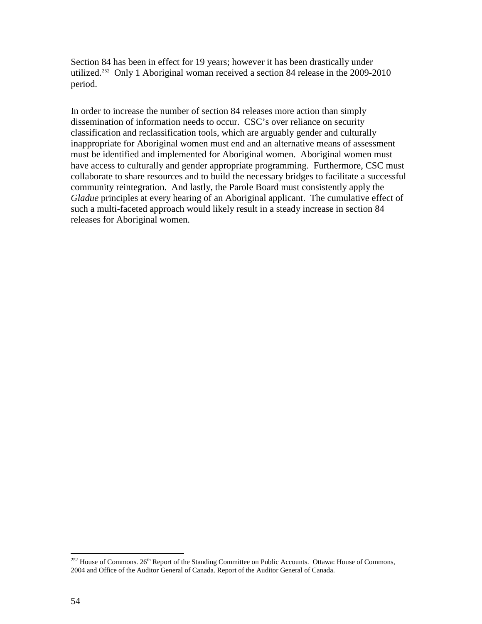Section 84 has been in effect for 19 years; however it has been drastically under utilized.<sup>252</sup> Only 1 Aboriginal woman received a section 84 release in the 2009-2010 period.

In order to increase the number of section 84 releases more action than simply dissemination of information needs to occur. CSC's over reliance on security classification and reclassification tools, which are arguably gender and culturally inappropriate for Aboriginal women must end and an alternative means of assessment must be identified and implemented for Aboriginal women. Aboriginal women must have access to culturally and gender appropriate programming. Furthermore, CSC must collaborate to share resources and to build the necessary bridges to facilitate a successful community reintegration. And lastly, the Parole Board must consistently apply the *Gladue* principles at every hearing of an Aboriginal applicant. The cumulative effect of such a multi-faceted approach would likely result in a steady increase in section 84 releases for Aboriginal women.

<sup>&</sup>lt;sup>252</sup> House of Commons. 26<sup>th</sup> Report of the Standing Committee on Public Accounts. Ottawa: House of Commons, 2004 and Office of the Auditor General of Canada. Report of the Auditor General of Canada.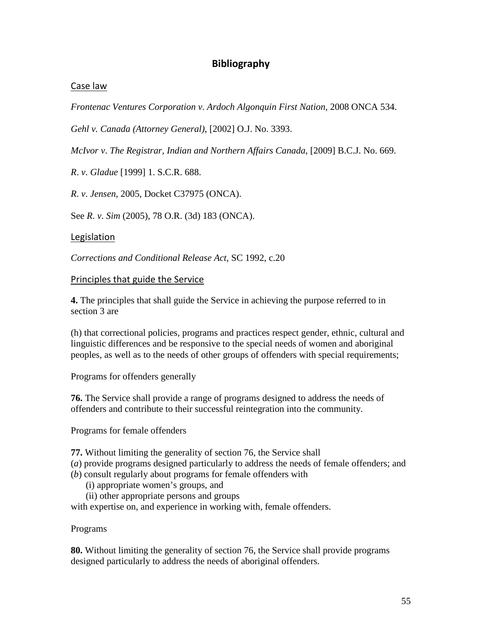# **Bibliography**

### <span id="page-60-1"></span><span id="page-60-0"></span>Case law

*Frontenac Ventures Corporation v*. *Ardoch Algonquin First Nation*, 2008 ONCA 534.

*Gehl v. Canada (Attorney General),* [2002] O.J. No. 3393.

*McIvor v*. *The Registrar, Indian and Northern Affairs Canada*, [2009] B.C.J. No. 669.

*R*. *v*. *Gladue* [1999] 1. S.C.R. 688.

*R*. *v*. *Jensen*, 2005, Docket C37975 (ONCA).

<span id="page-60-2"></span>See *R*. *v*. *Sim* (2005), 78 O.R. (3d) 183 (ONCA).

### Legislation

<span id="page-60-3"></span>*Corrections and Conditional Release Act*, SC 1992, c.20

#### Principles that guide the Service

**[4.](http://laws.justice.gc.ca/fra/C-44.6/page-1.html#codese:4)** The principles that shall guide the Service in achieving the purpose referred to in section 3 are

(h) that correctional policies, programs and practices respect gender, ethnic, cultural and linguistic differences and be responsive to the special needs of women and aboriginal peoples, as well as to the needs of other groups of offenders with special requirements;

[Programs for offenders generally](http://laws.justice.gc.ca/fra/C-44.6/page-1.html#codese:76)

**[76.](http://laws.justice.gc.ca/fra/C-44.6/page-1.html#codese:76)** The Service shall provide a range of programs designed to address the needs of offenders and contribute to their successful reintegration into the community.

[Programs for female offenders](http://laws.justice.gc.ca/fra/C-44.6/page-1.html#codese:77)

**[77.](http://laws.justice.gc.ca/fra/C-44.6/page-1.html#codese:77)** Without limiting the generality of section 76, the Service shall

(*a*) provide programs designed particularly to address the needs of female offenders; and (*b*) consult regularly about programs for female offenders with

(i) appropriate women's groups, and

(ii) other appropriate persons and groups

with expertise on, and experience in working with, female offenders.

[Programs](http://laws.justice.gc.ca/fra/C-44.6/page-1.html#codese:80)

**[80.](http://laws.justice.gc.ca/fra/C-44.6/page-1.html#codese:80)** Without limiting the generality of section 76, the Service shall provide programs designed particularly to address the needs of aboriginal offenders.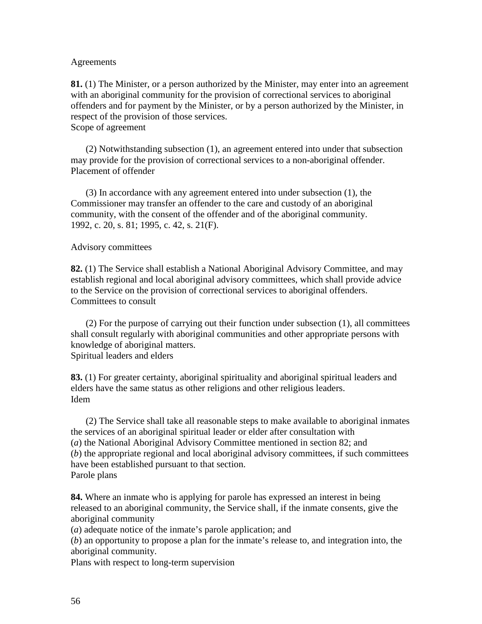#### [Agreements](http://laws.justice.gc.ca/fra/C-44.6/page-1.html#codese:81)

**[81.](http://laws.justice.gc.ca/fra/C-44.6/page-1.html#codese:81)** (1) The Minister, or a person authorized by the Minister, may enter into an agreement with an aboriginal community for the provision of correctional services to aboriginal offenders and for payment by the Minister, or by a person authorized by the Minister, in respect of the provision of those services. [Scope of agreement](http://laws.justice.gc.ca/fra/C-44.6/page-1.html#codese:81-ss:_2_)

(2) Notwithstanding subsection (1), an agreement entered into under that subsection may provide for the provision of correctional services to a non-aboriginal offender. [Placement of offender](http://laws.justice.gc.ca/fra/C-44.6/page-1.html#codese:81-ss:_3_)

(3) In accordance with any agreement entered into under subsection (1), the Commissioner may transfer an offender to the care and custody of an aboriginal community, with the consent of the offender and of the aboriginal community. 1992, c. 20, s. 81; 1995, c. 42, s. 21(F).

#### [Advisory committees](http://laws.justice.gc.ca/fra/C-44.6/page-1.html#codese:82)

**[82.](http://laws.justice.gc.ca/fra/C-44.6/page-1.html#codese:82)** (1) The Service shall establish a National Aboriginal Advisory Committee, and may establish regional and local aboriginal advisory committees, which shall provide advice to the Service on the provision of correctional services to aboriginal offenders. [Committees to consult](http://laws.justice.gc.ca/fra/C-44.6/page-1.html#codese:82-ss:_2_)

(2) For the purpose of carrying out their function under subsection (1), all committees shall consult regularly with aboriginal communities and other appropriate persons with knowledge of aboriginal matters. [Spiritual leaders and elders](http://laws.justice.gc.ca/fra/C-44.6/page-1.html#codese:83)

**[83.](http://laws.justice.gc.ca/fra/C-44.6/page-1.html#codese:83)** (1) For greater certainty, aboriginal spirituality and aboriginal spiritual leaders and elders have the same status as other religions and other religious leaders. [Idem](http://laws.justice.gc.ca/fra/C-44.6/page-1.html#codese:83-ss:_2_)

(2) The Service shall take all reasonable steps to make available to aboriginal inmates the services of an aboriginal spiritual leader or elder after consultation with (*a*) the National Aboriginal Advisory Committee mentioned in section 82; and (*b*) the appropriate regional and local aboriginal advisory committees, if such committees have been established pursuant to that section. [Parole plans](http://laws.justice.gc.ca/fra/C-44.6/page-1.html#codese:84)

**[84.](http://laws.justice.gc.ca/fra/C-44.6/page-1.html#codese:84)** Where an inmate who is applying for parole has expressed an interest in being released to an aboriginal community, the Service shall, if the inmate consents, give the aboriginal community

(*a*) adequate notice of the inmate's parole application; and

(*b*) an opportunity to propose a plan for the inmate's release to, and integration into, the aboriginal community.

[Plans with respect to long-term supervision](http://laws.justice.gc.ca/fra/C-44.6/page-1.html#codese:84_1)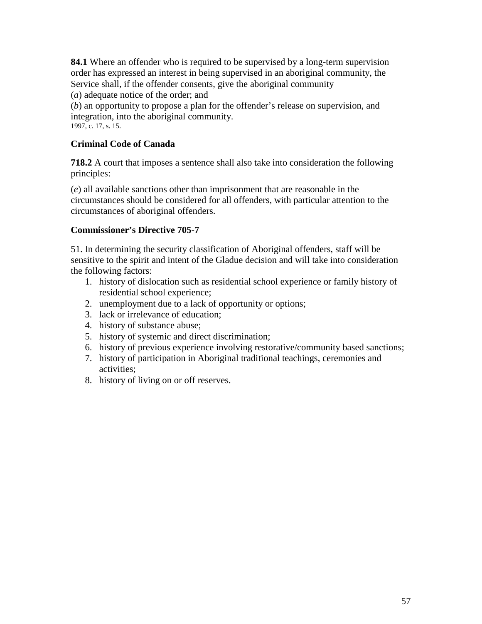**[84.1](http://laws.justice.gc.ca/fra/C-44.6/page-1.html#codese:84_1)** Where an offender who is required to be supervised by a long-term supervision order has expressed an interest in being supervised in an aboriginal community, the Service shall, if the offender consents, give the aboriginal community

(*a*) adequate notice of the order; and

(*b*) an opportunity to propose a plan for the offender's release on supervision, and integration, into the aboriginal community. 1997, c. 17, s. 15.

# **Criminal Code of Canada**

**718.2** A court that imposes a sentence shall also take into consideration the following principles:

(*e*) all available sanctions other than imprisonment that are reasonable in the circumstances should be considered for all offenders, with particular attention to the circumstances of aboriginal offenders.

# **Commissioner's Directive 705-7**

51. In determining the security classification of Aboriginal offenders, staff will be sensitive to the spirit and intent of the Gladue decision and will take into consideration the following factors:

- 1. history of dislocation such as residential school experience or family history of residential school experience;
- 2. unemployment due to a lack of opportunity or options;
- 3. lack or irrelevance of education;
- 4. history of substance abuse;
- 5. history of systemic and direct discrimination;
- 6. history of previous experience involving restorative/community based sanctions;
- 7. history of participation in Aboriginal traditional teachings, ceremonies and activities;
- 8. history of living on or off reserves.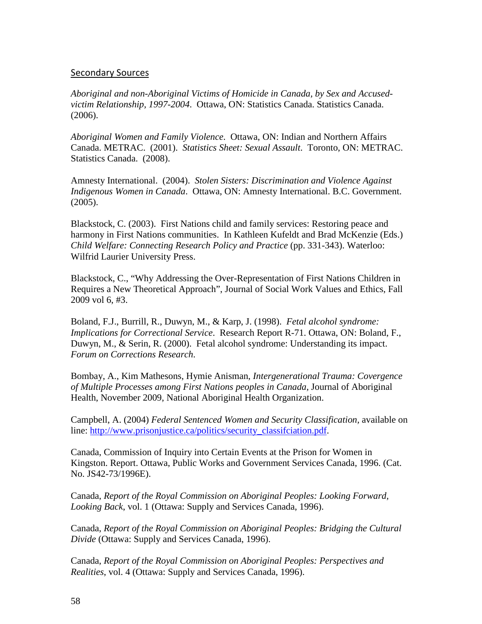#### <span id="page-63-0"></span>Secondary Sources

*Aboriginal and non-Aboriginal Victims of Homicide in Canada, by Sex and Accusedvictim Relationship, 1997-2004*. Ottawa, ON: Statistics Canada. Statistics Canada. (2006).

*Aboriginal Women and Family Violence*. Ottawa, ON: Indian and Northern Affairs Canada. METRAC. (2001). *Statistics Sheet: Sexual Assault*. Toronto, ON: METRAC. Statistics Canada. (2008).

Amnesty International. (2004). *Stolen Sisters: Discrimination and Violence Against Indigenous Women in Canada*. Ottawa, ON: Amnesty International. B.C. Government. (2005).

Blackstock, C. (2003). First Nations child and family services: Restoring peace and harmony in First Nations communities. In Kathleen Kufeldt and Brad McKenzie (Eds.) *Child Welfare: Connecting Research Policy and Practice (pp. 331-343). Waterloo:* Wilfrid Laurier University Press.

Blackstock, C., "Why Addressing the Over-Representation of First Nations Children in Requires a New Theoretical Approach", Journal of Social Work Values and Ethics, Fall 2009 vol 6, #3.

Boland, F.J., Burrill, R., Duwyn, M., & Karp, J. (1998). *Fetal alcohol syndrome: Implications for Correctional Service*. Research Report R-71. Ottawa, ON: Boland, F., Duwyn, M., & Serin, R. (2000). Fetal alcohol syndrome: Understanding its impact. *Forum on Corrections Research*.

Bombay, A., Kim Mathesons, Hymie Anisman, *Intergenerational Trauma: Covergence of Multiple Processes among First Nations peoples in Canada*, Journal of Aboriginal Health, November 2009, National Aboriginal Health Organization.

Campbell, A. (2004) *Federal Sentenced Women and Security Classification,* available on line: [http://www.prisonjustice.ca/politics/security\\_classifciation.pdf.](http://www.prisonjustice.ca/politics/security_classifciation.pdf)

Canada, Commission of Inquiry into Certain Events at the Prison for Women in Kingston. Report. Ottawa, Public Works and Government Services Canada, 1996. (Cat. No. JS42-73/1996E).

Canada, *Report of the Royal Commission on Aboriginal Peoples: Looking Forward, Looking Back*, vol. 1 (Ottawa: Supply and Services Canada, 1996).

Canada, *Report of the Royal Commission on Aboriginal Peoples: Bridging the Cultural Divide* (Ottawa: Supply and Services Canada, 1996).

Canada, *Report of the Royal Commission on Aboriginal Peoples: Perspectives and Realities*, vol. 4 (Ottawa: Supply and Services Canada, 1996).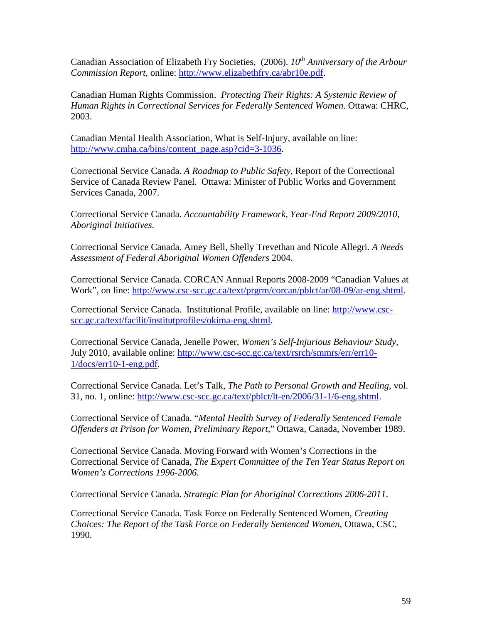Canadian Association of Elizabeth Fry Societies, (2006). *10<sup>th</sup> Anniversary of the Arbour Commission Report*, online: [http://www.elizabethfry.ca/abr10e.pdf.](http://www.elizabethfry.ca/abr10e.pdf)

Canadian Human Rights Commission. *Protecting Their Rights: A Systemic Review of Human Rights in Correctional Services for Federally Sentenced Women*. Ottawa: CHRC, 2003.

Canadian Mental Health Association, What is Self-Injury, available on line: [http://www.cmha.ca/bins/content\\_page.asp?cid=3-1036.](http://www.cmha.ca/bins/content_page.asp?cid=3-1036)

Correctional Service Canada. *A Roadmap to Public Safety*, Report of the Correctional Service of Canada Review Panel. Ottawa: Minister of Public Works and Government Services Canada, 2007.

Correctional Service Canada. *Accountability Framework, Year-End Report 2009/2010, Aboriginal Initiatives*.

Correctional Service Canada. Amey Bell, Shelly Trevethan and Nicole Allegri. *A Needs Assessment of Federal Aboriginal Women Offenders* 2004.

Correctional Service Canada. CORCAN Annual Reports 2008-2009 "Canadian Values at Work", on line: [http://www.csc-scc.gc.ca/text/prgrm/corcan/pblct/ar/08-09/ar-eng.shtml.](http://www.csc-scc.gc.ca/text/prgrm/corcan/pblct/ar/08-09/ar-eng.shtml)

Correctional Service Canada. Institutional Profile, available on line: [http://www.csc](http://www.csc-scc.gc.ca/text/facilit/institutprofiles/okima-eng.shtml)[scc.gc.ca/text/facilit/institutprofiles/okima-eng.shtml.](http://www.csc-scc.gc.ca/text/facilit/institutprofiles/okima-eng.shtml)

Correctional Service Canada, Jenelle Power, *Women's Self-Injurious Behaviour Study,*  July 2010, available online: [http://www.csc-scc.gc.ca/text/rsrch/smmrs/err/err10-](http://www.csc-scc.gc.ca/text/rsrch/smmrs/err/err10-1/docs/err10-1-eng.pdf) [1/docs/err10-1-eng.pdf.](http://www.csc-scc.gc.ca/text/rsrch/smmrs/err/err10-1/docs/err10-1-eng.pdf)

Correctional Service Canada. Let's Talk, *The Path to Personal Growth and Healing*, vol. 31, no. 1, online: [http://www.csc-scc.gc.ca/text/pblct/lt-en/2006/31-1/6-eng.shtml.](http://www.csc-scc.gc.ca/text/pblct/lt-en/2006/31-1/6-eng.shtml)

Correctional Service of Canada. "*Mental Health Survey of Federally Sentenced Female Offenders at Prison for Women, Preliminary Report*," Ottawa, Canada, November 1989.

Correctional Service Canada. Moving Forward with Women's Corrections in the Correctional Service of Canada, *The Expert Committee of the Ten Year Status Report on Women's Corrections 1996-2006*.

Correctional Service Canada. *Strategic Plan for Aboriginal Corrections 2006-2011*.

Correctional Service Canada. Task Force on Federally Sentenced Women, *Creating Choices: The Report of the Task Force on Federally Sentenced Women*, Ottawa, CSC, 1990.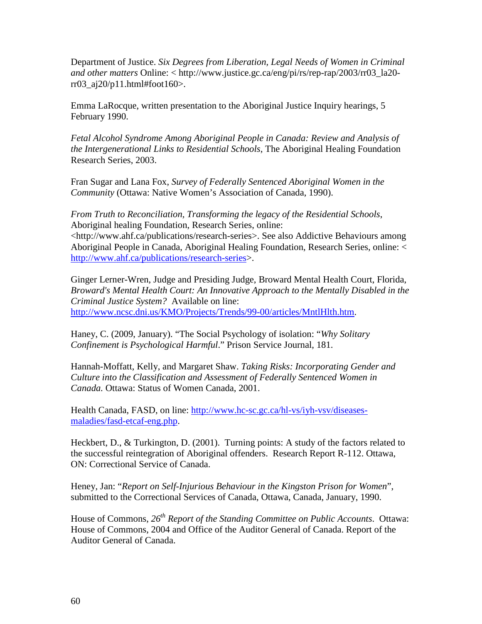Department of Justice. *Six Degrees from Liberation, Legal Needs of Women in Criminal and other matters* Online: < http://www.justice.gc.ca/eng/pi/rs/rep-rap/2003/rr03\_la20 rr03\_aj20/p11.html#foot160>.

Emma LaRocque, written presentation to the Aboriginal Justice Inquiry hearings, 5 February 1990.

*Fetal Alcohol Syndrome Among Aboriginal People in Canada: Review and Analysis of the Intergenerational Links to Residential Schools*, The Aboriginal Healing Foundation Research Series, 2003.

Fran Sugar and Lana Fox, *Survey of Federally Sentenced Aboriginal Women in the Community* (Ottawa: Native Women's Association of Canada, 1990).

*From Truth to Reconciliation, Transforming the legacy of the Residential Schools*, Aboriginal healing Foundation, Research Series, online: <http://www.ahf.ca/publications/research-series>. See also Addictive Behaviours among Aboriginal People in Canada, Aboriginal Healing Foundation, Research Series, online: < [http://www.ahf.ca/publications/research-series>](http://www.ahf.ca/publications/research-series).

Ginger Lerner-Wren, Judge and Presiding Judge, Broward Mental Health Court, Florida, *Broward's Mental Health Court: An Innovative Approach to the Mentally Disabled in the Criminal Justice System?* Available on line: [http://www.ncsc.dni.us/KMO/Projects/Trends/99-00/articles/MntlHlth.htm.](http://www.ncsc.dni.us/KMO/Projects/Trends/99-00/articles/MntlHlth.htm)

Haney, C. (2009, January). "The Social Psychology of isolation: "*Why Solitary Confinement is Psychological Harmful*." Prison Service Journal, 181.

Hannah-Moffatt, Kelly, and Margaret Shaw. *Taking Risks: Incorporating Gender and Culture into the Classification and Assessment of Federally Sentenced Women in Canada.* Ottawa: Status of Women Canada, 2001.

Health Canada, FASD, on line: [http://www.hc-sc.gc.ca/hl-vs/iyh-vsv/diseases](http://www.hc-sc.gc.ca/hl-vs/iyh-vsv/diseases-maladies/fasd-etcaf-eng.php)[maladies/fasd-etcaf-eng.php.](http://www.hc-sc.gc.ca/hl-vs/iyh-vsv/diseases-maladies/fasd-etcaf-eng.php)

Heckbert, D., & Turkington, D. (2001). Turning points: A study of the factors related to the successful reintegration of Aboriginal offenders. Research Report R-112. Ottawa, ON: Correctional Service of Canada.

Heney, Jan: "*Report on Self-Injurious Behaviour in the Kingston Prison for Women*", submitted to the Correctional Services of Canada, Ottawa, Canada, January, 1990.

House of Commons, *26th Report of the Standing Committee on Public Accounts*. Ottawa: House of Commons, 2004 and Office of the Auditor General of Canada. Report of the Auditor General of Canada.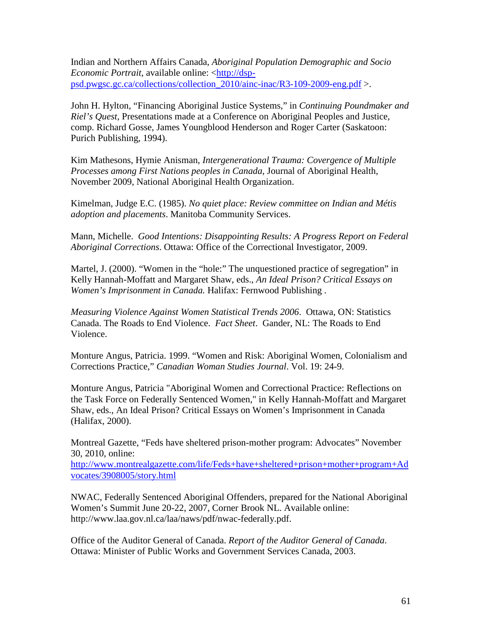Indian and Northern Affairs Canada, *Aboriginal Population Demographic and Socio Economic Portrait*, available online: [<http://dsp](http://dsp-psd.pwgsc.gc.ca/collections/collection_2010/ainc-inac/R3-109-2009-eng.pdf)[psd.pwgsc.gc.ca/collections/collection\\_2010/ainc-inac/R3-109-2009-eng.pdf](http://dsp-psd.pwgsc.gc.ca/collections/collection_2010/ainc-inac/R3-109-2009-eng.pdf) >.

John H. Hylton, "Financing Aboriginal Justice Systems," in *Continuing Poundmaker and Riel's Quest*, Presentations made at a Conference on Aboriginal Peoples and Justice, comp. Richard Gosse, James Youngblood Henderson and Roger Carter (Saskatoon: Purich Publishing, 1994).

Kim Mathesons, Hymie Anisman, *Intergenerational Trauma: Covergence of Multiple Processes among First Nations peoples in Canada*, Journal of Aboriginal Health, November 2009, National Aboriginal Health Organization.

Kimelman, Judge E.C. (1985). *No quiet place: Review committee on Indian and Métis adoption and placements*. Manitoba Community Services.

Mann, Michelle. *Good Intentions: Disappointing Results: A Progress Report on Federal Aboriginal Corrections*. Ottawa: Office of the Correctional Investigator, 2009.

Martel, J. (2000). "Women in the "hole:" The unquestioned practice of segregation" in Kelly Hannah-Moffatt and Margaret Shaw, eds., *An Ideal Prison? Critical Essays on Women's Imprisonment in Canada.* Halifax: Fernwood Publishing .

*Measuring Violence Against Women Statistical Trends 2006*. Ottawa, ON: Statistics Canada. The Roads to End Violence. *Fact Sheet*. Gander, NL: The Roads to End Violence.

Monture Angus, Patricia. 1999. "Women and Risk: Aboriginal Women, Colonialism and Corrections Practice," *Canadian Woman Studies Journal*. Vol. 19: 24-9.

Monture Angus, Patricia "Aboriginal Women and Correctional Practice: Reflections on the Task Force on Federally Sentenced Women," in Kelly Hannah-Moffatt and Margaret Shaw, eds., An Ideal Prison? Critical Essays on Women's Imprisonment in Canada (Halifax, 2000).

Montreal Gazette, "Feds have sheltered prison-mother program: Advocates" November 30, 2010, online:

[http://www.montrealgazette.com/life/Feds+have+sheltered+prison+mother+program+Ad](http://www.montrealgazette.com/life/Feds+have+sheltered+prison+mother+program+Advocates/3908005/story.html) [vocates/3908005/story.html](http://www.montrealgazette.com/life/Feds+have+sheltered+prison+mother+program+Advocates/3908005/story.html)

NWAC, Federally Sentenced Aboriginal Offenders, prepared for the National Aboriginal Women's Summit June 20-22, 2007, Corner Brook NL. Available online: http://www.laa.gov.nl.ca/laa/naws/pdf/nwac-federally.pdf.

Office of the Auditor General of Canada. *Report of the Auditor General of Canada*. Ottawa: Minister of Public Works and Government Services Canada, 2003.